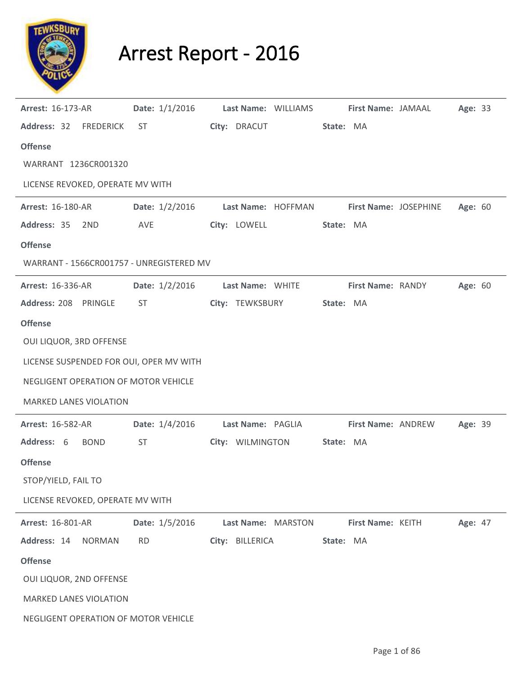

## Arrest Report - 2016

| <b>Arrest: 16-173-AR</b>                 | Date: $1/1/2016$ | Last Name: WILLIAMS | First Name: JAMAAL    | Age: 33 |  |
|------------------------------------------|------------------|---------------------|-----------------------|---------|--|
| Address: 32 FREDERICK                    | ST               | City: DRACUT        | State: MA             |         |  |
| <b>Offense</b>                           |                  |                     |                       |         |  |
| WARRANT 1236CR001320                     |                  |                     |                       |         |  |
| LICENSE REVOKED, OPERATE MV WITH         |                  |                     |                       |         |  |
| Arrest: 16-180-AR                        | Date: $1/2/2016$ | Last Name: HOFFMAN  | First Name: JOSEPHINE | Age: 60 |  |
| Address: 35<br>2ND                       | AVE              | City: LOWELL        | State: MA             |         |  |
| <b>Offense</b>                           |                  |                     |                       |         |  |
| WARRANT - 1566CR001757 - UNREGISTERED MV |                  |                     |                       |         |  |
| <b>Arrest: 16-336-AR</b>                 | Date: 1/2/2016   | Last Name: WHITE    | First Name: RANDY     | Age: 60 |  |
| Address: 208 PRINGLE                     | ST               | City: TEWKSBURY     | State: MA             |         |  |
| <b>Offense</b>                           |                  |                     |                       |         |  |
| OUI LIQUOR, 3RD OFFENSE                  |                  |                     |                       |         |  |
| LICENSE SUSPENDED FOR OUI, OPER MV WITH  |                  |                     |                       |         |  |
| NEGLIGENT OPERATION OF MOTOR VEHICLE     |                  |                     |                       |         |  |
| <b>MARKED LANES VIOLATION</b>            |                  |                     |                       |         |  |
| <b>Arrest: 16-582-AR</b>                 | Date: 1/4/2016   | Last Name: PAGLIA   | First Name: ANDREW    | Age: 39 |  |
| Address: 6<br><b>BOND</b>                | ST               | City: WILMINGTON    | State: MA             |         |  |
| <b>Offense</b>                           |                  |                     |                       |         |  |
| STOP/YIELD, FAIL TO                      |                  |                     |                       |         |  |
| LICENSE REVOKED, OPERATE MV WITH         |                  |                     |                       |         |  |
| <b>Arrest: 16-801-AR</b>                 | Date: 1/5/2016   | Last Name: MARSTON  | First Name: KEITH     | Age: 47 |  |
| Address: 14<br><b>NORMAN</b>             | <b>RD</b>        | City: BILLERICA     | State: MA             |         |  |
| <b>Offense</b>                           |                  |                     |                       |         |  |
| OUI LIQUOR, 2ND OFFENSE                  |                  |                     |                       |         |  |
| <b>MARKED LANES VIOLATION</b>            |                  |                     |                       |         |  |
| NEGLIGENT OPERATION OF MOTOR VEHICLE     |                  |                     |                       |         |  |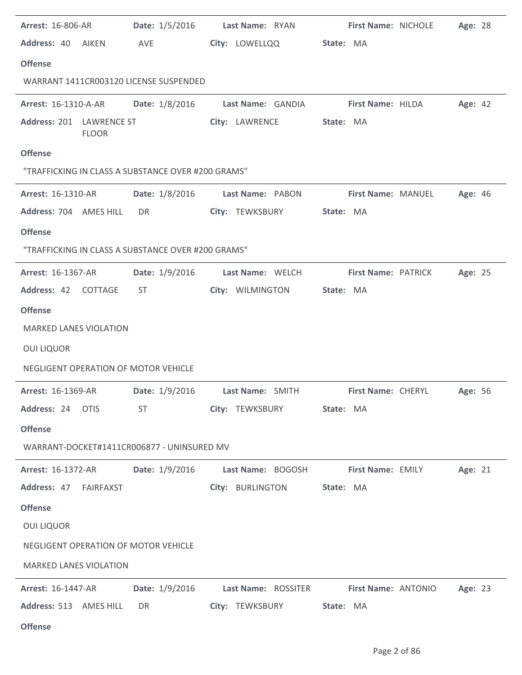| <b>Arrest: 16-806-AR</b>      |              | <b>Date:</b> $1/5/2016$                                | Last Name: RYAN   | First Name: NICHOLE        | Age: 28 |  |
|-------------------------------|--------------|--------------------------------------------------------|-------------------|----------------------------|---------|--|
| Address: 40 AIKEN             |              | <b>AVE</b>                                             | City: LOWELLQQ    | State: MA                  |         |  |
| <b>Offense</b>                |              |                                                        |                   |                            |         |  |
|                               |              | WARRANT 1411CR003120 LICENSE SUSPENDED                 |                   |                            |         |  |
| <b>Arrest: 16-1310-A-AR</b>   |              | Date: 1/8/2016                                         | Last Name: GANDIA | First Name: HILDA          | Age: 42 |  |
| Address: 201 LAWRENCE ST      | <b>FLOOR</b> |                                                        | City: LAWRENCE    | State: MA                  |         |  |
| <b>Offense</b>                |              |                                                        |                   |                            |         |  |
|                               |              | "TRAFFICKING IN CLASS A SUBSTANCE OVER #200 GRAMS"     |                   |                            |         |  |
| <b>Arrest: 16-1310-AR</b>     |              | <b>Date:</b> 1/8/2016                                  | Last Name: PABON  | <b>First Name: MANUEL</b>  | Age: 46 |  |
| Address: 704 AMES HILL        |              | DR                                                     | City: TEWKSBURY   | State: MA                  |         |  |
| <b>Offense</b>                |              |                                                        |                   |                            |         |  |
|                               |              | "TRAFFICKING IN CLASS A SUBSTANCE OVER #200 GRAMS"     |                   |                            |         |  |
| <b>Arrest: 16-1367-AR</b>     |              | Date: 1/9/2016                                         | Last Name: WELCH  | <b>First Name: PATRICK</b> | Age: 25 |  |
| Address: 42 COTTAGE           |              | ST                                                     | City: WILMINGTON  | State: MA                  |         |  |
| <b>Offense</b>                |              |                                                        |                   |                            |         |  |
| <b>MARKED LANES VIOLATION</b> |              |                                                        |                   |                            |         |  |
| <b>OUI LIQUOR</b>             |              |                                                        |                   |                            |         |  |
|                               |              | NEGLIGENT OPERATION OF MOTOR VEHICLE                   |                   |                            |         |  |
| <b>Arrest: 16-1369-AR</b>     |              | Date: 1/9/2016                                         | Last Name: SMITH  | First Name: CHERYL         | Age: 56 |  |
| Address: 24 OTIS              |              | ST                                                     | City: TEWKSBURY   | State: MA                  |         |  |
| <b>Offense</b>                |              |                                                        |                   |                            |         |  |
|                               |              | WARRANT-DOCKET#1411CR006877 - UNINSURED MV             |                   |                            |         |  |
| <b>Arrest: 16-1372-AR</b>     |              | Date: $1/9/2016$                                       | Last Name: BOGOSH | <b>First Name: EMILY</b>   | Age: 21 |  |
| Address: 47 FAIRFAXST         |              |                                                        | City: BURLINGTON  | State: MA                  |         |  |
| <b>Offense</b>                |              |                                                        |                   |                            |         |  |
| <b>OUI LIQUOR</b>             |              |                                                        |                   |                            |         |  |
|                               |              | NEGLIGENT OPERATION OF MOTOR VEHICLE                   |                   |                            |         |  |
| <b>MARKED LANES VIOLATION</b> |              |                                                        |                   |                            |         |  |
| <b>Arrest: 16-1447-AR</b>     |              | Date: 1/9/2016 Last Name: ROSSITER First Name: ANTONIO |                   |                            | Age: 23 |  |
| Address: 513 AMES HILL        |              | DR                                                     | City: TEWKSBURY   | State: MA                  |         |  |
| <b>Offense</b>                |              |                                                        |                   |                            |         |  |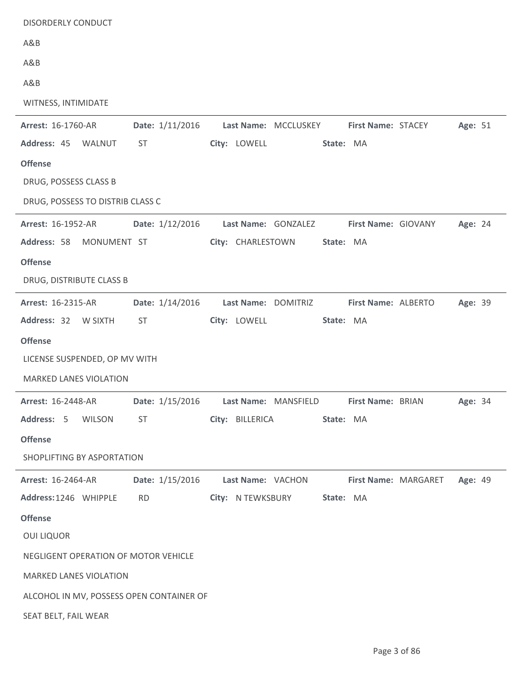| <b>DISORDERLY CONDUCT</b>                |                 |                      |           |                            |                      |         |  |
|------------------------------------------|-----------------|----------------------|-----------|----------------------------|----------------------|---------|--|
| A&B                                      |                 |                      |           |                            |                      |         |  |
| A&B                                      |                 |                      |           |                            |                      |         |  |
| A&B                                      |                 |                      |           |                            |                      |         |  |
| WITNESS, INTIMIDATE                      |                 |                      |           |                            |                      |         |  |
| Arrest: 16-1760-AR                       | Date: 1/11/2016 | Last Name: MCCLUSKEY |           | First Name: STACEY         |                      | Age: 51 |  |
| Address: 45 WALNUT                       | <b>ST</b>       | City: LOWELL         | State: MA |                            |                      |         |  |
| <b>Offense</b>                           |                 |                      |           |                            |                      |         |  |
| DRUG, POSSESS CLASS B                    |                 |                      |           |                            |                      |         |  |
| DRUG, POSSESS TO DISTRIB CLASS C         |                 |                      |           |                            |                      |         |  |
| Arrest: 16-1952-AR                       | Date: 1/12/2016 | Last Name: GONZALEZ  |           | <b>First Name: GIOVANY</b> |                      | Age: 24 |  |
| Address: 58<br>MONUMENT ST               |                 | City: CHARLESTOWN    | State: MA |                            |                      |         |  |
| <b>Offense</b>                           |                 |                      |           |                            |                      |         |  |
| DRUG, DISTRIBUTE CLASS B                 |                 |                      |           |                            |                      |         |  |
| Arrest: 16-2315-AR                       | Date: 1/14/2016 | Last Name: DOMITRIZ  |           | First Name: ALBERTO        |                      | Age: 39 |  |
| Address: 32 W SIXTH                      | ST              | City: LOWELL         | State: MA |                            |                      |         |  |
| <b>Offense</b>                           |                 |                      |           |                            |                      |         |  |
| LICENSE SUSPENDED, OP MV WITH            |                 |                      |           |                            |                      |         |  |
| <b>MARKED LANES VIOLATION</b>            |                 |                      |           |                            |                      |         |  |
| <b>Arrest: 16-2448-AR</b>                | Date: 1/15/2016 | Last Name: MANSFIELD |           | <b>First Name: BRIAN</b>   |                      | Age: 34 |  |
| Address: 5 WILSON                        | <b>ST</b>       | City: BILLERICA      | State: MA |                            |                      |         |  |
| <b>Offense</b>                           |                 |                      |           |                            |                      |         |  |
| SHOPLIFTING BY ASPORTATION               |                 |                      |           |                            |                      |         |  |
| <b>Arrest: 16-2464-AR</b>                | Date: 1/15/2016 | Last Name: VACHON    |           |                            | First Name: MARGARET | Age: 49 |  |
| Address: 1246 WHIPPLE                    | <b>RD</b>       | City: N TEWKSBURY    | State: MA |                            |                      |         |  |
| <b>Offense</b>                           |                 |                      |           |                            |                      |         |  |
| <b>OUI LIQUOR</b>                        |                 |                      |           |                            |                      |         |  |
| NEGLIGENT OPERATION OF MOTOR VEHICLE     |                 |                      |           |                            |                      |         |  |
|                                          |                 |                      |           |                            |                      |         |  |
| MARKED LANES VIOLATION                   |                 |                      |           |                            |                      |         |  |
| ALCOHOL IN MV, POSSESS OPEN CONTAINER OF |                 |                      |           |                            |                      |         |  |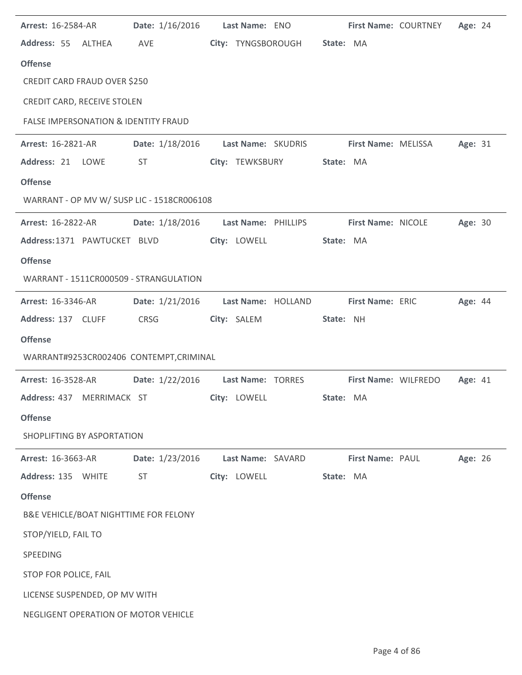| <b>Arrest: 16-2584-AR</b>                       | Date: 1/16/2016 | Last Name: ENO               | First Name: COURTNEY       | Age: 24 |
|-------------------------------------------------|-----------------|------------------------------|----------------------------|---------|
| Address: 55 ALTHEA                              | AVE             | City: TYNGSBOROUGH State: MA |                            |         |
| <b>Offense</b>                                  |                 |                              |                            |         |
| CREDIT CARD FRAUD OVER \$250                    |                 |                              |                            |         |
| CREDIT CARD, RECEIVE STOLEN                     |                 |                              |                            |         |
| <b>FALSE IMPERSONATION &amp; IDENTITY FRAUD</b> |                 |                              |                            |         |
| <b>Arrest: 16-2821-AR</b>                       | Date: 1/18/2016 | Last Name: SKUDRIS           | <b>First Name: MELISSA</b> | Age: 31 |
| Address: 21 LOWE                                | ST              | City: TEWKSBURY              | State: MA                  |         |
| <b>Offense</b>                                  |                 |                              |                            |         |
| WARRANT - OP MV W/ SUSP LIC - 1518CR006108      |                 |                              |                            |         |
| <b>Arrest: 16-2822-AR</b>                       | Date: 1/18/2016 | Last Name: PHILLIPS          | First Name: NICOLE         | Age: 30 |
| Address:1371 PAWTUCKET BLVD                     |                 | City: LOWELL                 | State: MA                  |         |
| <b>Offense</b>                                  |                 |                              |                            |         |
| WARRANT - 1511CR000509 - STRANGULATION          |                 |                              |                            |         |
| <b>Arrest: 16-3346-AR</b>                       | Date: 1/21/2016 | Last Name: HOLLAND           | First Name: ERIC           | Age: 44 |
| Address: 137 CLUFF                              | <b>CRSG</b>     | City: SALEM                  | State: NH                  |         |
| <b>Offense</b>                                  |                 |                              |                            |         |
| WARRANT#9253CR002406 CONTEMPT, CRIMINAL         |                 |                              |                            |         |
| <b>Arrest: 16-3528-AR</b>                       | Date: 1/22/2016 | Last Name: TORRES            | First Name: WILFREDO       | Age: 41 |
| Address: 437 MERRIMACK ST                       |                 | City: LOWELL                 | State: MA                  |         |
| <b>Offense</b>                                  |                 |                              |                            |         |
| SHOPLIFTING BY ASPORTATION                      |                 |                              |                            |         |
|                                                 |                 |                              |                            |         |
| Arrest: 16-3663-AR                              | Date: 1/23/2016 | Last Name: SAVARD            | <b>First Name: PAUL</b>    | Age: 26 |
| Address: 135<br>WHITE                           | <b>ST</b>       | City: LOWELL                 | State: MA                  |         |
| <b>Offense</b>                                  |                 |                              |                            |         |
| B&E VEHICLE/BOAT NIGHTTIME FOR FELONY           |                 |                              |                            |         |
| STOP/YIELD, FAIL TO                             |                 |                              |                            |         |
| SPEEDING                                        |                 |                              |                            |         |
| STOP FOR POLICE, FAIL                           |                 |                              |                            |         |
| LICENSE SUSPENDED, OP MV WITH                   |                 |                              |                            |         |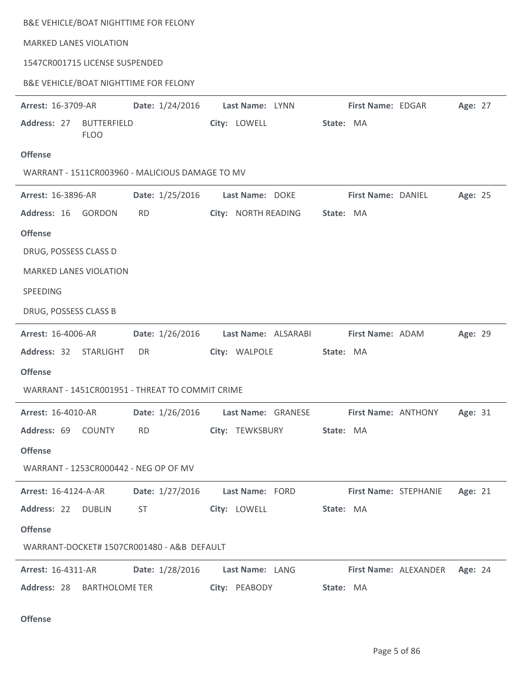|                                | B&E VEHICLE/BOAT NIGHTTIME FOR FELONY                  |                                                                                   |                               |         |
|--------------------------------|--------------------------------------------------------|-----------------------------------------------------------------------------------|-------------------------------|---------|
| <b>MARKED LANES VIOLATION</b>  |                                                        |                                                                                   |                               |         |
| 1547CR001715 LICENSE SUSPENDED |                                                        |                                                                                   |                               |         |
|                                | B&E VEHICLE/BOAT NIGHTTIME FOR FELONY                  |                                                                                   |                               |         |
| Arrest: 16-3709-AR             | Date: 1/24/2016                                        | Last Name: LYNN                                                                   | First Name: EDGAR             | Age: 27 |
| Address: 27<br><b>FLOO</b>     | <b>BUTTERFIELD</b>                                     | City: LOWELL                                                                      | State: MA                     |         |
| <b>Offense</b>                 |                                                        |                                                                                   |                               |         |
|                                | WARRANT - 1511CR003960 - MALICIOUS DAMAGE TO MV        |                                                                                   |                               |         |
| Arrest: 16-3896-AR             | Date: 1/25/2016                                        | Last Name: DOKE                                                                   | First Name: DANIEL            | Age: 25 |
| Address: 16                    | <b>GORDON</b><br><b>RD</b>                             | City: NORTH READING                                                               | State: MA                     |         |
| <b>Offense</b>                 |                                                        |                                                                                   |                               |         |
| DRUG, POSSESS CLASS D          |                                                        |                                                                                   |                               |         |
| <b>MARKED LANES VIOLATION</b>  |                                                        |                                                                                   |                               |         |
| SPEEDING                       |                                                        |                                                                                   |                               |         |
| DRUG, POSSESS CLASS B          |                                                        |                                                                                   |                               |         |
| <b>Arrest: 16-4006-AR</b>      | Date: 1/26/2016                                        | Last Name: ALSARABI                                                               | First Name: ADAM              | Age: 29 |
| Address: 32                    | <b>STARLIGHT</b><br>DR                                 | City: WALPOLE                                                                     | State: MA                     |         |
| <b>Offense</b>                 |                                                        |                                                                                   |                               |         |
|                                | WARRANT - 1451CR001951 - THREAT TO COMMIT CRIME        |                                                                                   |                               |         |
|                                |                                                        | Arrest: 16-4010-AR Date: 1/26/2016 Last Name: GRANESE First Name: ANTHONY Age: 31 |                               |         |
|                                | Address: 69 COUNTY RD                                  | City: TEWKSBURY State: MA                                                         |                               |         |
| <b>Offense</b>                 |                                                        |                                                                                   |                               |         |
|                                | WARRANT - 1253CR000442 - NEG OP OF MV                  |                                                                                   |                               |         |
|                                |                                                        | Arrest: 16-4124-A-AR Date: 1/27/2016 Last Name: FORD First Name: STEPHANIE        |                               | Age: 21 |
| Address: 22 DUBLIN             |                                                        | City: LOWELL                                                                      | <b>State: MA</b>              |         |
| <b>Offense</b>                 |                                                        |                                                                                   |                               |         |
|                                | WARRANT-DOCKET# 1507CR001480 - A&B DEFAULT             |                                                                                   |                               |         |
|                                | Arrest: 16-4311-AR   Date: 1/28/2016   Last Name: LANG |                                                                                   | First Name: ALEXANDER Age: 24 |         |
| Address: 28 BARTHOLOME TER     |                                                        | City: PEABODY                                                                     | State: MA                     |         |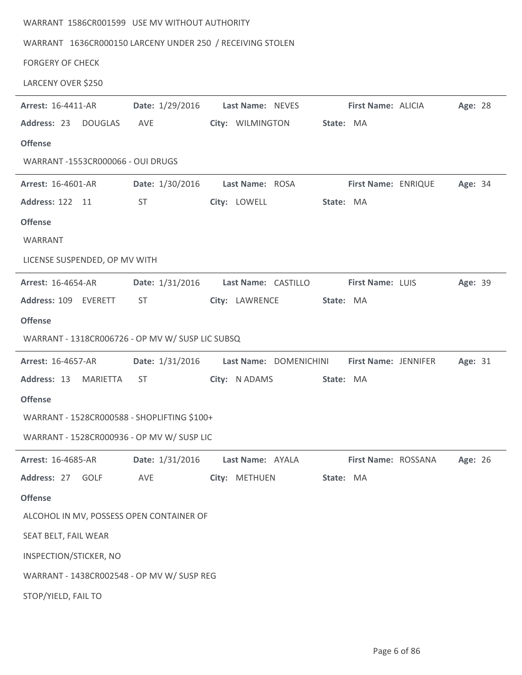| WARRANT 1586CR001599 USE MV WITHOUT AUTHORITY             |                 |                        |           |                         |         |  |
|-----------------------------------------------------------|-----------------|------------------------|-----------|-------------------------|---------|--|
| WARRANT 1636CR000150 LARCENY UNDER 250 / RECEIVING STOLEN |                 |                        |           |                         |         |  |
| <b>FORGERY OF CHECK</b>                                   |                 |                        |           |                         |         |  |
| LARCENY OVER \$250                                        |                 |                        |           |                         |         |  |
| Arrest: 16-4411-AR                                        | Date: 1/29/2016 | Last Name: NEVES       |           | First Name: ALICIA      | Age: 28 |  |
| Address: 23<br><b>DOUGLAS</b>                             | AVE             | City: WILMINGTON       | State: MA |                         |         |  |
| <b>Offense</b>                                            |                 |                        |           |                         |         |  |
| WARRANT -1553CR000066 - OUI DRUGS                         |                 |                        |           |                         |         |  |
| Arrest: 16-4601-AR                                        | Date: 1/30/2016 | Last Name: ROSA        |           | First Name: ENRIQUE     | Age: 34 |  |
| Address: 122 11                                           | <b>ST</b>       | City: LOWELL           | State: MA |                         |         |  |
| <b>Offense</b>                                            |                 |                        |           |                         |         |  |
| WARRANT                                                   |                 |                        |           |                         |         |  |
| LICENSE SUSPENDED, OP MV WITH                             |                 |                        |           |                         |         |  |
| <b>Arrest: 16-4654-AR</b>                                 | Date: 1/31/2016 | Last Name: CASTILLO    |           | <b>First Name: LUIS</b> | Age: 39 |  |
| Address: 109 EVERETT                                      | <b>ST</b>       | City: LAWRENCE         | State: MA |                         |         |  |
| <b>Offense</b>                                            |                 |                        |           |                         |         |  |
| WARRANT - 1318CR006726 - OP MV W/ SUSP LIC SUBSQ          |                 |                        |           |                         |         |  |
| <b>Arrest: 16-4657-AR</b>                                 | Date: 1/31/2016 | Last Name: DOMENICHINI |           | First Name: JENNIFER    | Age: 31 |  |
| Address: 13<br>MARIETTA                                   | <b>ST</b>       | City: N ADAMS          | State: MA |                         |         |  |
| <b>Offense</b>                                            |                 |                        |           |                         |         |  |
| WARRANT - 1528CR000588 - SHOPLIFTING \$100+               |                 |                        |           |                         |         |  |
| WARRANT - 1528CR000936 - OP MV W/ SUSP LIC                |                 |                        |           |                         |         |  |
| Arrest: 16-4685-AR                                        | Date: 1/31/2016 | Last Name: AYALA       |           | First Name: ROSSANA     | Age: 26 |  |
| Address: 27 GOLF                                          | AVE             | City: METHUEN          | State: MA |                         |         |  |
| <b>Offense</b>                                            |                 |                        |           |                         |         |  |
|                                                           |                 |                        |           |                         |         |  |
| ALCOHOL IN MV, POSSESS OPEN CONTAINER OF                  |                 |                        |           |                         |         |  |
| SEAT BELT, FAIL WEAR                                      |                 |                        |           |                         |         |  |
| INSPECTION/STICKER, NO                                    |                 |                        |           |                         |         |  |
| WARRANT - 1438CR002548 - OP MV W/ SUSP REG                |                 |                        |           |                         |         |  |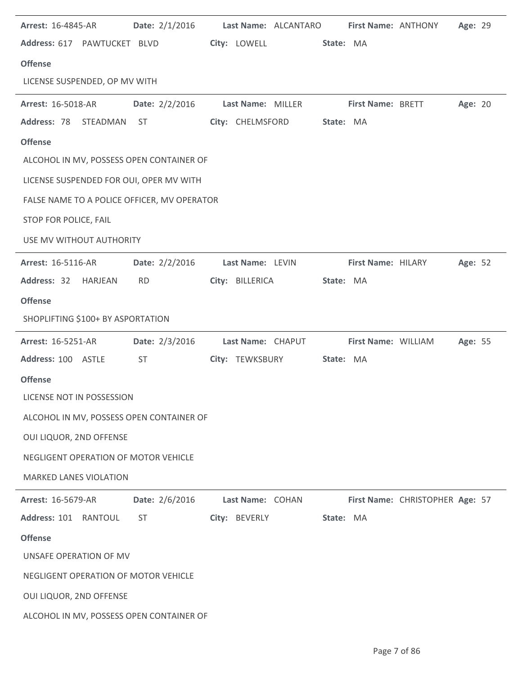| <b>Arrest: 16-4845-AR</b>                   | <b>Date:</b> 2/1/2016 |                   | Last Name: ALCANTARO | First Name: ANTHONY |                                 | Age: 29 |  |
|---------------------------------------------|-----------------------|-------------------|----------------------|---------------------|---------------------------------|---------|--|
| Address: 617 PAWTUCKET BLVD                 |                       | City: LOWELL      | State: MA            |                     |                                 |         |  |
| <b>Offense</b>                              |                       |                   |                      |                     |                                 |         |  |
| LICENSE SUSPENDED, OP MV WITH               |                       |                   |                      |                     |                                 |         |  |
| <b>Arrest: 16-5018-AR</b>                   | Date: 2/2/2016        | Last Name: MILLER |                      | First Name: BRETT   |                                 | Age: 20 |  |
| Address: 78<br>STEADMAN ST                  |                       | City: CHELMSFORD  | State: MA            |                     |                                 |         |  |
| <b>Offense</b>                              |                       |                   |                      |                     |                                 |         |  |
| ALCOHOL IN MV, POSSESS OPEN CONTAINER OF    |                       |                   |                      |                     |                                 |         |  |
| LICENSE SUSPENDED FOR OUI, OPER MV WITH     |                       |                   |                      |                     |                                 |         |  |
| FALSE NAME TO A POLICE OFFICER, MV OPERATOR |                       |                   |                      |                     |                                 |         |  |
| STOP FOR POLICE, FAIL                       |                       |                   |                      |                     |                                 |         |  |
| USE MV WITHOUT AUTHORITY                    |                       |                   |                      |                     |                                 |         |  |
| <b>Arrest: 16-5116-AR</b>                   | Date: $2/2/2016$      | Last Name: LEVIN  |                      | First Name: HILARY  |                                 | Age: 52 |  |
| Address: 32 HARJEAN                         | <b>RD</b>             | City: BILLERICA   | State: MA            |                     |                                 |         |  |
| <b>Offense</b>                              |                       |                   |                      |                     |                                 |         |  |
| SHOPLIFTING \$100+ BY ASPORTATION           |                       |                   |                      |                     |                                 |         |  |
|                                             |                       |                   |                      |                     |                                 |         |  |
| <b>Arrest: 16-5251-AR</b>                   | Date: 2/3/2016        | Last Name: CHAPUT |                      | First Name: WILLIAM |                                 | Age: 55 |  |
| Address: 100 ASTLE                          | <b>ST</b>             | City: TEWKSBURY   | State: MA            |                     |                                 |         |  |
| <b>Offense</b>                              |                       |                   |                      |                     |                                 |         |  |
| LICENSE NOT IN POSSESSION                   |                       |                   |                      |                     |                                 |         |  |
| ALCOHOL IN MV, POSSESS OPEN CONTAINER OF    |                       |                   |                      |                     |                                 |         |  |
| OUI LIQUOR, 2ND OFFENSE                     |                       |                   |                      |                     |                                 |         |  |
| NEGLIGENT OPERATION OF MOTOR VEHICLE        |                       |                   |                      |                     |                                 |         |  |
| <b>MARKED LANES VIOLATION</b>               |                       |                   |                      |                     |                                 |         |  |
| <b>Arrest: 16-5679-AR</b>                   | Date: 2/6/2016        | Last Name: COHAN  |                      |                     | First Name: CHRISTOPHER Age: 57 |         |  |
| Address: 101 RANTOUL                        | <b>ST</b>             | City: BEVERLY     | State: MA            |                     |                                 |         |  |
| <b>Offense</b>                              |                       |                   |                      |                     |                                 |         |  |
| UNSAFE OPERATION OF MV                      |                       |                   |                      |                     |                                 |         |  |
| NEGLIGENT OPERATION OF MOTOR VEHICLE        |                       |                   |                      |                     |                                 |         |  |
| OUI LIQUOR, 2ND OFFENSE                     |                       |                   |                      |                     |                                 |         |  |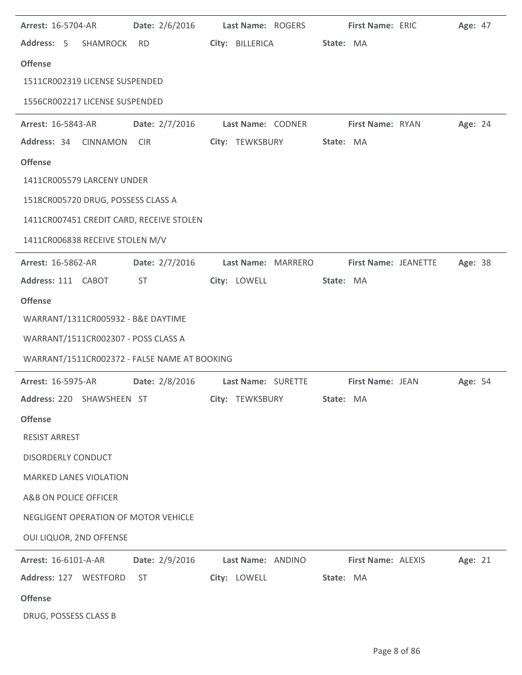| <b>Arrest: 16-5704-AR</b>                    | Date: 2/6/2016 | Last Name: ROGERS  |           | <b>First Name: ERIC</b> | Age: 47 |  |
|----------------------------------------------|----------------|--------------------|-----------|-------------------------|---------|--|
| Address: 5 SHAMROCK                          | RD             | City: BILLERICA    | State: MA |                         |         |  |
| <b>Offense</b>                               |                |                    |           |                         |         |  |
| 1511CR002319 LICENSE SUSPENDED               |                |                    |           |                         |         |  |
| 1556CR002217 LICENSE SUSPENDED               |                |                    |           |                         |         |  |
| <b>Arrest: 16-5843-AR</b>                    | Date: 2/7/2016 | Last Name: CODNER  |           | First Name: RYAN        | Age: 24 |  |
| Address: 34<br><b>CINNAMON</b>               | <b>CIR</b>     | City: TEWKSBURY    | State: MA |                         |         |  |
| <b>Offense</b>                               |                |                    |           |                         |         |  |
| 1411CR005579 LARCENY UNDER                   |                |                    |           |                         |         |  |
| 1518CR005720 DRUG, POSSESS CLASS A           |                |                    |           |                         |         |  |
| 1411CR007451 CREDIT CARD, RECEIVE STOLEN     |                |                    |           |                         |         |  |
| 1411CR006838 RECEIVE STOLEN M/V              |                |                    |           |                         |         |  |
| <b>Arrest: 16-5862-AR</b>                    | Date: 2/7/2016 | Last Name: MARRERO |           | First Name: JEANETTE    | Age: 38 |  |
| Address: 111 CABOT                           | ST             | City: LOWELL       | State: MA |                         |         |  |
| <b>Offense</b>                               |                |                    |           |                         |         |  |
| WARRANT/1311CR005932 - B&E DAYTIME           |                |                    |           |                         |         |  |
| WARRANT/1511CR002307 - POSS CLASS A          |                |                    |           |                         |         |  |
| WARRANT/1511CR002372 - FALSE NAME AT BOOKING |                |                    |           |                         |         |  |
| <b>Arrest: 16-5975-AR</b>                    | Date: 2/8/2016 | Last Name: SURETTE |           | First Name: JEAN        | Age: 54 |  |
| Address: 220 SHAWSHEEN ST                    |                | City: TEWKSBURY    | State: MA |                         |         |  |
| <b>Offense</b>                               |                |                    |           |                         |         |  |
| <b>RESIST ARREST</b>                         |                |                    |           |                         |         |  |
| DISORDERLY CONDUCT                           |                |                    |           |                         |         |  |
| <b>MARKED LANES VIOLATION</b>                |                |                    |           |                         |         |  |
| A&B ON POLICE OFFICER                        |                |                    |           |                         |         |  |
| NEGLIGENT OPERATION OF MOTOR VEHICLE         |                |                    |           |                         |         |  |
| OUI LIQUOR, 2ND OFFENSE                      |                |                    |           |                         |         |  |
| Arrest: 16-6101-A-AR                         | Date: 2/9/2016 | Last Name: ANDINO  |           | First Name: ALEXIS      | Age: 21 |  |
| Address: 127 WESTFORD                        | ST             | City: LOWELL       | State: MA |                         |         |  |
| <b>Offense</b>                               |                |                    |           |                         |         |  |
| DRUG, POSSESS CLASS B                        |                |                    |           |                         |         |  |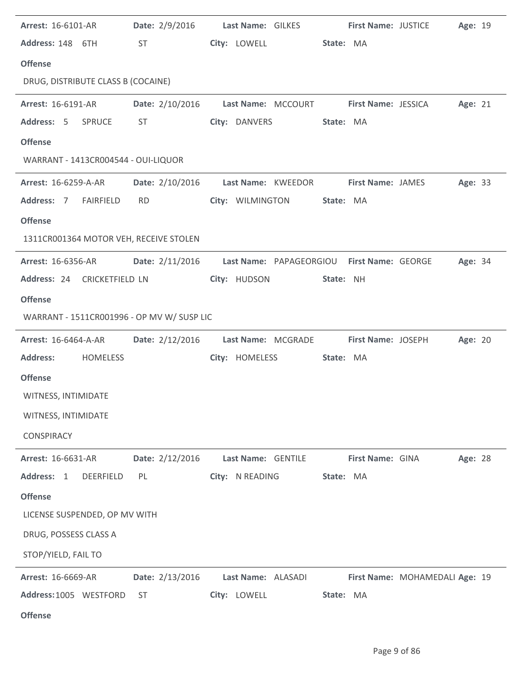| <b>Arrest: 16-6101-AR</b>                  |                                                                                                                                                                                                                                | Date: 2/9/2016 Last Name: GILKES First Name: JUSTICE         |                  | Age: 19                        |
|--------------------------------------------|--------------------------------------------------------------------------------------------------------------------------------------------------------------------------------------------------------------------------------|--------------------------------------------------------------|------------------|--------------------------------|
| Address: 148 6TH                           | ST and the state of the state of the state of the state of the state of the state of the state of the state of the state of the state of the state of the state of the state of the state of the state of the state of the sta | City: LOWELL                                                 | State: MA        |                                |
| <b>Offense</b>                             |                                                                                                                                                                                                                                |                                                              |                  |                                |
| DRUG, DISTRIBUTE CLASS B (COCAINE)         |                                                                                                                                                                                                                                |                                                              |                  |                                |
| <b>Arrest: 16-6191-AR</b>                  |                                                                                                                                                                                                                                | Date: 2/10/2016    Last Name: MCCOURT    First Name: JESSICA |                  | Age: 21                        |
| Address: 5 SPRUCE                          | ST and the state of the state of the state of the state of the state of the state of the state of the state of the state of the state of the state of the state of the state of the state of the state of the state of the sta | City: DANVERS                                                | State: MA        |                                |
| <b>Offense</b>                             |                                                                                                                                                                                                                                |                                                              |                  |                                |
| WARRANT - 1413CR004544 - OUI-LIQUOR        |                                                                                                                                                                                                                                |                                                              |                  |                                |
| <b>Arrest: 16-6259-A-AR</b>                |                                                                                                                                                                                                                                | Date: 2/10/2016 Last Name: KWEEDOR First Name: JAMES         |                  | Age: 33                        |
| Address: 7 FAIRFIELD                       | <b>RD</b>                                                                                                                                                                                                                      | City: WILMINGTON                                             | State: MA        |                                |
| <b>Offense</b>                             |                                                                                                                                                                                                                                |                                                              |                  |                                |
| 1311CR001364 MOTOR VEH, RECEIVE STOLEN     |                                                                                                                                                                                                                                |                                                              |                  |                                |
| <b>Arrest: 16-6356-AR</b>                  |                                                                                                                                                                                                                                | Date: 2/11/2016 Last Name: PAPAGEORGIOU First Name: GEORGE   |                  | <b>Age: 34</b>                 |
| Address: 24 CRICKETFIELD LN                |                                                                                                                                                                                                                                | City: HUDSON                                                 | State: NH        |                                |
| <b>Offense</b>                             |                                                                                                                                                                                                                                |                                                              |                  |                                |
| WARRANT - 1511CR001996 - OP MV W/ SUSP LIC |                                                                                                                                                                                                                                |                                                              |                  |                                |
| <b>Arrest: 16-6464-A-AR</b>                |                                                                                                                                                                                                                                | Date: 2/12/2016 Last Name: MCGRADE First Name: JOSEPH        |                  | Age: 20                        |
| <b>Address:</b><br><b>HOMELESS</b>         |                                                                                                                                                                                                                                | City: HOMELESS                                               | State: MA        |                                |
| <b>Offense</b>                             |                                                                                                                                                                                                                                |                                                              |                  |                                |
| WITNESS, INTIMIDATE                        |                                                                                                                                                                                                                                |                                                              |                  |                                |
| WITNESS, INTIMIDATE                        |                                                                                                                                                                                                                                |                                                              |                  |                                |
| <b>CONSPIRACY</b>                          |                                                                                                                                                                                                                                |                                                              |                  |                                |
| Arrest: 16-6631-AR                         | Date: 2/12/2016                                                                                                                                                                                                                | Last Name: GENTILE                                           | First Name: GINA | Age: 28                        |
| Address: 1<br><b>DEERFIELD</b>             | PL                                                                                                                                                                                                                             | City: N READING                                              | State: MA        |                                |
| <b>Offense</b>                             |                                                                                                                                                                                                                                |                                                              |                  |                                |
| LICENSE SUSPENDED, OP MV WITH              |                                                                                                                                                                                                                                |                                                              |                  |                                |
| DRUG, POSSESS CLASS A                      |                                                                                                                                                                                                                                |                                                              |                  |                                |
| STOP/YIELD, FAIL TO                        |                                                                                                                                                                                                                                |                                                              |                  |                                |
| Arrest: 16-6669-AR                         | Date: 2/13/2016                                                                                                                                                                                                                | Last Name: ALASADI                                           |                  | First Name: MOHAMEDALI Age: 19 |
| Address: 1005 WESTFORD                     | <b>ST</b>                                                                                                                                                                                                                      | City: LOWELL                                                 | State: MA        |                                |
| <b>Offense</b>                             |                                                                                                                                                                                                                                |                                                              |                  |                                |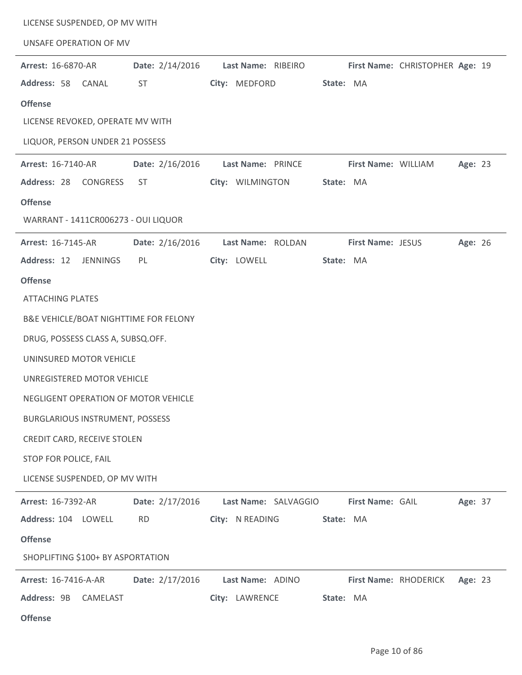| LICENSE SUSPENDED, OP MV WITH          |                 |                      |                                 |         |
|----------------------------------------|-----------------|----------------------|---------------------------------|---------|
| UNSAFE OPERATION OF MV                 |                 |                      |                                 |         |
| <b>Arrest: 16-6870-AR</b>              | Date: 2/14/2016 | Last Name: RIBEIRO   | First Name: CHRISTOPHER Age: 19 |         |
| Address: 58<br>CANAL                   | <b>ST</b>       | City: MEDFORD        | State: MA                       |         |
| <b>Offense</b>                         |                 |                      |                                 |         |
| LICENSE REVOKED, OPERATE MV WITH       |                 |                      |                                 |         |
| LIQUOR, PERSON UNDER 21 POSSESS        |                 |                      |                                 |         |
| Arrest: 16-7140-AR                     | Date: 2/16/2016 | Last Name: PRINCE    | First Name: WILLIAM             | Age: 23 |
| Address: 28 CONGRESS                   | ST              | City: WILMINGTON     | State: MA                       |         |
| <b>Offense</b>                         |                 |                      |                                 |         |
| WARRANT - 1411CR006273 - OUI LIQUOR    |                 |                      |                                 |         |
| Arrest: 16-7145-AR                     | Date: 2/16/2016 | Last Name: ROLDAN    | First Name: JESUS               | Age: 26 |
| Address: 12<br><b>JENNINGS</b>         | PL              | City: LOWELL         | State: MA                       |         |
| <b>Offense</b>                         |                 |                      |                                 |         |
| <b>ATTACHING PLATES</b>                |                 |                      |                                 |         |
| B&E VEHICLE/BOAT NIGHTTIME FOR FELONY  |                 |                      |                                 |         |
| DRUG, POSSESS CLASS A, SUBSQ.OFF.      |                 |                      |                                 |         |
| UNINSURED MOTOR VEHICLE                |                 |                      |                                 |         |
| UNREGISTERED MOTOR VEHICLE             |                 |                      |                                 |         |
| NEGLIGENT OPERATION OF MOTOR VEHICLE   |                 |                      |                                 |         |
| <b>BURGLARIOUS INSTRUMENT, POSSESS</b> |                 |                      |                                 |         |
| CREDIT CARD, RECEIVE STOLEN            |                 |                      |                                 |         |
| STOP FOR POLICE, FAIL                  |                 |                      |                                 |         |
| LICENSE SUSPENDED, OP MV WITH          |                 |                      |                                 |         |
| Arrest: 16-7392-AR                     | Date: 2/17/2016 | Last Name: SALVAGGIO | First Name: GAIL                | Age: 37 |
| Address: 104 LOWELL                    | <b>RD</b>       | City: N READING      | State: MA                       |         |
| <b>Offense</b>                         |                 |                      |                                 |         |
| SHOPLIFTING \$100+ BY ASPORTATION      |                 |                      |                                 |         |
| Arrest: 16-7416-A-AR                   | Date: 2/17/2016 | Last Name: ADINO     | First Name: RHODERICK           | Age: 23 |
| Address: 9B<br>CAMELAST                |                 | City: LAWRENCE       | State: MA                       |         |
| <b>Offense</b>                         |                 |                      |                                 |         |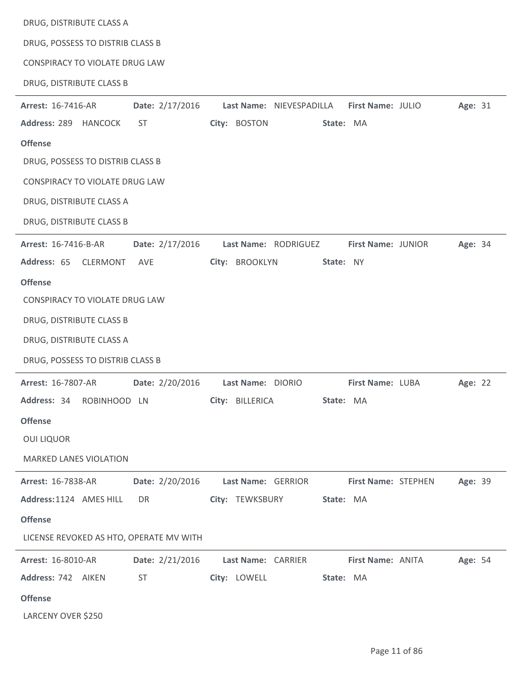| DRUG, DISTRIBUTE CLASS A                     |                                               |         |
|----------------------------------------------|-----------------------------------------------|---------|
| DRUG, POSSESS TO DISTRIB CLASS B             |                                               |         |
| CONSPIRACY TO VIOLATE DRUG LAW               |                                               |         |
| DRUG, DISTRIBUTE CLASS B                     |                                               |         |
| Date: 2/17/2016<br>Arrest: 16-7416-AR        | Last Name: NIEVESPADILLA<br>First Name: JULIO | Age: 31 |
| Address: 289 HANCOCK<br><b>ST</b>            | City: BOSTON<br>State: MA                     |         |
| <b>Offense</b>                               |                                               |         |
| DRUG, POSSESS TO DISTRIB CLASS B             |                                               |         |
| CONSPIRACY TO VIOLATE DRUG LAW               |                                               |         |
| DRUG, DISTRIBUTE CLASS A                     |                                               |         |
| DRUG, DISTRIBUTE CLASS B                     |                                               |         |
| Arrest: 16-7416-B-AR<br>Date: 2/17/2016      | Last Name: RODRIGUEZ<br>First Name: JUNIOR    | Age: 34 |
| Address: 65<br><b>CLERMONT</b><br>AVE        | City: BROOKLYN<br>State: NY                   |         |
| <b>Offense</b>                               |                                               |         |
| CONSPIRACY TO VIOLATE DRUG LAW               |                                               |         |
| DRUG, DISTRIBUTE CLASS B                     |                                               |         |
| DRUG, DISTRIBUTE CLASS A                     |                                               |         |
| DRUG, POSSESS TO DISTRIB CLASS B             |                                               |         |
| Date: 2/20/2016<br><b>Arrest: 16-7807-AR</b> | Last Name: DIORIO<br>First Name: LUBA         | Age: 22 |
| Address: 34 ROBINHOOD LN                     | City: BILLERICA<br>State: MA                  |         |
| <b>Offense</b>                               |                                               |         |
| <b>OUI LIQUOR</b>                            |                                               |         |
| <b>MARKED LANES VIOLATION</b>                |                                               |         |
| Date: 2/20/2016<br><b>Arrest: 16-7838-AR</b> | Last Name: GERRIOR<br>First Name: STEPHEN     | Age: 39 |
| Address: 1124 AMES HILL<br>DR                | City: TEWKSBURY<br>State: MA                  |         |
| <b>Offense</b>                               |                                               |         |
| LICENSE REVOKED AS HTO, OPERATE MV WITH      |                                               |         |
| Arrest: 16-8010-AR<br>Date: 2/21/2016        | First Name: ANITA<br>Last Name: CARRIER       | Age: 54 |
| Address: 742 AIKEN<br><b>ST</b>              | City: LOWELL<br>State: MA                     |         |
| <b>Offense</b>                               |                                               |         |
| LARCENY OVER \$250                           |                                               |         |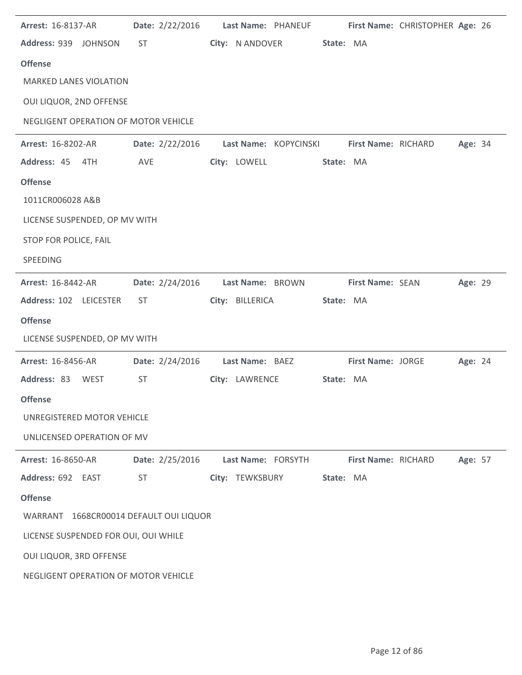| <b>Arrest: 16-8137-AR</b>              | Date: 2/22/2016 | Last Name: PHANEUF                    |           |                          | First Name: CHRISTOPHER Age: 26 |         |  |
|----------------------------------------|-----------------|---------------------------------------|-----------|--------------------------|---------------------------------|---------|--|
| Address: 939 JOHNSON                   | <b>ST</b>       | City: N ANDOVER                       | State: MA |                          |                                 |         |  |
| <b>Offense</b>                         |                 |                                       |           |                          |                                 |         |  |
| <b>MARKED LANES VIOLATION</b>          |                 |                                       |           |                          |                                 |         |  |
| OUI LIQUOR, 2ND OFFENSE                |                 |                                       |           |                          |                                 |         |  |
| NEGLIGENT OPERATION OF MOTOR VEHICLE   |                 |                                       |           |                          |                                 |         |  |
| <b>Arrest: 16-8202-AR</b>              |                 | Date: 2/22/2016 Last Name: KOPYCINSKI |           | First Name: RICHARD      |                                 | Age: 34 |  |
| Address: 45 4TH                        | AVE             | City: LOWELL                          | State: MA |                          |                                 |         |  |
| <b>Offense</b>                         |                 |                                       |           |                          |                                 |         |  |
| 1011CR006028 A&B                       |                 |                                       |           |                          |                                 |         |  |
| LICENSE SUSPENDED, OP MV WITH          |                 |                                       |           |                          |                                 |         |  |
| STOP FOR POLICE, FAIL                  |                 |                                       |           |                          |                                 |         |  |
| SPEEDING                               |                 |                                       |           |                          |                                 |         |  |
| Arrest: 16-8442-AR                     | Date: 2/24/2016 | Last Name: BROWN                      |           | First Name: SEAN         |                                 | Age: 29 |  |
| Address: 102 LEICESTER                 | ST.             | City: BILLERICA                       | State: MA |                          |                                 |         |  |
| <b>Offense</b>                         |                 |                                       |           |                          |                                 |         |  |
| LICENSE SUSPENDED, OP MV WITH          |                 |                                       |           |                          |                                 |         |  |
| <b>Arrest: 16-8456-AR</b>              | Date: 2/24/2016 | Last Name: BAEZ                       |           | <b>First Name: JORGE</b> |                                 | Age: 24 |  |
| Address: 83<br><b>WEST</b>             | <b>ST</b>       | City: LAWRENCE                        | State: MA |                          |                                 |         |  |
| <b>Offense</b>                         |                 |                                       |           |                          |                                 |         |  |
| UNREGISTERED MOTOR VEHICLE             |                 |                                       |           |                          |                                 |         |  |
| UNLICENSED OPERATION OF MV             |                 |                                       |           |                          |                                 |         |  |
| <b>Arrest: 16-8650-AR</b>              | Date: 2/25/2016 | Last Name: FORSYTH                    |           | First Name: RICHARD      |                                 | Age: 57 |  |
| Address: 692 EAST                      | <b>ST</b>       | City: TEWKSBURY                       | State: MA |                          |                                 |         |  |
| <b>Offense</b>                         |                 |                                       |           |                          |                                 |         |  |
| WARRANT 1668CR00014 DEFAULT OUI LIQUOR |                 |                                       |           |                          |                                 |         |  |
| LICENSE SUSPENDED FOR OUI, OUI WHILE   |                 |                                       |           |                          |                                 |         |  |
| OUI LIQUOR, 3RD OFFENSE                |                 |                                       |           |                          |                                 |         |  |
| NEGLIGENT OPERATION OF MOTOR VEHICLE   |                 |                                       |           |                          |                                 |         |  |
|                                        |                 |                                       |           |                          |                                 |         |  |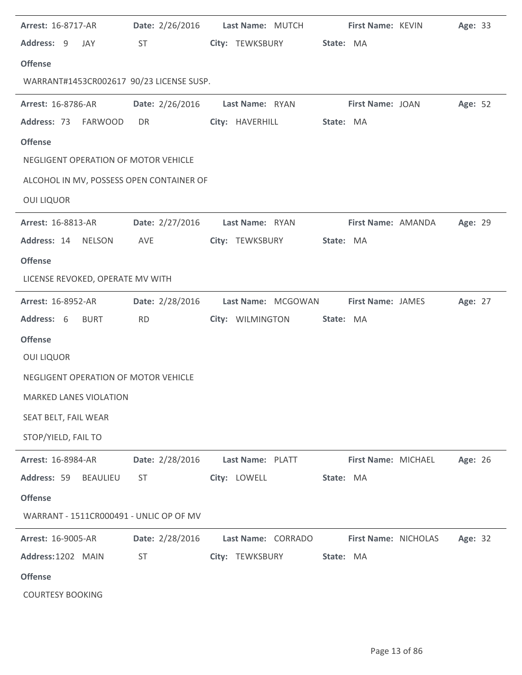| Arrest: 16-8717-AR                       | Date: 2/26/2016 | Last Name: MUTCH   |           | First Name: KEVIN        | Age: 33 |
|------------------------------------------|-----------------|--------------------|-----------|--------------------------|---------|
| Address: 9<br>JAY                        | <b>ST</b>       | City: TEWKSBURY    | State: MA |                          |         |
| <b>Offense</b>                           |                 |                    |           |                          |         |
| WARRANT#1453CR002617 90/23 LICENSE SUSP. |                 |                    |           |                          |         |
| <b>Arrest: 16-8786-AR</b>                | Date: 2/26/2016 | Last Name: RYAN    |           | First Name: JOAN         | Age: 52 |
| Address: 73<br>FARWOOD                   | DR              | City: HAVERHILL    | State: MA |                          |         |
| <b>Offense</b>                           |                 |                    |           |                          |         |
| NEGLIGENT OPERATION OF MOTOR VEHICLE     |                 |                    |           |                          |         |
| ALCOHOL IN MV, POSSESS OPEN CONTAINER OF |                 |                    |           |                          |         |
| <b>OUI LIQUOR</b>                        |                 |                    |           |                          |         |
| <b>Arrest: 16-8813-AR</b>                | Date: 2/27/2016 | Last Name: RYAN    |           | First Name: AMANDA       | Age: 29 |
| Address: 14<br><b>NELSON</b>             | AVE             | City: TEWKSBURY    | State: MA |                          |         |
| <b>Offense</b>                           |                 |                    |           |                          |         |
| LICENSE REVOKED, OPERATE MV WITH         |                 |                    |           |                          |         |
| <b>Arrest: 16-8952-AR</b>                | Date: 2/28/2016 | Last Name: MCGOWAN |           | <b>First Name: JAMES</b> | Age: 27 |
| Address: 6<br><b>BURT</b>                | <b>RD</b>       | City: WILMINGTON   | State: MA |                          |         |
| <b>Offense</b>                           |                 |                    |           |                          |         |
| <b>OUI LIQUOR</b>                        |                 |                    |           |                          |         |
|                                          |                 |                    |           |                          |         |
| NEGLIGENT OPERATION OF MOTOR VEHICLE     |                 |                    |           |                          |         |
| MARKED LANES VIOLATION                   |                 |                    |           |                          |         |
| SEAT BELT, FAIL WEAR                     |                 |                    |           |                          |         |
| STOP/YIELD, FAIL TO                      |                 |                    |           |                          |         |
| Arrest: 16-8984-AR                       | Date: 2/28/2016 | Last Name: PLATT   |           | First Name: MICHAEL      | Age: 26 |
| Address: 59<br><b>BEAULIEU</b>           | <b>ST</b>       | City: LOWELL       | State: MA |                          |         |
| <b>Offense</b>                           |                 |                    |           |                          |         |
| WARRANT - 1511CR000491 - UNLIC OP OF MV  |                 |                    |           |                          |         |
| Arrest: 16-9005-AR                       | Date: 2/28/2016 | Last Name: CORRADO |           | First Name: NICHOLAS     | Age: 32 |
| Address: 1202 MAIN                       | <b>ST</b>       | City: TEWKSBURY    | State: MA |                          |         |
| <b>Offense</b>                           |                 |                    |           |                          |         |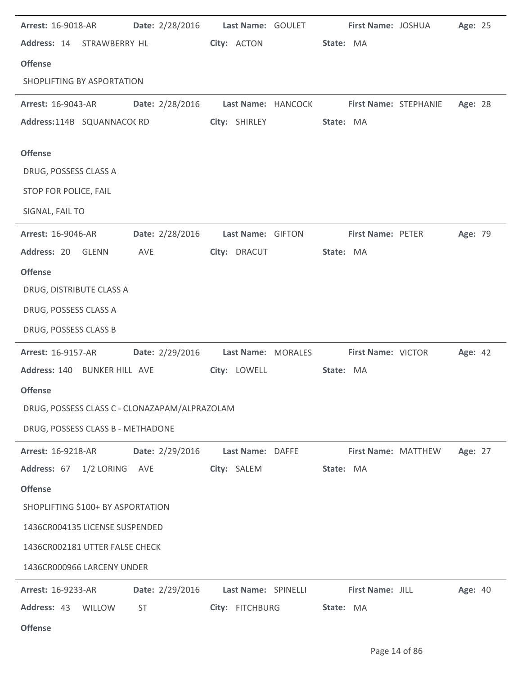| <b>Arrest: 16-9018-AR</b>                     | Date: 2/28/2016    Last Name: GOULET |                     |           |                          | First Name: JOSHUA                       | Age: 25 |  |
|-----------------------------------------------|--------------------------------------|---------------------|-----------|--------------------------|------------------------------------------|---------|--|
| Address: 14 STRAWBERRY HL                     |                                      | City: ACTON         | State: MA |                          |                                          |         |  |
| <b>Offense</b>                                |                                      |                     |           |                          |                                          |         |  |
| SHOPLIFTING BY ASPORTATION                    |                                      |                     |           |                          |                                          |         |  |
| <b>Arrest: 16-9043-AR</b>                     | Date: 2/28/2016                      |                     |           |                          | Last Name: HANCOCK First Name: STEPHANIE | Age: 28 |  |
| Address:114B SQUANNACO(RD                     |                                      | City: SHIRLEY       | State: MA |                          |                                          |         |  |
| <b>Offense</b>                                |                                      |                     |           |                          |                                          |         |  |
| DRUG, POSSESS CLASS A                         |                                      |                     |           |                          |                                          |         |  |
| STOP FOR POLICE, FAIL                         |                                      |                     |           |                          |                                          |         |  |
| SIGNAL, FAIL TO                               |                                      |                     |           |                          |                                          |         |  |
| <b>Arrest: 16-9046-AR</b>                     | Date: 2/28/2016                      | Last Name: GIFTON   |           | <b>First Name: PETER</b> |                                          | Age: 79 |  |
| Address: 20 GLENN                             | AVE                                  | City: DRACUT        | State: MA |                          |                                          |         |  |
| <b>Offense</b>                                |                                      |                     |           |                          |                                          |         |  |
| DRUG, DISTRIBUTE CLASS A                      |                                      |                     |           |                          |                                          |         |  |
| DRUG, POSSESS CLASS A                         |                                      |                     |           |                          |                                          |         |  |
| DRUG, POSSESS CLASS B                         |                                      |                     |           |                          |                                          |         |  |
| <b>Arrest: 16-9157-AR</b>                     | Date: 2/29/2016 Last Name: MORALES   |                     |           | First Name: VICTOR       |                                          | Age: 42 |  |
| Address: 140 BUNKER HILL AVE                  |                                      | City: LOWELL        | State: MA |                          |                                          |         |  |
| <b>Offense</b>                                |                                      |                     |           |                          |                                          |         |  |
| DRUG, POSSESS CLASS C - CLONAZAPAM/ALPRAZOLAM |                                      |                     |           |                          |                                          |         |  |
| DRUG, POSSESS CLASS B - METHADONE             |                                      |                     |           |                          |                                          |         |  |
| Arrest: 16-9218-AR                            | Date: 2/29/2016                      | Last Name: DAFFE    |           | First Name: MATTHEW      |                                          | Age: 27 |  |
| Address: 67<br>1/2 LORING                     | AVE                                  | City: SALEM         | State: MA |                          |                                          |         |  |
| <b>Offense</b>                                |                                      |                     |           |                          |                                          |         |  |
| SHOPLIFTING \$100+ BY ASPORTATION             |                                      |                     |           |                          |                                          |         |  |
| 1436CR004135 LICENSE SUSPENDED                |                                      |                     |           |                          |                                          |         |  |
| 1436CR002181 UTTER FALSE CHECK                |                                      |                     |           |                          |                                          |         |  |
| 1436CR000966 LARCENY UNDER                    |                                      |                     |           |                          |                                          |         |  |
| Arrest: 16-9233-AR                            | Date: 2/29/2016                      | Last Name: SPINELLI |           | First Name: JILL         |                                          | Age: 40 |  |
| Address: 43<br>WILLOW                         | <b>ST</b>                            | City: FITCHBURG     | State: MA |                          |                                          |         |  |

**Offense**

÷.

÷.

J.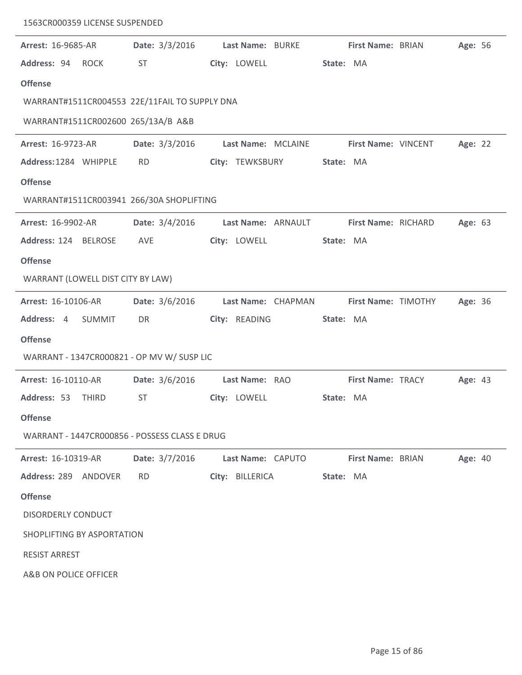| 1563CR000359 LICENSE SUSPENDED                |                |                    |                          |         |
|-----------------------------------------------|----------------|--------------------|--------------------------|---------|
| <b>Arrest: 16-9685-AR</b>                     | Date: 3/3/2016 | Last Name: BURKE   | First Name: BRIAN        | Age: 56 |
| Address: 94 ROCK                              | ST             | City: LOWELL       | State: MA                |         |
| <b>Offense</b>                                |                |                    |                          |         |
| WARRANT#1511CR004553 22E/11FAIL TO SUPPLY DNA |                |                    |                          |         |
| WARRANT#1511CR002600 265/13A/B A&B            |                |                    |                          |         |
| Arrest: 16-9723-AR                            | Date: 3/3/2016 | Last Name: MCLAINE | First Name: VINCENT      | Age: 22 |
| Address: 1284 WHIPPLE                         | <b>RD</b>      | City: TEWKSBURY    | State: MA                |         |
| <b>Offense</b>                                |                |                    |                          |         |
| WARRANT#1511CR003941 266/30A SHOPLIFTING      |                |                    |                          |         |
| <b>Arrest: 16-9902-AR</b>                     | Date: 3/4/2016 | Last Name: ARNAULT | First Name: RICHARD      | Age: 63 |
| Address: 124 BELROSE                          | AVE            | City: LOWELL       | State: MA                |         |
| <b>Offense</b>                                |                |                    |                          |         |
| WARRANT (LOWELL DIST CITY BY LAW)             |                |                    |                          |         |
| Arrest: 16-10106-AR                           | Date: 3/6/2016 | Last Name: CHAPMAN | First Name: TIMOTHY      | Age: 36 |
| Address: 4<br>SUMMIT                          | DR             | City: READING      | State: MA                |         |
| <b>Offense</b>                                |                |                    |                          |         |
| WARRANT - 1347CR000821 - OP MV W/ SUSP LIC    |                |                    |                          |         |
| Arrest: 16-10110-AR                           | Date: 3/6/2016 | Last Name: RAO     | <b>First Name: TRACY</b> | Age: 43 |
| Address: 53 THIRD                             | ST             | City: LOWELL       | State: MA                |         |
| <b>Offense</b>                                |                |                    |                          |         |
| WARRANT - 1447CR000856 - POSSESS CLASS E DRUG |                |                    |                          |         |
| <b>Arrest: 16-10319-AR</b>                    | Date: 3/7/2016 | Last Name: CAPUTO  | <b>First Name: BRIAN</b> | Age: 40 |
| Address: 289 ANDOVER                          | <b>RD</b>      | City: BILLERICA    | State: MA                |         |
| <b>Offense</b>                                |                |                    |                          |         |
| <b>DISORDERLY CONDUCT</b>                     |                |                    |                          |         |
| SHOPLIFTING BY ASPORTATION                    |                |                    |                          |         |
| <b>RESIST ARREST</b>                          |                |                    |                          |         |
| A&B ON POLICE OFFICER                         |                |                    |                          |         |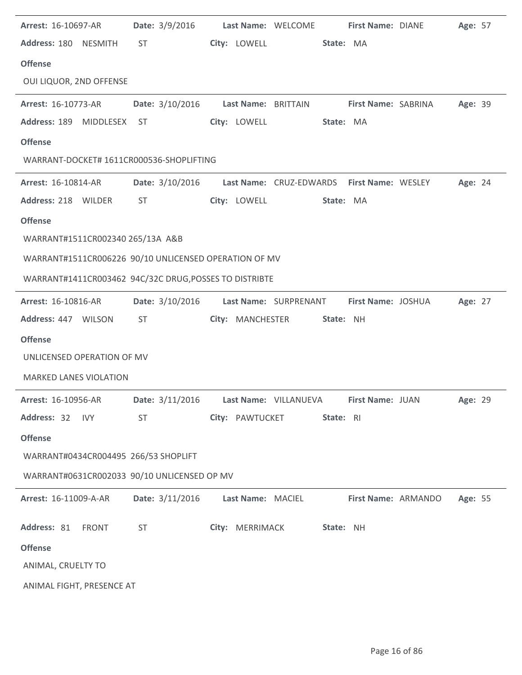| Arrest: 16-10697-AR                                                                | <b>Date:</b> $3/9/2016$ |                   | Last Name: WELCOME                                         | First Name: DIANE   | Age: 57 |  |
|------------------------------------------------------------------------------------|-------------------------|-------------------|------------------------------------------------------------|---------------------|---------|--|
| Address: 180 NESMITH                                                               | ST                      | City: LOWELL      | State: MA                                                  |                     |         |  |
| <b>Offense</b>                                                                     |                         |                   |                                                            |                     |         |  |
| OUI LIQUOR, 2ND OFFENSE                                                            |                         |                   |                                                            |                     |         |  |
| <b>Arrest: 16-10773-AR</b>                                                         |                         |                   | Date: 3/10/2016 Last Name: BRITTAIN First Name: SABRINA    |                     | Age: 39 |  |
| Address: 189<br>MIDDLESEX ST                                                       |                         | City: LOWELL      | State: MA                                                  |                     |         |  |
| <b>Offense</b>                                                                     |                         |                   |                                                            |                     |         |  |
| WARRANT-DOCKET# 1611CR000536-SHOPLIFTING                                           |                         |                   |                                                            |                     |         |  |
| Arrest: 16-10814-AR                                                                |                         |                   | Date: 3/10/2016 Last Name: CRUZ-EDWARDS First Name: WESLEY |                     | Age: 24 |  |
| Address: 218 WILDER                                                                | <b>ST</b>               | City: LOWELL      | State: MA                                                  |                     |         |  |
| <b>Offense</b>                                                                     |                         |                   |                                                            |                     |         |  |
| WARRANT#1511CR002340 265/13A A&B                                                   |                         |                   |                                                            |                     |         |  |
| WARRANT#1511CR006226 90/10 UNLICENSED OPERATION OF MV                              |                         |                   |                                                            |                     |         |  |
| WARRANT#1411CR003462 94C/32C DRUG, POSSES TO DISTRIBTE                             |                         |                   |                                                            |                     |         |  |
| Arrest: 16-10816-AR                                                                | Date: 3/10/2016         |                   | Last Name: SURPRENANT                                      | First Name: JOSHUA  | Age: 27 |  |
| Address: 447 WILSON                                                                | <b>ST</b>               | City: MANCHESTER  | State: NH                                                  |                     |         |  |
| <b>Offense</b>                                                                     |                         |                   |                                                            |                     |         |  |
| UNLICENSED OPERATION OF MV                                                         |                         |                   |                                                            |                     |         |  |
| <b>MARKED LANES VIOLATION</b>                                                      |                         |                   |                                                            |                     |         |  |
| Arrest: 16-10956-AR Date: 3/11/2016 Last Name: VILLANUEVA First Name: JUAN Age: 29 |                         |                   |                                                            |                     |         |  |
| Address: 32 IVY                                                                    | <b>ST</b>               | City: PAWTUCKET   | State: RI                                                  |                     |         |  |
| <b>Offense</b>                                                                     |                         |                   |                                                            |                     |         |  |
| WARRANT#0434CR004495 266/53 SHOPLIFT                                               |                         |                   |                                                            |                     |         |  |
| WARRANT#0631CR002033 90/10 UNLICENSED OP MV                                        |                         |                   |                                                            |                     |         |  |
| Arrest: 16-11009-A-AR                                                              | Date: 3/11/2016         | Last Name: MACIEL |                                                            | First Name: ARMANDO | Age: 55 |  |
| Address: 81 FRONT                                                                  | <b>ST</b>               | City: MERRIMACK   | State: NH                                                  |                     |         |  |
| <b>Offense</b>                                                                     |                         |                   |                                                            |                     |         |  |
| ANIMAL, CRUELTY TO                                                                 |                         |                   |                                                            |                     |         |  |
| ANIMAL FIGHT, PRESENCE AT                                                          |                         |                   |                                                            |                     |         |  |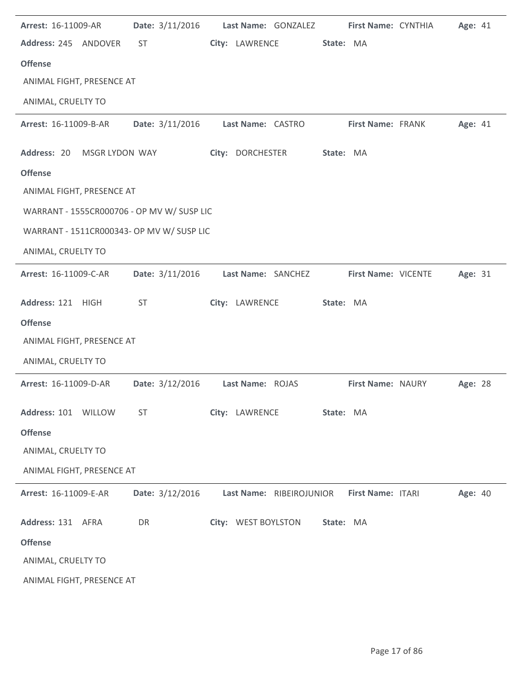| Arrest: 16-11009-AR                        | Date: 3/11/2016 | Last Name: GONZALEZ      | First Name: CYNTHIA | Age: 41 |
|--------------------------------------------|-----------------|--------------------------|---------------------|---------|
| Address: 245 ANDOVER                       | <b>ST</b>       | City: LAWRENCE           | State: MA           |         |
| <b>Offense</b>                             |                 |                          |                     |         |
| ANIMAL FIGHT, PRESENCE AT                  |                 |                          |                     |         |
| ANIMAL, CRUELTY TO                         |                 |                          |                     |         |
| Arrest: 16-11009-B-AR                      | Date: 3/11/2016 | Last Name: CASTRO        | First Name: FRANK   | Age: 41 |
| Address: 20<br>MSGR LYDON WAY              |                 | City: DORCHESTER         | State: MA           |         |
| <b>Offense</b>                             |                 |                          |                     |         |
| ANIMAL FIGHT, PRESENCE AT                  |                 |                          |                     |         |
| WARRANT - 1555CR000706 - OP MV W/ SUSP LIC |                 |                          |                     |         |
| WARRANT - 1511CR000343- OP MV W/ SUSP LIC  |                 |                          |                     |         |
| ANIMAL, CRUELTY TO                         |                 |                          |                     |         |
| Arrest: 16-11009-C-AR                      | Date: 3/11/2016 | Last Name: SANCHEZ       | First Name: VICENTE | Age: 31 |
| Address: 121 HIGH                          | <b>ST</b>       | City: LAWRENCE           | State: MA           |         |
| <b>Offense</b>                             |                 |                          |                     |         |
| ANIMAL FIGHT, PRESENCE AT                  |                 |                          |                     |         |
| ANIMAL, CRUELTY TO                         |                 |                          |                     |         |
| Arrest: 16-11009-D-AR                      | Date: 3/12/2016 | Last Name: ROJAS         | First Name: NAURY   | Age: 28 |
| Address: 101 WILLOW                        | <b>ST</b>       | City: LAWRENCE           | State: MA           |         |
| <b>Offense</b>                             |                 |                          |                     |         |
| ANIMAL, CRUELTY TO                         |                 |                          |                     |         |
| ANIMAL FIGHT, PRESENCE AT                  |                 |                          |                     |         |
| Arrest: 16-11009-E-AR                      | Date: 3/12/2016 | Last Name: RIBEIROJUNIOR | First Name: ITARI   | Age: 40 |
| Address: 131 AFRA                          | DR              | City: WEST BOYLSTON      | State: MA           |         |
| <b>Offense</b>                             |                 |                          |                     |         |
| ANIMAL, CRUELTY TO                         |                 |                          |                     |         |
| ANIMAL FIGHT, PRESENCE AT                  |                 |                          |                     |         |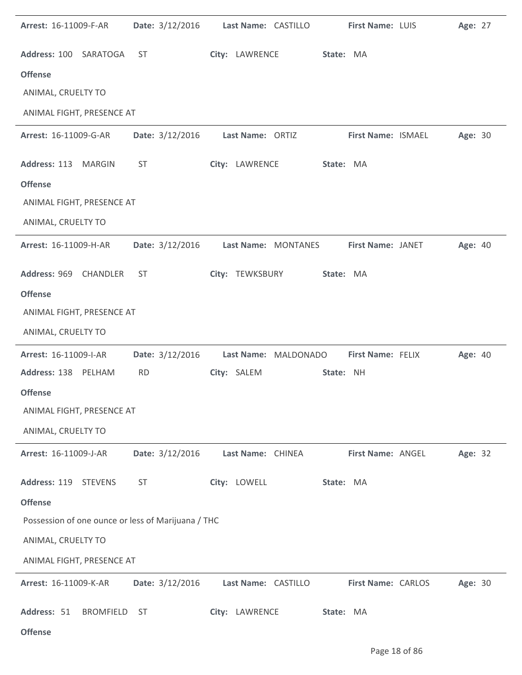| Arrest: 16-11009-F-AR                              | Date: 3/12/2016 | Last Name: CASTILLO  | First Name: LUIS   | Age: 27 |
|----------------------------------------------------|-----------------|----------------------|--------------------|---------|
| Address: 100 SARATOGA                              | <b>ST</b>       | City: LAWRENCE       | State: MA          |         |
| <b>Offense</b>                                     |                 |                      |                    |         |
| ANIMAL, CRUELTY TO                                 |                 |                      |                    |         |
| ANIMAL FIGHT, PRESENCE AT                          |                 |                      |                    |         |
| Arrest: 16-11009-G-AR                              | Date: 3/12/2016 | Last Name: ORTIZ     | First Name: ISMAEL | Age: 30 |
| Address: 113<br><b>MARGIN</b>                      | <b>ST</b>       | City: LAWRENCE       | State: MA          |         |
| <b>Offense</b>                                     |                 |                      |                    |         |
| ANIMAL FIGHT, PRESENCE AT                          |                 |                      |                    |         |
| ANIMAL, CRUELTY TO                                 |                 |                      |                    |         |
| Arrest: 16-11009-H-AR                              | Date: 3/12/2016 | Last Name: MONTANES  | First Name: JANET  | Age: 40 |
| Address: 969<br>CHANDLER                           | <b>ST</b>       | City: TEWKSBURY      | State: MA          |         |
| <b>Offense</b>                                     |                 |                      |                    |         |
| ANIMAL FIGHT, PRESENCE AT                          |                 |                      |                    |         |
| ANIMAL, CRUELTY TO                                 |                 |                      |                    |         |
| Arrest: 16-11009-I-AR                              | Date: 3/12/2016 | Last Name: MALDONADO | First Name: FELIX  | Age: 40 |
| Address: 138 PELHAM                                | <b>RD</b>       | City: SALEM          | State: NH          |         |
| <b>Offense</b>                                     |                 |                      |                    |         |
| ANIMAL FIGHT, PRESENCE AT                          |                 |                      |                    |         |
| ANIMAL, CRUELTY TO                                 |                 |                      |                    |         |
| Arrest: 16-11009-J-AR                              | Date: 3/12/2016 | Last Name: CHINEA    | First Name: ANGEL  | Age: 32 |
| Address: 119 STEVENS                               | <b>ST</b>       | City: LOWELL         | State: MA          |         |
| <b>Offense</b>                                     |                 |                      |                    |         |
| Possession of one ounce or less of Marijuana / THC |                 |                      |                    |         |
| ANIMAL, CRUELTY TO                                 |                 |                      |                    |         |
| ANIMAL FIGHT, PRESENCE AT                          |                 |                      |                    |         |
| Arrest: 16-11009-K-AR                              | Date: 3/12/2016 | Last Name: CASTILLO  | First Name: CARLOS | Age: 30 |
| Address: 51<br><b>BROMFIELD</b>                    | <b>ST</b>       | City: LAWRENCE       | State: MA          |         |
| <b>Offense</b>                                     |                 |                      |                    |         |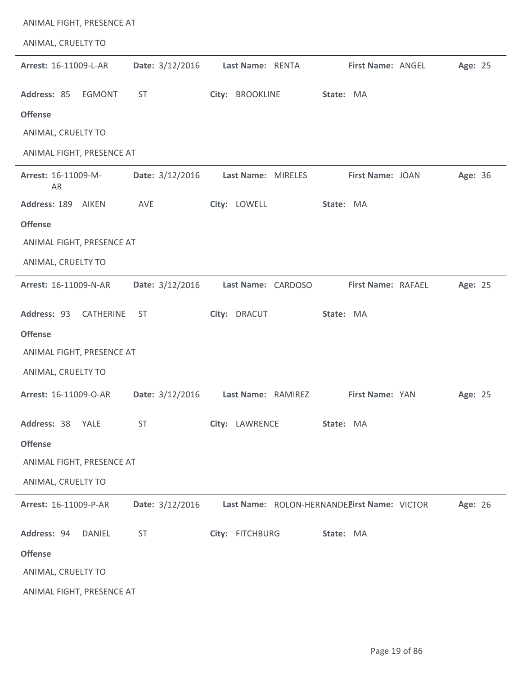| ANIMAL FIGHT, PRESENCE AT       |                 |                    |                                             |         |
|---------------------------------|-----------------|--------------------|---------------------------------------------|---------|
| ANIMAL, CRUELTY TO              |                 |                    |                                             |         |
| Arrest: 16-11009-L-AR           | Date: 3/12/2016 | Last Name: RENTA   | First Name: ANGEL                           | Age: 25 |
| Address: 85<br><b>EGMONT</b>    | <b>ST</b>       | City: BROOKLINE    | State: MA                                   |         |
| <b>Offense</b>                  |                 |                    |                                             |         |
| ANIMAL, CRUELTY TO              |                 |                    |                                             |         |
| ANIMAL FIGHT, PRESENCE AT       |                 |                    |                                             |         |
| Arrest: 16-11009-M-<br>AR       | Date: 3/12/2016 | Last Name: MIRELES | First Name: JOAN                            | Age: 36 |
| Address: 189<br>AIKEN           | AVE             | City: LOWELL       | State: MA                                   |         |
| <b>Offense</b>                  |                 |                    |                                             |         |
| ANIMAL FIGHT, PRESENCE AT       |                 |                    |                                             |         |
| ANIMAL, CRUELTY TO              |                 |                    |                                             |         |
| Arrest: 16-11009-N-AR           | Date: 3/12/2016 | Last Name: CARDOSO | First Name: RAFAEL                          | Age: 25 |
| Address: 93<br><b>CATHERINE</b> | ST              | City: DRACUT       | State: MA                                   |         |
| <b>Offense</b>                  |                 |                    |                                             |         |
| ANIMAL FIGHT, PRESENCE AT       |                 |                    |                                             |         |
| ANIMAL, CRUELTY TO              |                 |                    |                                             |         |
| Arrest: 16-11009-O-AR           | Date: 3/12/2016 | Last Name: RAMIREZ | <b>First Name: YAN</b>                      | Age: 25 |
| Address: 38<br>YALE             | <b>ST</b>       | City: LAWRENCE     | State: MA                                   |         |
| <b>Offense</b>                  |                 |                    |                                             |         |
| ANIMAL FIGHT, PRESENCE AT       |                 |                    |                                             |         |
| ANIMAL, CRUELTY TO              |                 |                    |                                             |         |
| Arrest: 16-11009-P-AR           | Date: 3/12/2016 |                    | Last Name: ROLON-HERNANDEEirst Name: VICTOR | Age: 26 |
| Address: 94<br><b>DANIEL</b>    | <b>ST</b>       | City: FITCHBURG    | State: MA                                   |         |
| <b>Offense</b>                  |                 |                    |                                             |         |
| ANIMAL, CRUELTY TO              |                 |                    |                                             |         |
| ANIMAL FIGHT, PRESENCE AT       |                 |                    |                                             |         |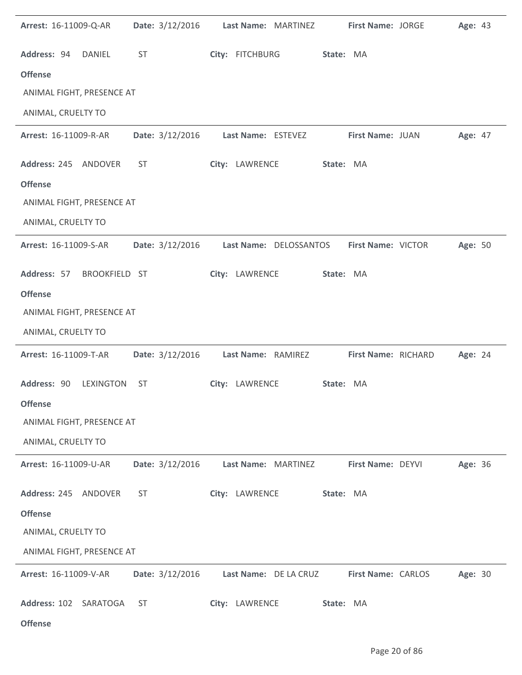| Arrest: 16-11009-Q-AR     |                  | Date: 3/12/2016 | Last Name: MARTINEZ |                        | First Name: JORGE   | Age: 43 |  |
|---------------------------|------------------|-----------------|---------------------|------------------------|---------------------|---------|--|
| Address: 94               | DANIEL           | <b>ST</b>       | City: FITCHBURG     |                        | State: MA           |         |  |
| <b>Offense</b>            |                  |                 |                     |                        |                     |         |  |
| ANIMAL FIGHT, PRESENCE AT |                  |                 |                     |                        |                     |         |  |
| ANIMAL, CRUELTY TO        |                  |                 |                     |                        |                     |         |  |
| Arrest: 16-11009-R-AR     |                  | Date: 3/12/2016 | Last Name: ESTEVEZ  |                        | First Name: JUAN    | Age: 47 |  |
| Address: 245 ANDOVER      |                  | <b>ST</b>       | City: LAWRENCE      |                        | State: MA           |         |  |
| <b>Offense</b>            |                  |                 |                     |                        |                     |         |  |
| ANIMAL FIGHT, PRESENCE AT |                  |                 |                     |                        |                     |         |  |
| ANIMAL, CRUELTY TO        |                  |                 |                     |                        |                     |         |  |
| Arrest: 16-11009-S-AR     |                  | Date: 3/12/2016 |                     | Last Name: DELOSSANTOS | First Name: VICTOR  | Age: 50 |  |
| Address: 57               | BROOKFIELD ST    |                 | City: LAWRENCE      |                        | State: MA           |         |  |
| <b>Offense</b>            |                  |                 |                     |                        |                     |         |  |
| ANIMAL FIGHT, PRESENCE AT |                  |                 |                     |                        |                     |         |  |
| ANIMAL, CRUELTY TO        |                  |                 |                     |                        |                     |         |  |
| Arrest: 16-11009-T-AR     |                  | Date: 3/12/2016 | Last Name: RAMIREZ  |                        | First Name: RICHARD | Age: 24 |  |
| Address: 90               | <b>LEXINGTON</b> | ST              | City: LAWRENCE      |                        | State: MA           |         |  |
| <b>Offense</b>            |                  |                 |                     |                        |                     |         |  |
| ANIMAL FIGHT, PRESENCE AT |                  |                 |                     |                        |                     |         |  |
| ANIMAL, CRUELTY TO        |                  |                 |                     |                        |                     |         |  |
| Arrest: 16-11009-U-AR     |                  | Date: 3/12/2016 | Last Name: MARTINEZ |                        | First Name: DEYVI   | Age: 36 |  |
| Address: 245 ANDOVER      |                  | <b>ST</b>       | City: LAWRENCE      |                        | State: MA           |         |  |
| <b>Offense</b>            |                  |                 |                     |                        |                     |         |  |
| ANIMAL, CRUELTY TO        |                  |                 |                     |                        |                     |         |  |
| ANIMAL FIGHT, PRESENCE AT |                  |                 |                     |                        |                     |         |  |
| Arrest: 16-11009-V-AR     |                  | Date: 3/12/2016 |                     | Last Name: DE LA CRUZ  | First Name: CARLOS  | Age: 30 |  |
| Address: 102 SARATOGA     |                  | <b>ST</b>       | City: LAWRENCE      |                        | State: MA           |         |  |
| <b>Offense</b>            |                  |                 |                     |                        |                     |         |  |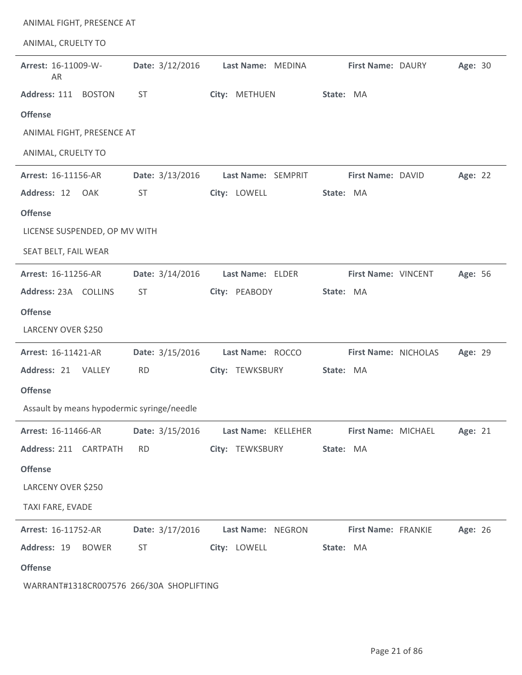| ANIMAL FIGHT, PRESENCE AT                  |                 |                     |                      |         |
|--------------------------------------------|-----------------|---------------------|----------------------|---------|
| ANIMAL, CRUELTY TO                         |                 |                     |                      |         |
| Arrest: 16-11009-W-<br>AR                  | Date: 3/12/2016 | Last Name: MEDINA   | First Name: DAURY    | Age: 30 |
| Address: 111<br><b>BOSTON</b>              | ST              | City: METHUEN       | State: MA            |         |
| <b>Offense</b>                             |                 |                     |                      |         |
| ANIMAL FIGHT, PRESENCE AT                  |                 |                     |                      |         |
| ANIMAL, CRUELTY TO                         |                 |                     |                      |         |
| Arrest: 16-11156-AR                        | Date: 3/13/2016 | Last Name: SEMPRIT  | First Name: DAVID    | Age: 22 |
| Address: 12<br>OAK                         | ST              | City: LOWELL        | State: MA            |         |
| <b>Offense</b>                             |                 |                     |                      |         |
| LICENSE SUSPENDED, OP MV WITH              |                 |                     |                      |         |
| SEAT BELT, FAIL WEAR                       |                 |                     |                      |         |
| Arrest: 16-11256-AR                        | Date: 3/14/2016 | Last Name: ELDER    | First Name: VINCENT  | Age: 56 |
| Address: 23A COLLINS                       | <b>ST</b>       | City: PEABODY       | State: MA            |         |
| <b>Offense</b>                             |                 |                     |                      |         |
| LARCENY OVER \$250                         |                 |                     |                      |         |
| Arrest: 16-11421-AR                        | Date: 3/15/2016 | Last Name: ROCCO    | First Name: NICHOLAS | Age: 29 |
| Address: 21<br>VALLEY                      | <b>RD</b>       | City: TEWKSBURY     | State: MA            |         |
| <b>Offense</b>                             |                 |                     |                      |         |
| Assault by means hypodermic syringe/needle |                 |                     |                      |         |
| Arrest: 16-11466-AR                        | Date: 3/15/2016 | Last Name: KELLEHER | First Name: MICHAEL  | Age: 21 |
| Address: 211 CARTPATH                      | <b>RD</b>       | City: TEWKSBURY     | State: MA            |         |
| <b>Offense</b>                             |                 |                     |                      |         |
| LARCENY OVER \$250                         |                 |                     |                      |         |
| TAXI FARE, EVADE                           |                 |                     |                      |         |
| Arrest: 16-11752-AR                        | Date: 3/17/2016 | Last Name: NEGRON   | First Name: FRANKIE  | Age: 26 |
| Address: 19<br><b>BOWER</b>                | <b>ST</b>       | City: LOWELL        | State: MA            |         |
| <b>Offense</b>                             |                 |                     |                      |         |
| WARRANT#1318CR007576 266/30A SHOPLIFTING   |                 |                     |                      |         |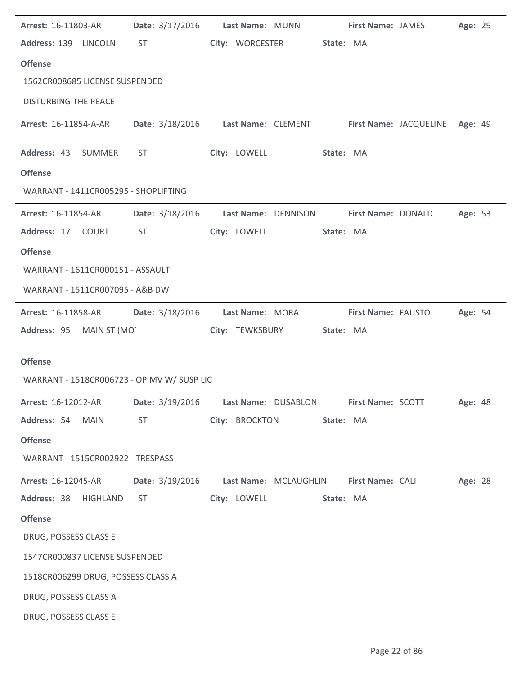| Arrest: 16-11803-AR                            |                                                                                                                                                                                                                                | Date: 3/17/2016 Last Name: MUNN                                   | First Name: JAMES  |                    | Age: 29 |
|------------------------------------------------|--------------------------------------------------------------------------------------------------------------------------------------------------------------------------------------------------------------------------------|-------------------------------------------------------------------|--------------------|--------------------|---------|
| Address: 139 LINCOLN                           | <b>ST</b>                                                                                                                                                                                                                      | City: WORCESTER                                                   | State: MA          |                    |         |
| <b>Offense</b>                                 |                                                                                                                                                                                                                                |                                                                   |                    |                    |         |
| 1562CR008685 LICENSE SUSPENDED                 |                                                                                                                                                                                                                                |                                                                   |                    |                    |         |
| <b>DISTURBING THE PEACE</b>                    |                                                                                                                                                                                                                                |                                                                   |                    |                    |         |
| <b>Arrest: 16-11854-A-AR</b>                   |                                                                                                                                                                                                                                | Date: 3/18/2016 Last Name: CLEMENT First Name: JACQUELINE Age: 49 |                    |                    |         |
| Address: 43 SUMMER                             | ST and the state of the state of the state of the state of the state of the state of the state of the state of the state of the state of the state of the state of the state of the state of the state of the state of the sta | City: LOWELL                                                      | State: MA          |                    |         |
| <b>Offense</b>                                 |                                                                                                                                                                                                                                |                                                                   |                    |                    |         |
| WARRANT - 1411CR005295 - SHOPLIFTING           |                                                                                                                                                                                                                                |                                                                   |                    |                    |         |
| <b>Arrest: 16-11854-AR</b>                     |                                                                                                                                                                                                                                | Date: 3/18/2016    Last Name: DENNISON                            | First Name: DONALD |                    | Age: 53 |
| Address: 17 COURT                              | <b>ST</b>                                                                                                                                                                                                                      | City: LOWELL                                                      | State: MA          |                    |         |
| <b>Offense</b>                                 |                                                                                                                                                                                                                                |                                                                   |                    |                    |         |
| WARRANT - 1611CR000151 - ASSAULT               |                                                                                                                                                                                                                                |                                                                   |                    |                    |         |
| WARRANT - 1511CR007095 - A&B DW                |                                                                                                                                                                                                                                |                                                                   |                    |                    |         |
| <b>Arrest: 16-11858-AR</b>                     |                                                                                                                                                                                                                                | Date: 3/18/2016 Last Name: MORA                                   |                    | First Name: FAUSTO | Age: 54 |
| Address: 95 MAIN ST (MOT                       |                                                                                                                                                                                                                                | City: TEWKSBURY                                                   | State: MA          |                    |         |
|                                                |                                                                                                                                                                                                                                |                                                                   |                    |                    |         |
|                                                |                                                                                                                                                                                                                                |                                                                   |                    |                    |         |
| <b>Offense</b>                                 |                                                                                                                                                                                                                                |                                                                   |                    |                    |         |
| WARRANT - 1518CR006723 - OP MV W/ SUSP LIC     |                                                                                                                                                                                                                                |                                                                   |                    |                    |         |
| Arrest: 16-12012-AR                            |                                                                                                                                                                                                                                | Date: 3/19/2016 Last Name: DUSABLON First Name: SCOTT Age: 48     |                    |                    |         |
| Address: 54 MAIN                               | ST                                                                                                                                                                                                                             | City: BROCKTON                                                    | State: MA          |                    |         |
| <b>Offense</b>                                 |                                                                                                                                                                                                                                |                                                                   |                    |                    |         |
| WARRANT - 1515CR002922 - TRESPASS              |                                                                                                                                                                                                                                |                                                                   |                    |                    |         |
| <b>Arrest: 16-12045-AR</b>                     | Date: 3/19/2016                                                                                                                                                                                                                | Last Name: MCLAUGHLIN                                             | First Name: CALI   |                    | Age: 28 |
| Address: 38 HIGHLAND                           | <b>ST</b>                                                                                                                                                                                                                      | City: LOWELL                                                      | State: MA          |                    |         |
| <b>Offense</b>                                 |                                                                                                                                                                                                                                |                                                                   |                    |                    |         |
| DRUG, POSSESS CLASS E                          |                                                                                                                                                                                                                                |                                                                   |                    |                    |         |
| 1547CR000837 LICENSE SUSPENDED                 |                                                                                                                                                                                                                                |                                                                   |                    |                    |         |
| 1518CR006299 DRUG, POSSESS CLASS A             |                                                                                                                                                                                                                                |                                                                   |                    |                    |         |
| DRUG, POSSESS CLASS A<br>DRUG, POSSESS CLASS E |                                                                                                                                                                                                                                |                                                                   |                    |                    |         |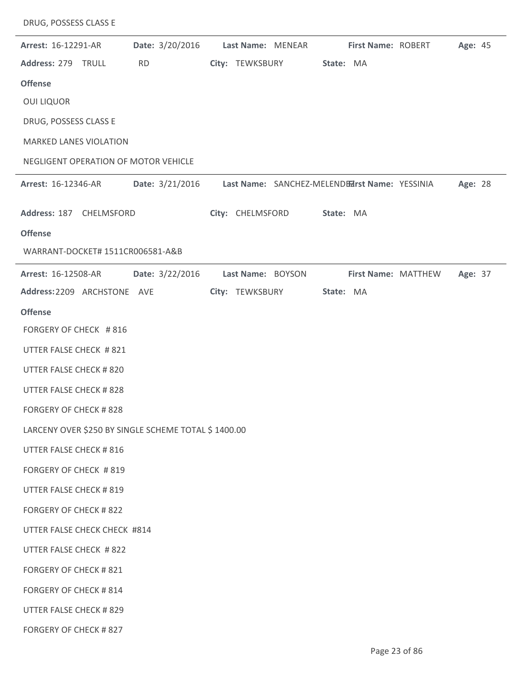| Arrest: 16-12291-AR                                 | Date: 3/20/2016 | Last Name: MENEAR | First Name: ROBERT                             |                     | Age: 45 |
|-----------------------------------------------------|-----------------|-------------------|------------------------------------------------|---------------------|---------|
| Address: 279 TRULL                                  | <b>RD</b>       | City: TEWKSBURY   | State: MA                                      |                     |         |
| <b>Offense</b>                                      |                 |                   |                                                |                     |         |
| <b>OUI LIQUOR</b>                                   |                 |                   |                                                |                     |         |
| DRUG, POSSESS CLASS E                               |                 |                   |                                                |                     |         |
| MARKED LANES VIOLATION                              |                 |                   |                                                |                     |         |
| NEGLIGENT OPERATION OF MOTOR VEHICLE                |                 |                   |                                                |                     |         |
| <b>Arrest: 16-12346-AR</b>                          | Date: 3/21/2016 |                   | Last Name: SANCHEZ-MELENDEZIrst Name: YESSINIA |                     | Age: 28 |
|                                                     |                 |                   |                                                |                     |         |
| Address: 187 CHELMSFORD                             |                 | City: CHELMSFORD  | State: MA                                      |                     |         |
| <b>Offense</b><br>WARRANT-DOCKET# 1511CR006581-A&B  |                 |                   |                                                |                     |         |
|                                                     |                 |                   |                                                |                     |         |
| <b>Arrest: 16-12508-AR</b>                          | Date: 3/22/2016 | Last Name: BOYSON |                                                | First Name: MATTHEW | Age: 37 |
| Address: 2209 ARCHSTONE AVE                         |                 | City: TEWKSBURY   | State: MA                                      |                     |         |
| <b>Offense</b><br>FORGERY OF CHECK #816             |                 |                   |                                                |                     |         |
| UTTER FALSE CHECK #821                              |                 |                   |                                                |                     |         |
| UTTER FALSE CHECK # 820                             |                 |                   |                                                |                     |         |
| UTTER FALSE CHECK #828                              |                 |                   |                                                |                     |         |
| <b>FORGERY OF CHECK #828</b>                        |                 |                   |                                                |                     |         |
|                                                     |                 |                   |                                                |                     |         |
| LARCENY OVER \$250 BY SINGLE SCHEME TOTAL \$1400.00 |                 |                   |                                                |                     |         |
| UTTER FALSE CHECK #816                              |                 |                   |                                                |                     |         |
| FORGERY OF CHECK #819                               |                 |                   |                                                |                     |         |
| <b>UTTER FALSE CHECK #819</b>                       |                 |                   |                                                |                     |         |
| <b>FORGERY OF CHECK #822</b>                        |                 |                   |                                                |                     |         |
| UTTER FALSE CHECK CHECK #814                        |                 |                   |                                                |                     |         |
| UTTER FALSE CHECK #822                              |                 |                   |                                                |                     |         |
| <b>FORGERY OF CHECK #821</b>                        |                 |                   |                                                |                     |         |
| <b>FORGERY OF CHECK #814</b>                        |                 |                   |                                                |                     |         |
| UTTER FALSE CHECK # 829                             |                 |                   |                                                |                     |         |
| FORGERY OF CHECK #827                               |                 |                   |                                                |                     |         |

DRUG, POSSESS CLASS E

L,

 $\overline{\phantom{a}}$ 

 $\overline{\phantom{0}}$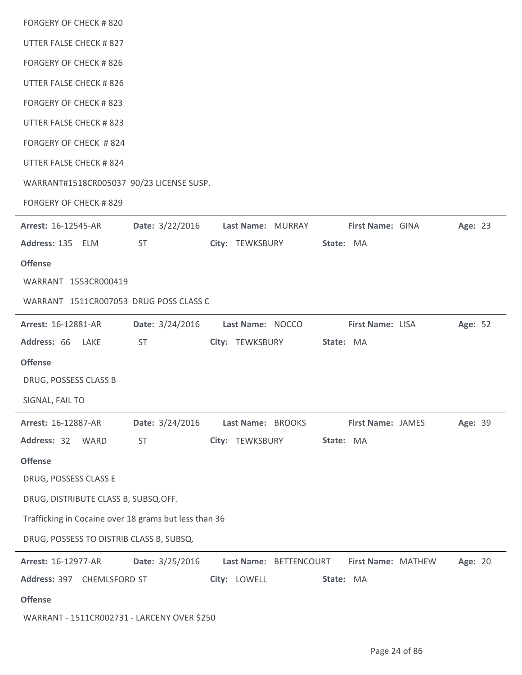| <b>FORGERY OF CHECK #820</b>                          |                        |                        |           |                    |         |  |
|-------------------------------------------------------|------------------------|------------------------|-----------|--------------------|---------|--|
| UTTER FALSE CHECK # 827                               |                        |                        |           |                    |         |  |
| <b>FORGERY OF CHECK #826</b>                          |                        |                        |           |                    |         |  |
| UTTER FALSE CHECK #826                                |                        |                        |           |                    |         |  |
| <b>FORGERY OF CHECK #823</b>                          |                        |                        |           |                    |         |  |
| UTTER FALSE CHECK # 823                               |                        |                        |           |                    |         |  |
| FORGERY OF CHECK #824                                 |                        |                        |           |                    |         |  |
| UTTER FALSE CHECK # 824                               |                        |                        |           |                    |         |  |
| WARRANT#1518CR005037 90/23 LICENSE SUSP.              |                        |                        |           |                    |         |  |
| <b>FORGERY OF CHECK #829</b>                          |                        |                        |           |                    |         |  |
| Arrest: 16-12545-AR                                   | Date: 3/22/2016        | Last Name: MURRAY      |           | First Name: GINA   | Age: 23 |  |
| Address: 135 ELM                                      | ST                     | City: TEWKSBURY        | State: MA |                    |         |  |
| <b>Offense</b>                                        |                        |                        |           |                    |         |  |
| WARRANT 1553CR000419                                  |                        |                        |           |                    |         |  |
| WARRANT 1511CR007053 DRUG POSS CLASS C                |                        |                        |           |                    |         |  |
| Arrest: 16-12881-AR                                   | <b>Date:</b> 3/24/2016 | Last Name: NOCCO       |           | First Name: LISA   | Age: 52 |  |
| Address: 66<br>LAKE                                   | ST                     | City: TEWKSBURY        | State: MA |                    |         |  |
| <b>Offense</b>                                        |                        |                        |           |                    |         |  |
| DRUG, POSSESS CLASS B                                 |                        |                        |           |                    |         |  |
| SIGNAL, FAIL TO                                       |                        |                        |           |                    |         |  |
| Arrest: 16-12887-AR                                   | Date: 3/24/2016        | Last Name: BROOKS      |           | First Name: JAMES  | Age: 39 |  |
| Address: 32<br>WARD                                   | <b>ST</b>              | City: TEWKSBURY        | State: MA |                    |         |  |
| <b>Offense</b>                                        |                        |                        |           |                    |         |  |
| DRUG, POSSESS CLASS E                                 |                        |                        |           |                    |         |  |
| DRUG, DISTRIBUTE CLASS B, SUBSQ.OFF.                  |                        |                        |           |                    |         |  |
| Trafficking in Cocaine over 18 grams but less than 36 |                        |                        |           |                    |         |  |
| DRUG, POSSESS TO DISTRIB CLASS B, SUBSQ.              |                        |                        |           |                    |         |  |
| Arrest: 16-12977-AR                                   | Date: 3/25/2016        | Last Name: BETTENCOURT |           | First Name: MATHEW | Age: 20 |  |
| Address: 397 CHEMLSFORD ST                            |                        | City: LOWELL           | State: MA |                    |         |  |
| <b>Offense</b>                                        |                        |                        |           |                    |         |  |
| WARRANT - 1511CR002731 - LARCENY OVER \$250           |                        |                        |           |                    |         |  |
|                                                       |                        |                        |           |                    |         |  |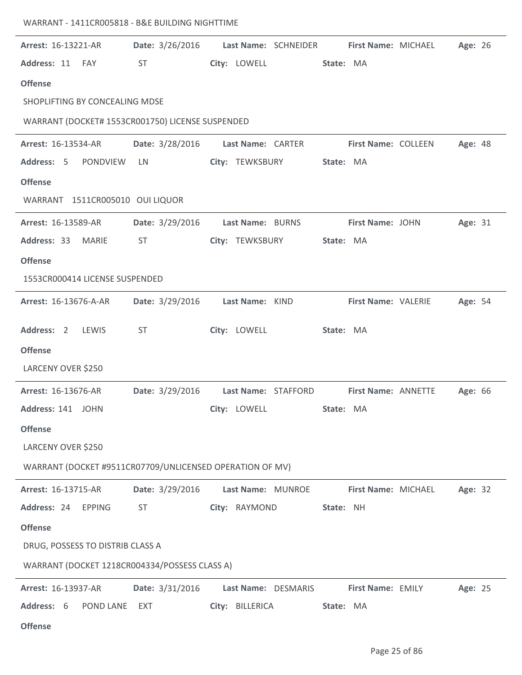| Arrest: 16-13221-AR                                      | <b>Date:</b> 3/26/2016 |                     | Last Name: SCHNEIDER | First Name: MICHAEL        | Age: 26 |  |
|----------------------------------------------------------|------------------------|---------------------|----------------------|----------------------------|---------|--|
| Address: 11<br>FAY                                       | ST                     | City: LOWELL        |                      | State: MA                  |         |  |
| <b>Offense</b>                                           |                        |                     |                      |                            |         |  |
| SHOPLIFTING BY CONCEALING MDSE                           |                        |                     |                      |                            |         |  |
| WARRANT (DOCKET# 1553CR001750) LICENSE SUSPENDED         |                        |                     |                      |                            |         |  |
| Arrest: 16-13534-AR                                      | Date: 3/28/2016        | Last Name: CARTER   |                      | <b>First Name: COLLEEN</b> | Age: 48 |  |
| Address: 5<br>PONDVIEW                                   | LN                     | City: TEWKSBURY     |                      | State: MA                  |         |  |
| <b>Offense</b>                                           |                        |                     |                      |                            |         |  |
| WARRANT 1511CR005010 OUI LIQUOR                          |                        |                     |                      |                            |         |  |
| Arrest: 16-13589-AR                                      | Date: 3/29/2016        | Last Name: BURNS    |                      | First Name: JOHN           | Age: 31 |  |
| Address: 33 MARIE                                        | <b>ST</b>              | City: TEWKSBURY     |                      | State: MA                  |         |  |
| <b>Offense</b>                                           |                        |                     |                      |                            |         |  |
| 1553CR000414 LICENSE SUSPENDED                           |                        |                     |                      |                            |         |  |
| Arrest: 16-13676-A-AR                                    | Date: 3/29/2016        | Last Name: KIND     |                      | First Name: VALERIE        | Age: 54 |  |
| Address: 2<br>LEWIS                                      | <b>ST</b>              | City: LOWELL        |                      | State: MA                  |         |  |
| <b>Offense</b>                                           |                        |                     |                      |                            |         |  |
| LARCENY OVER \$250                                       |                        |                     |                      |                            |         |  |
| Arrest: 16-13676-AR                                      | Date: 3/29/2016        | Last Name: STAFFORD |                      | First Name: ANNETTE        | Age: 66 |  |
| Address: 141 JOHN                                        |                        | City: LOWELL        |                      | State: MA                  |         |  |
| <b>Offense</b>                                           |                        |                     |                      |                            |         |  |
| LARCENY OVER \$250                                       |                        |                     |                      |                            |         |  |
| WARRANT (DOCKET #9511CR07709/UNLICENSED OPERATION OF MV) |                        |                     |                      |                            |         |  |
| Arrest: 16-13715-AR                                      | Date: 3/29/2016        | Last Name: MUNROE   |                      | First Name: MICHAEL        | Age: 32 |  |
| Address: 24 EPPING                                       | ST.                    | City: RAYMOND       |                      | State: NH                  |         |  |
| <b>Offense</b>                                           |                        |                     |                      |                            |         |  |
| DRUG, POSSESS TO DISTRIB CLASS A                         |                        |                     |                      |                            |         |  |
| WARRANT (DOCKET 1218CR004334/POSSESS CLASS A)            |                        |                     |                      |                            |         |  |
| Arrest: 16-13937-AR                                      | <b>Date:</b> 3/31/2016 | Last Name: DESMARIS |                      | First Name: EMILY          | Age: 25 |  |
| Address: 6<br><b>POND LANE</b>                           | EXT                    | City: BILLERICA     |                      | State: MA                  |         |  |
| <b>Offense</b>                                           |                        |                     |                      |                            |         |  |

WARRANT - 1411CR005818 - B&E BUILDING NIGHTTIME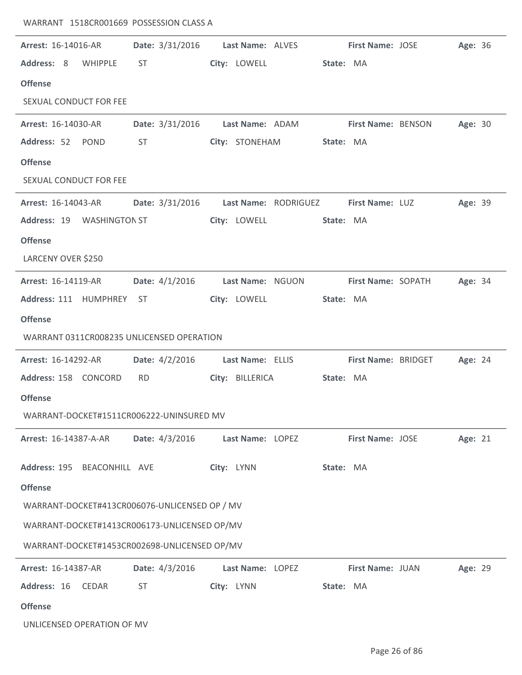| Arrest: 16-14016-AR                           | <b>Date:</b> 3/31/2016                  | Last Name: ALVES |           | <b>First Name: JOSE</b>    | Age: 36 |  |
|-----------------------------------------------|-----------------------------------------|------------------|-----------|----------------------------|---------|--|
| Address: 8<br>WHIPPLE                         | ST                                      | City: LOWELL     | State: MA |                            |         |  |
| <b>Offense</b>                                |                                         |                  |           |                            |         |  |
| SEXUAL CONDUCT FOR FEE                        |                                         |                  |           |                            |         |  |
| Arrest: 16-14030-AR                           | Date: 3/31/2016    Last Name: ADAM      |                  |           | <b>First Name: BENSON</b>  | Age: 30 |  |
| Address: 52 POND                              | <b>ST</b>                               | City: STONEHAM   | State: MA |                            |         |  |
| <b>Offense</b>                                |                                         |                  |           |                            |         |  |
| SEXUAL CONDUCT FOR FEE                        |                                         |                  |           |                            |         |  |
| <b>Arrest: 16-14043-AR</b>                    | Date: 3/31/2016    Last Name: RODRIGUEZ |                  |           | First Name: LUZ            | Age: 39 |  |
| Address: 19 WASHINGTON ST                     |                                         | City: LOWELL     | State: MA |                            |         |  |
| <b>Offense</b>                                |                                         |                  |           |                            |         |  |
| LARCENY OVER \$250                            |                                         |                  |           |                            |         |  |
| Arrest: 16-14119-AR                           | Date: $4/1/2016$                        | Last Name: NGUON |           | First Name: SOPATH         | Age: 34 |  |
| Address: 111 HUMPHREY ST                      |                                         | City: LOWELL     | State: MA |                            |         |  |
| <b>Offense</b>                                |                                         |                  |           |                            |         |  |
| WARRANT 0311CR008235 UNLICENSED OPERATION     |                                         |                  |           |                            |         |  |
| Arrest: 16-14292-AR                           | Date: $4/2/2016$                        | Last Name: ELLIS |           | <b>First Name: BRIDGET</b> | Age: 24 |  |
| Address: 158 CONCORD                          | <b>RD</b>                               | City: BILLERICA  | State: MA |                            |         |  |
| <b>Offense</b>                                |                                         |                  |           |                            |         |  |
| WARRANT-DOCKET#1511CR006222-UNINSURED MV      |                                         |                  |           |                            |         |  |
| <b>Arrest: 16-14387-A-AR</b>                  | Date: 4/3/2016                          | Last Name: LOPEZ |           | <b>First Name: JOSE</b>    | Age: 21 |  |
| Address: 195 BEACONHILL AVE                   |                                         | City: LYNN       | State: MA |                            |         |  |
| <b>Offense</b>                                |                                         |                  |           |                            |         |  |
| WARRANT-DOCKET#413CR006076-UNLICENSED OP / MV |                                         |                  |           |                            |         |  |
| WARRANT-DOCKET#1413CR006173-UNLICENSED OP/MV  |                                         |                  |           |                            |         |  |
| WARRANT-DOCKET#1453CR002698-UNLICENSED OP/MV  |                                         |                  |           |                            |         |  |
| Arrest: 16-14387-AR                           | Date: 4/3/2016                          | Last Name: LOPEZ |           | First Name: JUAN           | Age: 29 |  |
| Address: 16<br>CEDAR                          | <b>ST</b>                               | City: LYNN       | State: MA |                            |         |  |
| <b>Offense</b>                                |                                         |                  |           |                            |         |  |
| UNLICENSED OPERATION OF MV                    |                                         |                  |           |                            |         |  |

WARRANT 1518CR001669 POSSESSION CLASS A

 $\mathbb{R}^2$ 

 $\overline{a}$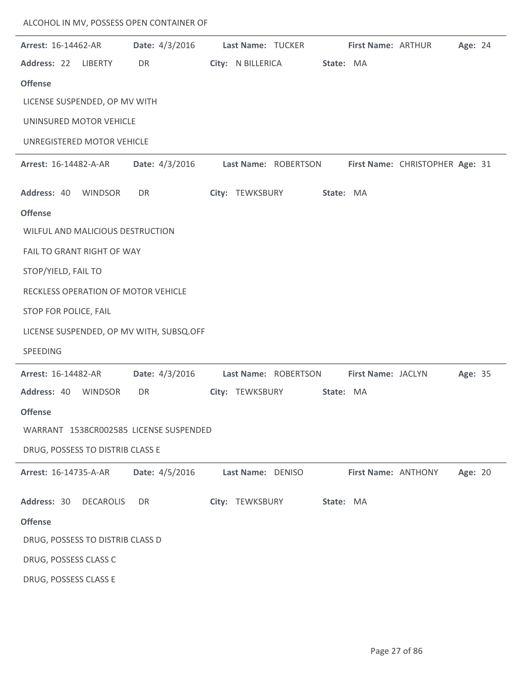| <b>Arrest: 16-14462-AR</b>       |                  | Date: 4/3/2016 Last Name: TUCKER         |                   |                      |           | First Name: ARTHUR  |                                 | Age: 24 |  |
|----------------------------------|------------------|------------------------------------------|-------------------|----------------------|-----------|---------------------|---------------------------------|---------|--|
| Address: 22                      | LIBERTY          | DR                                       | City: N BILLERICA |                      | State: MA |                     |                                 |         |  |
| <b>Offense</b>                   |                  |                                          |                   |                      |           |                     |                                 |         |  |
| LICENSE SUSPENDED, OP MV WITH    |                  |                                          |                   |                      |           |                     |                                 |         |  |
| UNINSURED MOTOR VEHICLE          |                  |                                          |                   |                      |           |                     |                                 |         |  |
| UNREGISTERED MOTOR VEHICLE       |                  |                                          |                   |                      |           |                     |                                 |         |  |
| <b>Arrest: 16-14482-A-AR</b>     |                  | Date: 4/3/2016                           |                   | Last Name: ROBERTSON |           |                     | First Name: CHRISTOPHER Age: 31 |         |  |
| Address: 40 WINDSOR              |                  | DR                                       | City: TEWKSBURY   |                      | State: MA |                     |                                 |         |  |
| <b>Offense</b>                   |                  |                                          |                   |                      |           |                     |                                 |         |  |
| WILFUL AND MALICIOUS DESTRUCTION |                  |                                          |                   |                      |           |                     |                                 |         |  |
| FAIL TO GRANT RIGHT OF WAY       |                  |                                          |                   |                      |           |                     |                                 |         |  |
| STOP/YIELD, FAIL TO              |                  |                                          |                   |                      |           |                     |                                 |         |  |
|                                  |                  | RECKLESS OPERATION OF MOTOR VEHICLE      |                   |                      |           |                     |                                 |         |  |
| STOP FOR POLICE, FAIL            |                  |                                          |                   |                      |           |                     |                                 |         |  |
|                                  |                  | LICENSE SUSPENDED, OP MV WITH, SUBSQ.OFF |                   |                      |           |                     |                                 |         |  |
| SPEEDING                         |                  |                                          |                   |                      |           |                     |                                 |         |  |
| Arrest: 16-14482-AR              |                  | Date: 4/3/2016                           |                   | Last Name: ROBERTSON |           | First Name: JACLYN  |                                 | Age: 35 |  |
| Address: 40                      | WINDSOR          | DR                                       | City: TEWKSBURY   |                      | State: MA |                     |                                 |         |  |
| <b>Offense</b>                   |                  |                                          |                   |                      |           |                     |                                 |         |  |
|                                  |                  | WARRANT 1538CR002585 LICENSE SUSPENDED   |                   |                      |           |                     |                                 |         |  |
| DRUG, POSSESS TO DISTRIB CLASS E |                  |                                          |                   |                      |           |                     |                                 |         |  |
| Arrest: 16-14735-A-AR            |                  | Date: 4/5/2016                           |                   | Last Name: DENISO    |           | First Name: ANTHONY |                                 | Age: 20 |  |
| Address: 30                      | <b>DECAROLIS</b> | DR                                       | City: TEWKSBURY   |                      | State: MA |                     |                                 |         |  |
| <b>Offense</b>                   |                  |                                          |                   |                      |           |                     |                                 |         |  |
| DRUG, POSSESS TO DISTRIB CLASS D |                  |                                          |                   |                      |           |                     |                                 |         |  |
| DRUG, POSSESS CLASS C            |                  |                                          |                   |                      |           |                     |                                 |         |  |
| DRUG, POSSESS CLASS E            |                  |                                          |                   |                      |           |                     |                                 |         |  |

ALCOHOL IN MV, POSSESS OPEN CONTAINER OF

 $\overline{\phantom{a}}$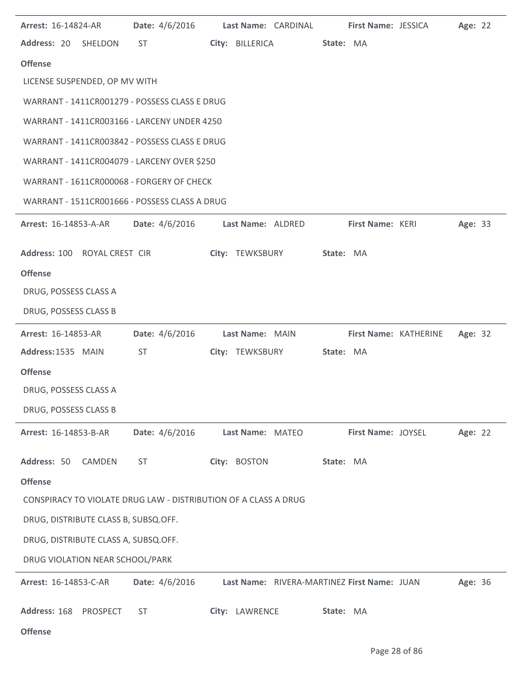| Arrest: 16-14824-AR                       |                                             | Date: 4/6/2016                                                  |  |                  | Last Name: CARDINAL                         |           | First Name: JESSICA |                       | Age: 22 |  |  |
|-------------------------------------------|---------------------------------------------|-----------------------------------------------------------------|--|------------------|---------------------------------------------|-----------|---------------------|-----------------------|---------|--|--|
| Address: 20 SHELDON                       |                                             | <b>ST</b>                                                       |  | City: BILLERICA  |                                             | State: MA |                     |                       |         |  |  |
| <b>Offense</b>                            |                                             |                                                                 |  |                  |                                             |           |                     |                       |         |  |  |
| LICENSE SUSPENDED, OP MV WITH             |                                             |                                                                 |  |                  |                                             |           |                     |                       |         |  |  |
|                                           |                                             | WARRANT - 1411CR001279 - POSSESS CLASS E DRUG                   |  |                  |                                             |           |                     |                       |         |  |  |
|                                           |                                             | WARRANT - 1411CR003166 - LARCENY UNDER 4250                     |  |                  |                                             |           |                     |                       |         |  |  |
|                                           |                                             | WARRANT - 1411CR003842 - POSSESS CLASS E DRUG                   |  |                  |                                             |           |                     |                       |         |  |  |
|                                           | WARRANT - 1411CR004079 - LARCENY OVER \$250 |                                                                 |  |                  |                                             |           |                     |                       |         |  |  |
| WARRANT - 1611CR000068 - FORGERY OF CHECK |                                             |                                                                 |  |                  |                                             |           |                     |                       |         |  |  |
|                                           |                                             | WARRANT - 1511CR001666 - POSSESS CLASS A DRUG                   |  |                  |                                             |           |                     |                       |         |  |  |
| <b>Arrest: 16-14853-A-AR</b>              |                                             | Date: 4/6/2016 Last Name: ALDRED                                |  |                  |                                             |           | First Name: KERI    |                       | Age: 33 |  |  |
| Address: 100 ROYAL CREST CIR              |                                             |                                                                 |  |                  | City: TEWKSBURY                             | State: MA |                     |                       |         |  |  |
| <b>Offense</b>                            |                                             |                                                                 |  |                  |                                             |           |                     |                       |         |  |  |
| DRUG, POSSESS CLASS A                     |                                             |                                                                 |  |                  |                                             |           |                     |                       |         |  |  |
| DRUG, POSSESS CLASS B                     |                                             |                                                                 |  |                  |                                             |           |                     |                       |         |  |  |
|                                           |                                             |                                                                 |  |                  |                                             |           |                     |                       |         |  |  |
| Arrest: 16-14853-AR                       |                                             | Date: 4/6/2016                                                  |  | Last Name: MAIN  |                                             |           |                     | First Name: KATHERINE | Age: 32 |  |  |
| Address: 1535 MAIN                        |                                             | <b>ST</b>                                                       |  | City: TEWKSBURY  |                                             | State: MA |                     |                       |         |  |  |
| <b>Offense</b>                            |                                             |                                                                 |  |                  |                                             |           |                     |                       |         |  |  |
| DRUG, POSSESS CLASS A                     |                                             |                                                                 |  |                  |                                             |           |                     |                       |         |  |  |
| DRUG, POSSESS CLASS B                     |                                             |                                                                 |  |                  |                                             |           |                     |                       |         |  |  |
| <b>Arrest: 16-14853-B-AR</b>              |                                             | Date: 4/6/2016                                                  |  | Last Name: MATEO |                                             |           | First Name: JOYSEL  |                       | Age: 22 |  |  |
| Address: 50                               | CAMDEN                                      | <b>ST</b>                                                       |  | City: BOSTON     |                                             | State: MA |                     |                       |         |  |  |
| <b>Offense</b>                            |                                             |                                                                 |  |                  |                                             |           |                     |                       |         |  |  |
|                                           |                                             | CONSPIRACY TO VIOLATE DRUG LAW - DISTRIBUTION OF A CLASS A DRUG |  |                  |                                             |           |                     |                       |         |  |  |
| DRUG, DISTRIBUTE CLASS B, SUBSQ.OFF.      |                                             |                                                                 |  |                  |                                             |           |                     |                       |         |  |  |
| DRUG, DISTRIBUTE CLASS A, SUBSQ.OFF.      |                                             |                                                                 |  |                  |                                             |           |                     |                       |         |  |  |
| DRUG VIOLATION NEAR SCHOOL/PARK           |                                             |                                                                 |  |                  |                                             |           |                     |                       |         |  |  |
| Arrest: 16-14853-C-AR                     |                                             | Date: 4/6/2016                                                  |  |                  | Last Name: RIVERA-MARTINEZ First Name: JUAN |           |                     |                       | Age: 36 |  |  |

**Offense**

÷.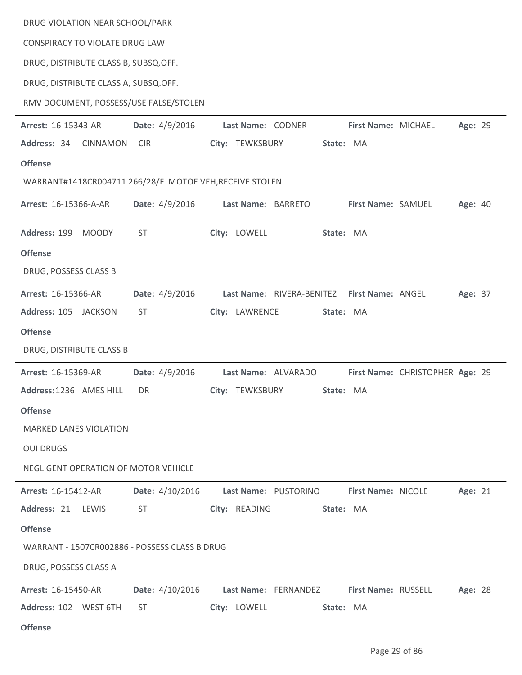| DRUG VIOLATION NEAR SCHOOL/PARK                         |                 |                 |                      |           |                                             |                                 |         |  |
|---------------------------------------------------------|-----------------|-----------------|----------------------|-----------|---------------------------------------------|---------------------------------|---------|--|
| CONSPIRACY TO VIOLATE DRUG LAW                          |                 |                 |                      |           |                                             |                                 |         |  |
| DRUG, DISTRIBUTE CLASS B, SUBSQ.OFF.                    |                 |                 |                      |           |                                             |                                 |         |  |
| DRUG, DISTRIBUTE CLASS A, SUBSQ.OFF.                    |                 |                 |                      |           |                                             |                                 |         |  |
| RMV DOCUMENT, POSSESS/USE FALSE/STOLEN                  |                 |                 |                      |           |                                             |                                 |         |  |
| Arrest: 16-15343-AR                                     | Date: 4/9/2016  |                 | Last Name: CODNER    |           | First Name: MICHAEL                         |                                 | Age: 29 |  |
| Address: 34 CINNAMON                                    | <b>CIR</b>      | City: TEWKSBURY |                      | State: MA |                                             |                                 |         |  |
| <b>Offense</b>                                          |                 |                 |                      |           |                                             |                                 |         |  |
| WARRANT#1418CR004711 266/28/F MOTOE VEH, RECEIVE STOLEN |                 |                 |                      |           |                                             |                                 |         |  |
| Arrest: 16-15366-A-AR                                   | Date: 4/9/2016  |                 | Last Name: BARRETO   |           | First Name: SAMUEL                          |                                 | Age: 40 |  |
| Address: 199 MOODY                                      | <b>ST</b>       | City: LOWELL    |                      | State: MA |                                             |                                 |         |  |
| <b>Offense</b>                                          |                 |                 |                      |           |                                             |                                 |         |  |
| DRUG, POSSESS CLASS B                                   |                 |                 |                      |           |                                             |                                 |         |  |
| Arrest: 16-15366-AR                                     | Date: 4/9/2016  |                 |                      |           | Last Name: RIVERA-BENITEZ First Name: ANGEL |                                 | Age: 37 |  |
| Address: 105 JACKSON                                    | <b>ST</b>       |                 | City: LAWRENCE       | State: MA |                                             |                                 |         |  |
| <b>Offense</b>                                          |                 |                 |                      |           |                                             |                                 |         |  |
| DRUG, DISTRIBUTE CLASS B                                |                 |                 |                      |           |                                             |                                 |         |  |
| Arrest: 16-15369-AR                                     | Date: 4/9/2016  |                 | Last Name: ALVARADO  |           |                                             | First Name: CHRISTOPHER Age: 29 |         |  |
| Address: 1236 AMES HILL                                 | DR              | City: TEWKSBURY |                      | State: MA |                                             |                                 |         |  |
| <b>Offense</b>                                          |                 |                 |                      |           |                                             |                                 |         |  |
| <b>MARKED LANES VIOLATION</b>                           |                 |                 |                      |           |                                             |                                 |         |  |
| <b>OUI DRUGS</b>                                        |                 |                 |                      |           |                                             |                                 |         |  |
| NEGLIGENT OPERATION OF MOTOR VEHICLE                    |                 |                 |                      |           |                                             |                                 |         |  |
| Arrest: 16-15412-AR                                     | Date: 4/10/2016 |                 | Last Name: PUSTORINO |           | First Name: NICOLE                          |                                 | Age: 21 |  |
| Address: 21 LEWIS                                       | <b>ST</b>       | City: READING   |                      | State: MA |                                             |                                 |         |  |
| <b>Offense</b>                                          |                 |                 |                      |           |                                             |                                 |         |  |
| WARRANT - 1507CR002886 - POSSESS CLASS B DRUG           |                 |                 |                      |           |                                             |                                 |         |  |
| DRUG, POSSESS CLASS A                                   |                 |                 |                      |           |                                             |                                 |         |  |
| Arrest: 16-15450-AR                                     | Date: 4/10/2016 |                 | Last Name: FERNANDEZ |           | First Name: RUSSELL                         |                                 | Age: 28 |  |
| Address: 102 WEST 6TH                                   | <b>ST</b>       | City: LOWELL    |                      | State: MA |                                             |                                 |         |  |
| <b>Offense</b>                                          |                 |                 |                      |           |                                             |                                 |         |  |

l.

l.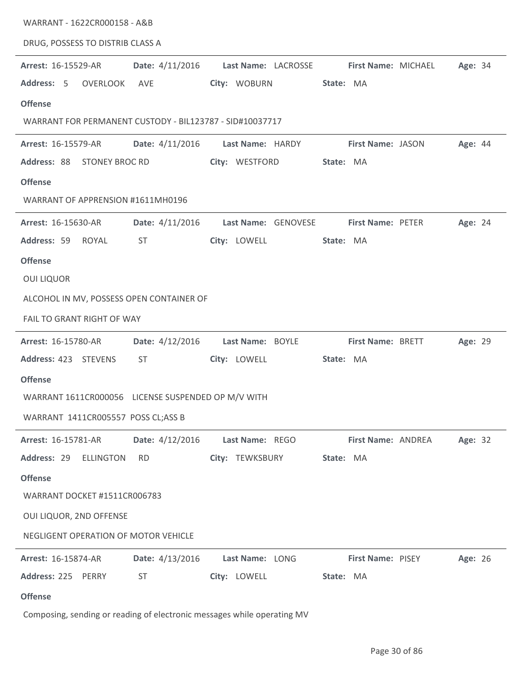| WARRANT - 1622CR000158 - A&B                             |                 |                                                                         |                          |         |
|----------------------------------------------------------|-----------------|-------------------------------------------------------------------------|--------------------------|---------|
| DRUG, POSSESS TO DISTRIB CLASS A                         |                 |                                                                         |                          |         |
| Arrest: 16-15529-AR                                      | Date: 4/11/2016 | Last Name: LACROSSE                                                     | First Name: MICHAEL      | Age: 34 |
| Address: 5 OVERLOOK                                      | AVE             | City: WOBURN                                                            | State: MA                |         |
| <b>Offense</b>                                           |                 |                                                                         |                          |         |
| WARRANT FOR PERMANENT CUSTODY - BIL123787 - SID#10037717 |                 |                                                                         |                          |         |
| Arrest: 16-15579-AR                                      | Date: 4/11/2016 | Last Name: HARDY                                                        | First Name: JASON        | Age: 44 |
| Address: 88 STONEY BROC RD                               |                 | City: WESTFORD                                                          | State: MA                |         |
| <b>Offense</b>                                           |                 |                                                                         |                          |         |
| WARRANT OF APPRENSION #1611MH0196                        |                 |                                                                         |                          |         |
| Arrest: 16-15630-AR                                      | Date: 4/11/2016 | Last Name: GENOVESE                                                     | <b>First Name: PETER</b> | Age: 24 |
| Address: 59<br>ROYAL                                     | <b>ST</b>       | City: LOWELL                                                            | State: MA                |         |
| <b>Offense</b>                                           |                 |                                                                         |                          |         |
| <b>OUI LIQUOR</b>                                        |                 |                                                                         |                          |         |
| ALCOHOL IN MV, POSSESS OPEN CONTAINER OF                 |                 |                                                                         |                          |         |
| FAIL TO GRANT RIGHT OF WAY                               |                 |                                                                         |                          |         |
| <b>Arrest: 16-15780-AR</b>                               | Date: 4/12/2016 | Last Name: BOYLE                                                        | First Name: BRETT        | Age: 29 |
| Address: 423 STEVENS                                     | ST              | City: LOWELL                                                            | State: MA                |         |
| <b>Offense</b>                                           |                 |                                                                         |                          |         |
| WARRANT 1611CR000056 LICENSE SUSPENDED OP M/V WITH       |                 |                                                                         |                          |         |
| WARRANT 1411CR005557 POSS CL;ASS B                       |                 |                                                                         |                          |         |
| <b>Arrest: 16-15781-AR</b>                               | Date: 4/12/2016 | Last Name: REGO                                                         | First Name: ANDREA       | Age: 32 |
| Address: 29<br><b>ELLINGTON</b>                          | <b>RD</b>       | City: TEWKSBURY                                                         | State: MA                |         |
| <b>Offense</b>                                           |                 |                                                                         |                          |         |
| WARRANT DOCKET #1511CR006783                             |                 |                                                                         |                          |         |
| OUI LIQUOR, 2ND OFFENSE                                  |                 |                                                                         |                          |         |
| NEGLIGENT OPERATION OF MOTOR VEHICLE                     |                 |                                                                         |                          |         |
| Arrest: 16-15874-AR                                      | Date: 4/13/2016 | Last Name: LONG                                                         | First Name: PISEY        | Age: 26 |
| Address: 225<br>PERRY                                    | <b>ST</b>       | City: LOWELL                                                            | State: MA                |         |
| <b>Offense</b>                                           |                 |                                                                         |                          |         |
|                                                          |                 | Composing, sending or reading of electronic messages while operating MV |                          |         |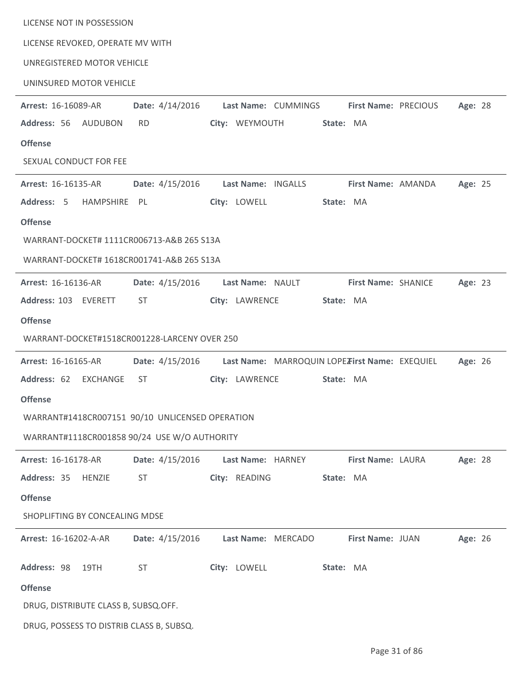| LICENSE NOT IN POSSESSION                       |                          |                                                |                            |         |
|-------------------------------------------------|--------------------------|------------------------------------------------|----------------------------|---------|
| LICENSE REVOKED, OPERATE MV WITH                |                          |                                                |                            |         |
| UNREGISTERED MOTOR VEHICLE                      |                          |                                                |                            |         |
| UNINSURED MOTOR VEHICLE                         |                          |                                                |                            |         |
| <b>Arrest: 16-16089-AR</b>                      | Date: 4/14/2016          | Last Name: CUMMINGS                            | First Name: PRECIOUS       | Age: 28 |
| Address: 56 AUDUBON                             | <b>RD</b>                | City: WEYMOUTH                                 | State: MA                  |         |
| <b>Offense</b>                                  |                          |                                                |                            |         |
| SEXUAL CONDUCT FOR FEE                          |                          |                                                |                            |         |
| Arrest: 16-16135-AR                             | Date: 4/15/2016          | Last Name: INGALLS                             | First Name: AMANDA         | Age: 25 |
| Address: 5<br>HAMPSHIRE PL                      |                          | City: LOWELL                                   | State: MA                  |         |
| <b>Offense</b>                                  |                          |                                                |                            |         |
| WARRANT-DOCKET# 1111CR006713-A&B 265 S13A       |                          |                                                |                            |         |
| WARRANT-DOCKET# 1618CR001741-A&B 265 S13A       |                          |                                                |                            |         |
| <b>Arrest: 16-16136-AR</b>                      | <b>Date:</b> $4/15/2016$ | Last Name: NAULT                               | <b>First Name: SHANICE</b> | Age: 23 |
| Address: 103 EVERETT                            | ST                       | City: LAWRENCE                                 | State: MA                  |         |
| <b>Offense</b>                                  |                          |                                                |                            |         |
| WARRANT-DOCKET#1518CR001228-LARCENY OVER 250    |                          |                                                |                            |         |
| Arrest: 16-16165-AR                             | Date: 4/15/2016          | Last Name: MARROQUIN LOPE First Name: EXEQUIEL |                            | Age: 26 |
| Address: 62<br>EXCHANGE                         | ST.                      | City: LAWRENCE                                 | State: MA                  |         |
| <b>Offense</b>                                  |                          |                                                |                            |         |
| WARRANT#1418CR007151 90/10 UNLICENSED OPERATION |                          |                                                |                            |         |
| WARRANT#1118CR001858 90/24 USE W/O AUTHORITY    |                          |                                                |                            |         |
| Arrest: 16-16178-AR                             | Date: 4/15/2016          | Last Name: HARNEY                              | First Name: LAURA          | Age: 28 |
| Address: 35 HENZIE                              | <b>ST</b>                | City: READING                                  | State: MA                  |         |
| <b>Offense</b>                                  |                          |                                                |                            |         |
| SHOPLIFTING BY CONCEALING MDSE                  |                          |                                                |                            |         |
| Arrest: 16-16202-A-AR                           | Date: 4/15/2016          | Last Name: MERCADO                             | First Name: JUAN           | Age: 26 |
| Address: 98<br>19TH                             | <b>ST</b>                | City: LOWELL                                   | State: MA                  |         |
| <b>Offense</b>                                  |                          |                                                |                            |         |
| DRUG, DISTRIBUTE CLASS B, SUBSQ.OFF.            |                          |                                                |                            |         |
| DRUG, POSSESS TO DISTRIB CLASS B, SUBSQ.        |                          |                                                |                            |         |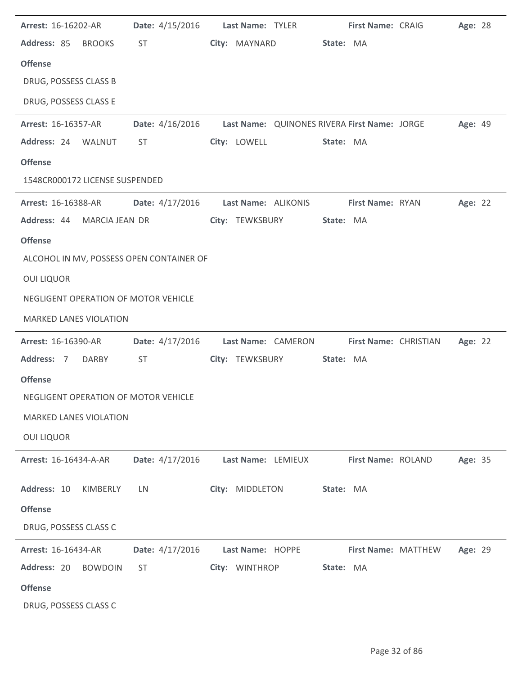| Arrest: 16-16202-AR                      | Date: 4/15/2016                                                                                                                                                                                                                | Last Name: TYLER                                             | First Name: CRAIG   | Age: 28        |
|------------------------------------------|--------------------------------------------------------------------------------------------------------------------------------------------------------------------------------------------------------------------------------|--------------------------------------------------------------|---------------------|----------------|
| Address: 85 BROOKS                       | ST and the set of the set of the set of the set of the set of the set of the set of the set of the set of the set of the set of the set of the set of the set of the set of the set of the set of the set of the set of the se | City: MAYNARD                                                | State: MA           |                |
| <b>Offense</b>                           |                                                                                                                                                                                                                                |                                                              |                     |                |
| DRUG, POSSESS CLASS B                    |                                                                                                                                                                                                                                |                                                              |                     |                |
| DRUG, POSSESS CLASS E                    |                                                                                                                                                                                                                                |                                                              |                     |                |
| Arrest: 16-16357-AR                      |                                                                                                                                                                                                                                | Date: 4/16/2016 Last Name: QUINONES RIVERA First Name: JORGE |                     | <b>Age: 49</b> |
| Address: 24 WALNUT                       | ST                                                                                                                                                                                                                             | City: LOWELL                                                 | State: MA           |                |
| <b>Offense</b>                           |                                                                                                                                                                                                                                |                                                              |                     |                |
| 1548CR000172 LICENSE SUSPENDED           |                                                                                                                                                                                                                                |                                                              |                     |                |
| <b>Arrest: 16-16388-AR</b>               |                                                                                                                                                                                                                                | Date: 4/17/2016 Last Name: ALIKONIS                          | First Name: RYAN    | Age: 22        |
| Address: 44 MARCIA JEAN DR               |                                                                                                                                                                                                                                | City: TEWKSBURY                                              | State: MA           |                |
| <b>Offense</b>                           |                                                                                                                                                                                                                                |                                                              |                     |                |
| ALCOHOL IN MV, POSSESS OPEN CONTAINER OF |                                                                                                                                                                                                                                |                                                              |                     |                |
| <b>OUI LIQUOR</b>                        |                                                                                                                                                                                                                                |                                                              |                     |                |
| NEGLIGENT OPERATION OF MOTOR VEHICLE     |                                                                                                                                                                                                                                |                                                              |                     |                |
| <b>MARKED LANES VIOLATION</b>            |                                                                                                                                                                                                                                |                                                              |                     |                |
| <b>Arrest: 16-16390-AR</b>               |                                                                                                                                                                                                                                | Date: 4/17/2016 Last Name: CAMERON First Name: CHRISTIAN     |                     | Age: 22        |
| Address: 7<br><b>DARBY</b>               | <b>ST</b>                                                                                                                                                                                                                      | City: TEWKSBURY                                              | State: MA           |                |
| <b>Offense</b>                           |                                                                                                                                                                                                                                |                                                              |                     |                |
| NEGLIGENT OPERATION OF MOTOR VEHICLE     |                                                                                                                                                                                                                                |                                                              |                     |                |
| <b>MARKED LANES VIOLATION</b>            |                                                                                                                                                                                                                                |                                                              |                     |                |
| <b>OUI LIQUOR</b>                        |                                                                                                                                                                                                                                |                                                              |                     |                |
| <b>Arrest: 16-16434-A-AR</b>             | Date: 4/17/2016                                                                                                                                                                                                                | Last Name: LEMIEUX                                           | First Name: ROLAND  | Age: 35        |
| Address: 10<br>KIMBERLY                  | LN                                                                                                                                                                                                                             | City: MIDDLETON                                              | State: MA           |                |
| <b>Offense</b>                           |                                                                                                                                                                                                                                |                                                              |                     |                |
| DRUG, POSSESS CLASS C                    |                                                                                                                                                                                                                                |                                                              |                     |                |
| Arrest: 16-16434-AR                      | Date: 4/17/2016                                                                                                                                                                                                                | Last Name: HOPPE                                             | First Name: MATTHEW | Age: 29        |
| Address: 20<br><b>BOWDOIN</b>            | <b>ST</b>                                                                                                                                                                                                                      | City: WINTHROP                                               | State: MA           |                |
| <b>Offense</b>                           |                                                                                                                                                                                                                                |                                                              |                     |                |
| DRUG, POSSESS CLASS C                    |                                                                                                                                                                                                                                |                                                              |                     |                |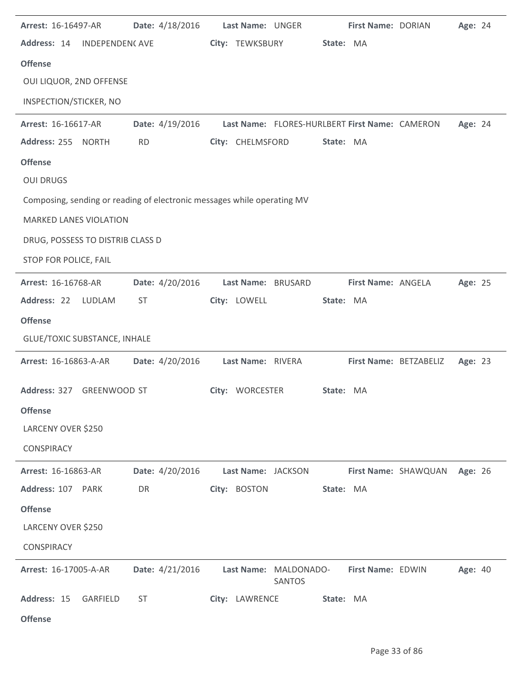| Arrest: 16-16497-AR                                                     | Date: 4/18/2016 | Last Name: UNGER   |                                                | First Name: DORIAN |                        | Age: 24 |  |
|-------------------------------------------------------------------------|-----------------|--------------------|------------------------------------------------|--------------------|------------------------|---------|--|
| Address: 14<br><b>INDEPENDENCAVE</b>                                    |                 | City: TEWKSBURY    | State: MA                                      |                    |                        |         |  |
| <b>Offense</b>                                                          |                 |                    |                                                |                    |                        |         |  |
| OUI LIQUOR, 2ND OFFENSE                                                 |                 |                    |                                                |                    |                        |         |  |
| INSPECTION/STICKER, NO                                                  |                 |                    |                                                |                    |                        |         |  |
| Arrest: 16-16617-AR                                                     | Date: 4/19/2016 |                    | Last Name: FLORES-HURLBERT First Name: CAMERON |                    |                        | Age: 24 |  |
| Address: 255 NORTH                                                      | <b>RD</b>       | City: CHELMSFORD   | State: MA                                      |                    |                        |         |  |
| <b>Offense</b>                                                          |                 |                    |                                                |                    |                        |         |  |
| <b>OUI DRUGS</b>                                                        |                 |                    |                                                |                    |                        |         |  |
| Composing, sending or reading of electronic messages while operating MV |                 |                    |                                                |                    |                        |         |  |
| <b>MARKED LANES VIOLATION</b>                                           |                 |                    |                                                |                    |                        |         |  |
| DRUG, POSSESS TO DISTRIB CLASS D                                        |                 |                    |                                                |                    |                        |         |  |
| STOP FOR POLICE, FAIL                                                   |                 |                    |                                                |                    |                        |         |  |
| Arrest: 16-16768-AR                                                     | Date: 4/20/2016 | Last Name: BRUSARD |                                                | First Name: ANGELA |                        | Age: 25 |  |
| Address: 22<br>LUDLAM                                                   | <b>ST</b>       | City: LOWELL       | State: MA                                      |                    |                        |         |  |
| <b>Offense</b>                                                          |                 |                    |                                                |                    |                        |         |  |
| <b>GLUE/TOXIC SUBSTANCE, INHALE</b>                                     |                 |                    |                                                |                    |                        |         |  |
| Arrest: 16-16863-A-AR                                                   | Date: 4/20/2016 | Last Name: RIVERA  |                                                |                    | First Name: BETZABELIZ | Age: 23 |  |
| Address: 327<br><b>GREENWOOD ST</b>                                     |                 | City: WORCESTER    | State: MA                                      |                    |                        |         |  |
| <b>Offense</b>                                                          |                 |                    |                                                |                    |                        |         |  |
| LARCENY OVER \$250                                                      |                 |                    |                                                |                    |                        |         |  |
| <b>CONSPIRACY</b>                                                       |                 |                    |                                                |                    |                        |         |  |
| Arrest: 16-16863-AR                                                     | Date: 4/20/2016 | Last Name: JACKSON |                                                |                    | First Name: SHAWQUAN   | Age: 26 |  |
| Address: 107<br>PARK                                                    | DR              | City: BOSTON       | State: MA                                      |                    |                        |         |  |
| <b>Offense</b>                                                          |                 |                    |                                                |                    |                        |         |  |
| LARCENY OVER \$250                                                      |                 |                    |                                                |                    |                        |         |  |
| <b>CONSPIRACY</b>                                                       |                 |                    |                                                |                    |                        |         |  |
| Arrest: 16-17005-A-AR                                                   | Date: 4/21/2016 |                    | Last Name: MALDONADO-<br><b>SANTOS</b>         | First Name: EDWIN  |                        | Age: 40 |  |
| Address: 15<br>GARFIELD                                                 | <b>ST</b>       | City: LAWRENCE     | State: MA                                      |                    |                        |         |  |
| <b>Offense</b>                                                          |                 |                    |                                                |                    |                        |         |  |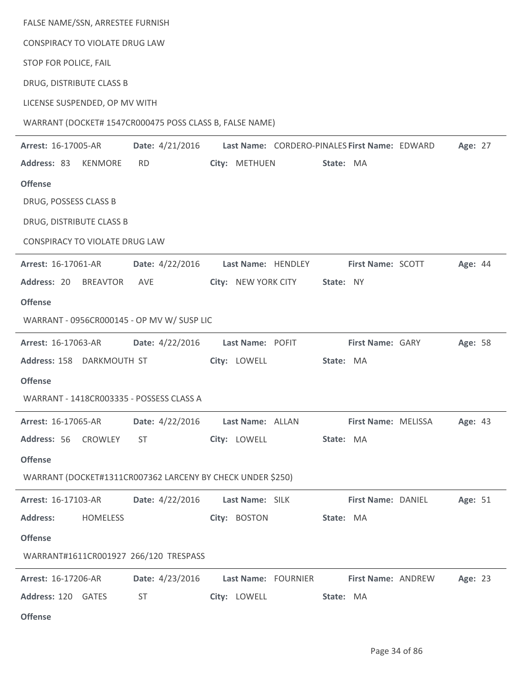| FALSE NAME/SSN, ARRESTEE FURNISH                           |                 |                     |                                               |         |
|------------------------------------------------------------|-----------------|---------------------|-----------------------------------------------|---------|
| CONSPIRACY TO VIOLATE DRUG LAW                             |                 |                     |                                               |         |
| STOP FOR POLICE, FAIL                                      |                 |                     |                                               |         |
| DRUG, DISTRIBUTE CLASS B                                   |                 |                     |                                               |         |
| LICENSE SUSPENDED, OP MV WITH                              |                 |                     |                                               |         |
| WARRANT (DOCKET# 1547CR000475 POSS CLASS B, FALSE NAME)    |                 |                     |                                               |         |
| Arrest: 16-17005-AR                                        | Date: 4/21/2016 |                     | Last Name: CORDERO-PINALES First Name: EDWARD | Age: 27 |
| Address: 83<br><b>KENMORE</b>                              | <b>RD</b>       | City: METHUEN       | State: MA                                     |         |
| <b>Offense</b>                                             |                 |                     |                                               |         |
| DRUG, POSSESS CLASS B                                      |                 |                     |                                               |         |
| DRUG, DISTRIBUTE CLASS B                                   |                 |                     |                                               |         |
| CONSPIRACY TO VIOLATE DRUG LAW                             |                 |                     |                                               |         |
| Arrest: 16-17061-AR                                        | Date: 4/22/2016 | Last Name: HENDLEY  | First Name: SCOTT                             | Age: 44 |
| Address: 20<br><b>BREAVTOR</b>                             | AVE             | City: NEW YORK CITY | State: NY                                     |         |
| <b>Offense</b>                                             |                 |                     |                                               |         |
| WARRANT - 0956CR000145 - OP MV W/ SUSP LIC                 |                 |                     |                                               |         |
| Arrest: 16-17063-AR                                        | Date: 4/22/2016 | Last Name: POFIT    | First Name: GARY                              | Age: 58 |
| Address: 158 DARKMOUTH ST                                  |                 | City: LOWELL        | State: MA                                     |         |
| <b>Offense</b>                                             |                 |                     |                                               |         |
| WARRANT - 1418CR003335 - POSSESS CLASS A                   |                 |                     |                                               |         |
| Arrest: 16-17065-AR                                        | Date: 4/22/2016 | Last Name: ALLAN    | First Name: MELISSA                           | Age: 43 |
| Address: 56<br>CROWLEY                                     | <b>ST</b>       | City: LOWELL        | State: MA                                     |         |
| <b>Offense</b>                                             |                 |                     |                                               |         |
| WARRANT (DOCKET#1311CR007362 LARCENY BY CHECK UNDER \$250) |                 |                     |                                               |         |
| Arrest: 16-17103-AR                                        | Date: 4/22/2016 | Last Name: SILK     | First Name: DANIEL                            | Age: 51 |
| <b>Address:</b><br><b>HOMELESS</b>                         |                 | City: BOSTON        | State: MA                                     |         |
| <b>Offense</b>                                             |                 |                     |                                               |         |
| WARRANT#1611CR001927 266/120 TRESPASS                      |                 |                     |                                               |         |
| Arrest: 16-17206-AR                                        | Date: 4/23/2016 | Last Name: FOURNIER | First Name: ANDREW                            | Age: 23 |
| Address: 120 GATES                                         | <b>ST</b>       | City: LOWELL        | State: MA                                     |         |
| <b>Offense</b>                                             |                 |                     |                                               |         |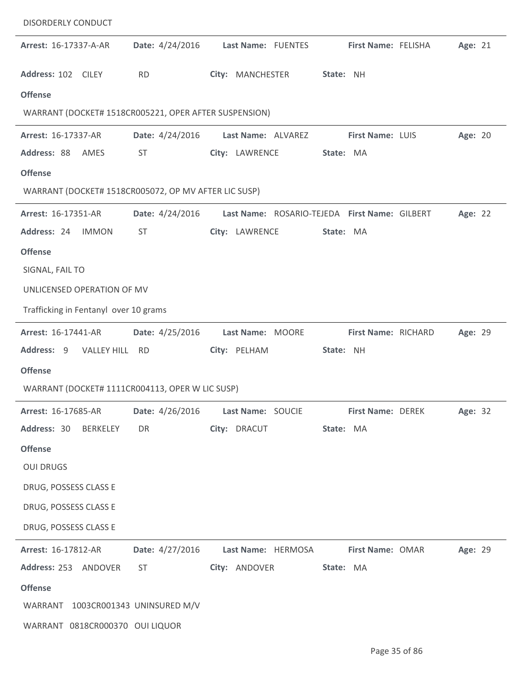| <b>DISORDERLY CONDUCT</b>                             |                                                                                                                                                                                                                                |                                      |                                               |         |
|-------------------------------------------------------|--------------------------------------------------------------------------------------------------------------------------------------------------------------------------------------------------------------------------------|--------------------------------------|-----------------------------------------------|---------|
| Arrest: 16-17337-A-AR                                 | Date: 4/24/2016                                                                                                                                                                                                                | Last Name: FUENTES                   | First Name: FELISHA                           | Age: 21 |
| Address: 102 CILEY                                    | <b>RD</b>                                                                                                                                                                                                                      | City: MANCHESTER                     | State: NH                                     |         |
| <b>Offense</b>                                        |                                                                                                                                                                                                                                |                                      |                                               |         |
| WARRANT (DOCKET# 1518CR005221, OPER AFTER SUSPENSION) |                                                                                                                                                                                                                                |                                      |                                               |         |
| Arrest: 16-17337-AR                                   | Date: 4/24/2016                                                                                                                                                                                                                | Last Name: ALVAREZ                   | First Name: LUIS                              | Age: 20 |
| Address: 88<br>AMES                                   | <b>ST</b>                                                                                                                                                                                                                      | City: LAWRENCE                       | State: MA                                     |         |
| <b>Offense</b>                                        |                                                                                                                                                                                                                                |                                      |                                               |         |
| WARRANT (DOCKET# 1518CR005072, OP MV AFTER LIC SUSP)  |                                                                                                                                                                                                                                |                                      |                                               |         |
| Arrest: 16-17351-AR                                   | Date: 4/24/2016                                                                                                                                                                                                                |                                      | Last Name: ROSARIO-TEJEDA First Name: GILBERT | Age: 22 |
| Address: 24<br><b>IMMON</b>                           | <b>ST</b>                                                                                                                                                                                                                      | City: LAWRENCE                       | State: MA                                     |         |
| <b>Offense</b>                                        |                                                                                                                                                                                                                                |                                      |                                               |         |
| SIGNAL, FAIL TO                                       |                                                                                                                                                                                                                                |                                      |                                               |         |
| UNLICENSED OPERATION OF MV                            |                                                                                                                                                                                                                                |                                      |                                               |         |
| Trafficking in Fentanyl over 10 grams                 |                                                                                                                                                                                                                                |                                      |                                               |         |
| Arrest: 16-17441-AR                                   | Date: 4/25/2016                                                                                                                                                                                                                | Last Name: MOORE                     | First Name: RICHARD                           | Age: 29 |
| Address: 9<br>VALLEY HILL RD                          |                                                                                                                                                                                                                                | City: PELHAM                         | State: NH                                     |         |
| <b>Offense</b>                                        |                                                                                                                                                                                                                                |                                      |                                               |         |
| WARRANT (DOCKET# 1111CR004113, OPER W LIC SUSP)       |                                                                                                                                                                                                                                |                                      |                                               |         |
| <b>Arrest: 16-17685-AR</b>                            |                                                                                                                                                                                                                                | Date: 4/26/2016    Last Name: SOUCIE | <b>First Name: DEREK</b>                      | Age: 32 |
| Address: 30 BERKELEY                                  | DR                                                                                                                                                                                                                             | City: DRACUT                         | State: MA                                     |         |
| <b>Offense</b>                                        |                                                                                                                                                                                                                                |                                      |                                               |         |
| <b>OUI DRUGS</b>                                      |                                                                                                                                                                                                                                |                                      |                                               |         |
| DRUG, POSSESS CLASS E                                 |                                                                                                                                                                                                                                |                                      |                                               |         |
| DRUG, POSSESS CLASS E                                 |                                                                                                                                                                                                                                |                                      |                                               |         |
| DRUG, POSSESS CLASS E                                 |                                                                                                                                                                                                                                |                                      |                                               |         |
| <b>Arrest: 16-17812-AR</b>                            | Date: 4/27/2016                                                                                                                                                                                                                | Last Name: HERMOSA                   | First Name: OMAR                              | Age: 29 |
| Address: 253 ANDOVER                                  | ST and the state of the state of the state of the state of the state of the state of the state of the state of the state of the state of the state of the state of the state of the state of the state of the state of the sta | City: ANDOVER                        | State: MA                                     |         |
| <b>Offense</b>                                        |                                                                                                                                                                                                                                |                                      |                                               |         |
| WARRANT 1003CR001343 UNINSURED M/V                    |                                                                                                                                                                                                                                |                                      |                                               |         |
| WARRANT 0818CR000370 OUI LIQUOR                       |                                                                                                                                                                                                                                |                                      |                                               |         |

j.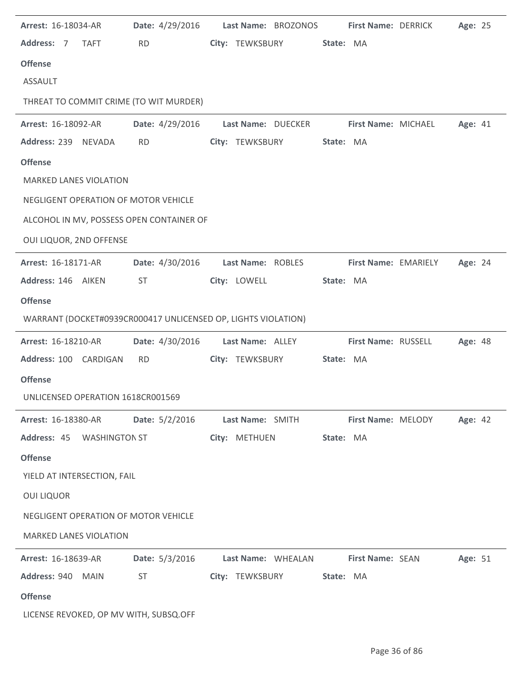| Arrest: 16-18034-AR                                           | Date: 4/29/2016 |                   | Last Name: BROZONOS |           | First Name: DERRICK  | Age: 25 |  |
|---------------------------------------------------------------|-----------------|-------------------|---------------------|-----------|----------------------|---------|--|
| Address: 7<br><b>TAFT</b>                                     | <b>RD</b>       |                   | City: TEWKSBURY     | State: MA |                      |         |  |
| <b>Offense</b>                                                |                 |                   |                     |           |                      |         |  |
| <b>ASSAULT</b>                                                |                 |                   |                     |           |                      |         |  |
| THREAT TO COMMIT CRIME (TO WIT MURDER)                        |                 |                   |                     |           |                      |         |  |
| Arrest: 16-18092-AR                                           | Date: 4/29/2016 |                   | Last Name: DUECKER  |           | First Name: MICHAEL  | Age: 41 |  |
| Address: 239 NEVADA                                           | <b>RD</b>       | City: TEWKSBURY   |                     | State: MA |                      |         |  |
| <b>Offense</b>                                                |                 |                   |                     |           |                      |         |  |
| <b>MARKED LANES VIOLATION</b>                                 |                 |                   |                     |           |                      |         |  |
| NEGLIGENT OPERATION OF MOTOR VEHICLE                          |                 |                   |                     |           |                      |         |  |
| ALCOHOL IN MV, POSSESS OPEN CONTAINER OF                      |                 |                   |                     |           |                      |         |  |
| OUI LIQUOR, 2ND OFFENSE                                       |                 |                   |                     |           |                      |         |  |
| Arrest: 16-18171-AR                                           | Date: 4/30/2016 | Last Name: ROBLES |                     |           | First Name: EMARIELY | Age: 24 |  |
| Address: 146 AIKEN                                            | <b>ST</b>       | City: LOWELL      |                     | State: MA |                      |         |  |
| <b>Offense</b>                                                |                 |                   |                     |           |                      |         |  |
| WARRANT (DOCKET#0939CR000417 UNLICENSED OP, LIGHTS VIOLATION) |                 |                   |                     |           |                      |         |  |
| Arrest: 16-18210-AR                                           | Date: 4/30/2016 | Last Name: ALLEY  |                     |           | First Name: RUSSELL  | Age: 48 |  |
| Address: 100 CARDIGAN                                         | <b>RD</b>       | City: TEWKSBURY   |                     | State: MA |                      |         |  |
| <b>Offense</b>                                                |                 |                   |                     |           |                      |         |  |
| UNLICENSED OPERATION 1618CR001569                             |                 |                   |                     |           |                      |         |  |
| Arrest: 16-18380-AR                                           | Date: 5/2/2016  | Last Name: SMITH  |                     |           | First Name: MELODY   | Age: 42 |  |
| Address: 45 WASHINGTON ST                                     |                 | City: METHUEN     |                     | State: MA |                      |         |  |
| <b>Offense</b>                                                |                 |                   |                     |           |                      |         |  |
| YIELD AT INTERSECTION, FAIL                                   |                 |                   |                     |           |                      |         |  |
| <b>OUI LIQUOR</b>                                             |                 |                   |                     |           |                      |         |  |
| NEGLIGENT OPERATION OF MOTOR VEHICLE                          |                 |                   |                     |           |                      |         |  |
| <b>MARKED LANES VIOLATION</b>                                 |                 |                   |                     |           |                      |         |  |
| Arrest: 16-18639-AR                                           | Date: 5/3/2016  |                   | Last Name: WHEALAN  |           | First Name: SEAN     | Age: 51 |  |
| Address: 940<br>MAIN                                          | <b>ST</b>       | City: TEWKSBURY   |                     | State: MA |                      |         |  |
| <b>Offense</b>                                                |                 |                   |                     |           |                      |         |  |
| LICENSE REVOKED, OP MV WITH, SUBSQ.OFF                        |                 |                   |                     |           |                      |         |  |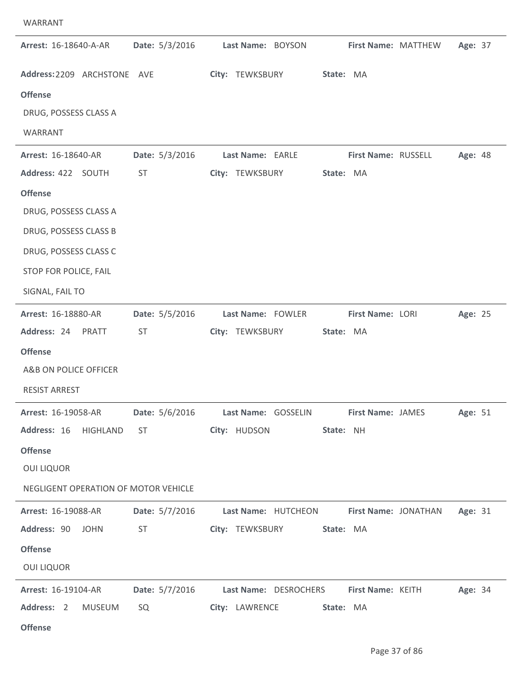| WARRANT                                                                                                                                                                            |                             |                                                                                      |                                  |                     |         |
|------------------------------------------------------------------------------------------------------------------------------------------------------------------------------------|-----------------------------|--------------------------------------------------------------------------------------|----------------------------------|---------------------|---------|
| Arrest: 16-18640-A-AR                                                                                                                                                              | Date: 5/3/2016              | Last Name: BOYSON                                                                    |                                  | First Name: MATTHEW | Age: 37 |
| Address: 2209 ARCHSTONE AVE<br><b>Offense</b><br>DRUG, POSSESS CLASS A<br>WARRANT                                                                                                  |                             | City: TEWKSBURY                                                                      | State: MA                        |                     |         |
| Arrest: 16-18640-AR<br>Address: 422 SOUTH<br><b>Offense</b><br>DRUG, POSSESS CLASS A<br>DRUG, POSSESS CLASS B<br>DRUG, POSSESS CLASS C<br>STOP FOR POLICE, FAIL<br>SIGNAL, FAIL TO | Date: 5/3/2016<br><b>ST</b> | Last Name: EARLE<br>City: TEWKSBURY                                                  | First Name: RUSSELL<br>State: MA |                     | Age: 48 |
| Arrest: 16-18880-AR<br>Address: 24<br>PRATT<br><b>Offense</b><br>A&B ON POLICE OFFICER<br><b>RESIST ARREST</b>                                                                     | Date: 5/5/2016<br><b>ST</b> | Last Name: FOWLER<br>City: TEWKSBURY                                                 | First Name: LORI<br>State: MA    |                     | Age: 25 |
| <b>Arrest: 16-19058-AR</b><br>Address: 16 HIGHLAND<br><b>Offense</b><br><b>OUI LIQUOR</b><br>NEGLIGENT OPERATION OF MOTOR VEHICLE                                                  | ST                          | Date: 5/6/2016 Last Name: GOSSELIN First Name: JAMES<br>City: HUDSON                 | State: NH                        |                     | Age: 51 |
| <b>Arrest: 16-19088-AR</b><br>Address: 90 JOHN<br><b>Offense</b><br><b>OUI LIQUOR</b>                                                                                              | <b>ST</b>                   | Date: 5/7/2016 Last Name: HUTCHEON First Name: JONATHAN<br>City: TEWKSBURY State: MA |                                  |                     | Age: 31 |
| <b>Arrest: 16-19104-AR</b><br>Address: 2<br>MUSEUM<br><b>Offense</b>                                                                                                               | SQ                          | Date: 5/7/2016 Last Name: DESROCHERS First Name: KEITH Age: 34<br>City: LAWRENCE     | State: MA                        |                     |         |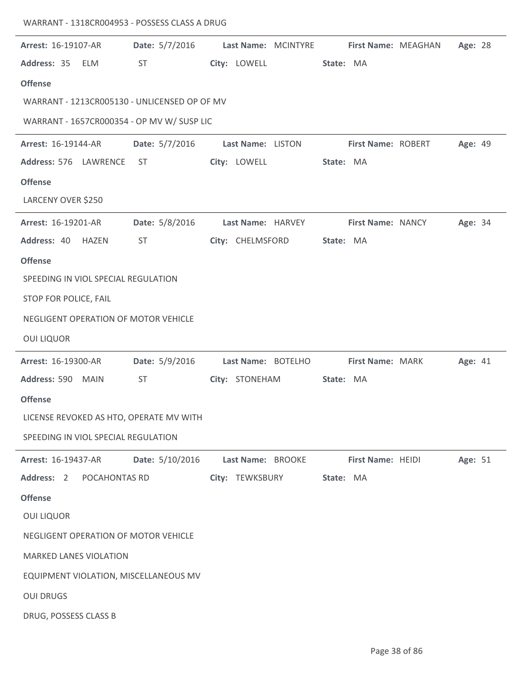| Arrest: 16-19107-AR                          | Date: 5/7/2016  |                   | Last Name: MCINTYRE |           | First Name: MEAGHAN | Age: 28 |  |
|----------------------------------------------|-----------------|-------------------|---------------------|-----------|---------------------|---------|--|
| Address: 35<br><b>ELM</b>                    | <b>ST</b>       | City: LOWELL      |                     | State: MA |                     |         |  |
| <b>Offense</b>                               |                 |                   |                     |           |                     |         |  |
| WARRANT - 1213CR005130 - UNLICENSED OP OF MV |                 |                   |                     |           |                     |         |  |
| WARRANT - 1657CR000354 - OP MV W/ SUSP LIC   |                 |                   |                     |           |                     |         |  |
| Arrest: 16-19144-AR                          | Date: 5/7/2016  | Last Name: LISTON |                     |           | First Name: ROBERT  | Age: 49 |  |
| Address: 576 LAWRENCE                        | <b>ST</b>       | City: LOWELL      |                     | State: MA |                     |         |  |
| <b>Offense</b>                               |                 |                   |                     |           |                     |         |  |
| LARCENY OVER \$250                           |                 |                   |                     |           |                     |         |  |
| Arrest: 16-19201-AR                          | Date: 5/8/2016  | Last Name: HARVEY |                     |           | First Name: NANCY   | Age: 34 |  |
| Address: 40<br><b>HAZEN</b>                  | <b>ST</b>       | City: CHELMSFORD  |                     | State: MA |                     |         |  |
| <b>Offense</b>                               |                 |                   |                     |           |                     |         |  |
| SPEEDING IN VIOL SPECIAL REGULATION          |                 |                   |                     |           |                     |         |  |
| STOP FOR POLICE, FAIL                        |                 |                   |                     |           |                     |         |  |
| NEGLIGENT OPERATION OF MOTOR VEHICLE         |                 |                   |                     |           |                     |         |  |
| <b>OUI LIQUOR</b>                            |                 |                   |                     |           |                     |         |  |
| Arrest: 16-19300-AR                          | Date: 5/9/2016  |                   | Last Name: BOTELHO  |           | First Name: MARK    | Age: 41 |  |
| Address: 590<br><b>MAIN</b>                  | <b>ST</b>       | City: STONEHAM    |                     | State: MA |                     |         |  |
| <b>Offense</b>                               |                 |                   |                     |           |                     |         |  |
| LICENSE REVOKED AS HTO, OPERATE MV WITH      |                 |                   |                     |           |                     |         |  |
| SPEEDING IN VIOL SPECIAL REGULATION          |                 |                   |                     |           |                     |         |  |
| Arrest: 16-19437-AR                          | Date: 5/10/2016 | Last Name: BROOKE |                     |           | First Name: HEIDI   | Age: 51 |  |
| Address: 2<br>POCAHONTAS RD                  |                 | City: TEWKSBURY   |                     | State: MA |                     |         |  |
| <b>Offense</b>                               |                 |                   |                     |           |                     |         |  |
| <b>OUI LIQUOR</b>                            |                 |                   |                     |           |                     |         |  |
| NEGLIGENT OPERATION OF MOTOR VEHICLE         |                 |                   |                     |           |                     |         |  |
| <b>MARKED LANES VIOLATION</b>                |                 |                   |                     |           |                     |         |  |
| EQUIPMENT VIOLATION, MISCELLANEOUS MV        |                 |                   |                     |           |                     |         |  |
| <b>OUI DRUGS</b>                             |                 |                   |                     |           |                     |         |  |
| DRUG, POSSESS CLASS B                        |                 |                   |                     |           |                     |         |  |

WARRANT - 1318CR004953 - POSSESS CLASS A DRUG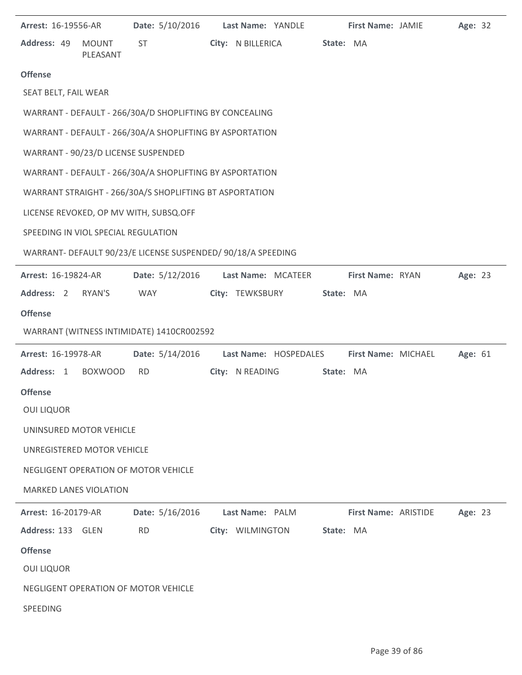| Arrest: 16-19556-AR                 |                          | Date: 5/10/2016                                              | Last Name: YANDLE     |           | First Name: JAMIE    | Age: 32 |  |
|-------------------------------------|--------------------------|--------------------------------------------------------------|-----------------------|-----------|----------------------|---------|--|
| Address: 49                         | <b>MOUNT</b><br>PLEASANT | <b>ST</b>                                                    | City: N BILLERICA     | State: MA |                      |         |  |
| <b>Offense</b>                      |                          |                                                              |                       |           |                      |         |  |
| SEAT BELT, FAIL WEAR                |                          |                                                              |                       |           |                      |         |  |
|                                     |                          | WARRANT - DEFAULT - 266/30A/D SHOPLIFTING BY CONCEALING      |                       |           |                      |         |  |
|                                     |                          | WARRANT - DEFAULT - 266/30A/A SHOPLIFTING BY ASPORTATION     |                       |           |                      |         |  |
| WARRANT - 90/23/D LICENSE SUSPENDED |                          |                                                              |                       |           |                      |         |  |
|                                     |                          | WARRANT - DEFAULT - 266/30A/A SHOPLIFTING BY ASPORTATION     |                       |           |                      |         |  |
|                                     |                          | WARRANT STRAIGHT - 266/30A/S SHOPLIFTING BT ASPORTATION      |                       |           |                      |         |  |
|                                     |                          | LICENSE REVOKED, OP MV WITH, SUBSQ.OFF                       |                       |           |                      |         |  |
| SPEEDING IN VIOL SPECIAL REGULATION |                          |                                                              |                       |           |                      |         |  |
|                                     |                          | WARRANT- DEFAULT 90/23/E LICENSE SUSPENDED/ 90/18/A SPEEDING |                       |           |                      |         |  |
| Arrest: 16-19824-AR                 |                          | Date: 5/12/2016                                              | Last Name: MCATEER    |           | First Name: RYAN     | Age: 23 |  |
| Address: 2                          | RYAN'S                   | WAY                                                          | City: TEWKSBURY       | State: MA |                      |         |  |
| <b>Offense</b>                      |                          |                                                              |                       |           |                      |         |  |
|                                     |                          | WARRANT (WITNESS INTIMIDATE) 1410CR002592                    |                       |           |                      |         |  |
| Arrest: 16-19978-AR                 |                          | Date: 5/14/2016                                              | Last Name: HOSPEDALES |           | First Name: MICHAEL  | Age: 61 |  |
| Address: 1                          | <b>BOXWOOD</b>           | <b>RD</b>                                                    | City: N READING       | State: MA |                      |         |  |
| <b>Offense</b>                      |                          |                                                              |                       |           |                      |         |  |
| <b>OUI LIQUOR</b>                   |                          |                                                              |                       |           |                      |         |  |
| UNINSURED MOTOR VEHICLE             |                          |                                                              |                       |           |                      |         |  |
| UNREGISTERED MOTOR VEHICLE          |                          |                                                              |                       |           |                      |         |  |
|                                     |                          | NEGLIGENT OPERATION OF MOTOR VEHICLE                         |                       |           |                      |         |  |
| <b>MARKED LANES VIOLATION</b>       |                          |                                                              |                       |           |                      |         |  |
| Arrest: 16-20179-AR                 |                          | Date: 5/16/2016                                              | Last Name: PALM       |           | First Name: ARISTIDE | Age: 23 |  |
| Address: 133 GLEN                   |                          | <b>RD</b>                                                    | City: WILMINGTON      | State: MA |                      |         |  |
| <b>Offense</b>                      |                          |                                                              |                       |           |                      |         |  |
| <b>OUI LIQUOR</b>                   |                          |                                                              |                       |           |                      |         |  |
|                                     |                          | NEGLIGENT OPERATION OF MOTOR VEHICLE                         |                       |           |                      |         |  |
| SPEEDING                            |                          |                                                              |                       |           |                      |         |  |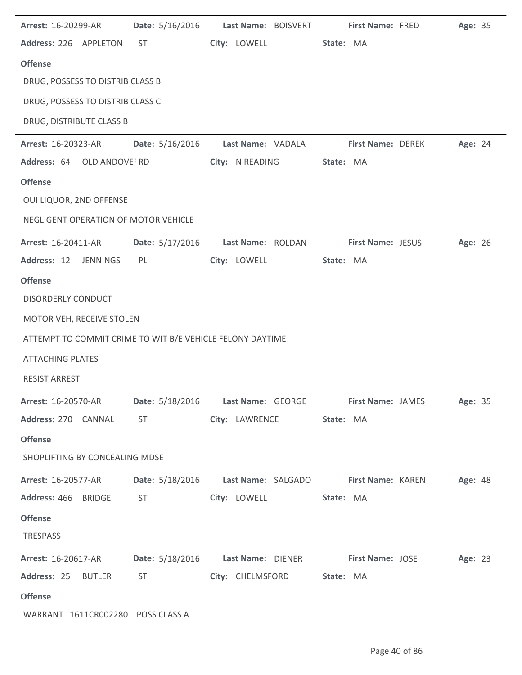| Arrest: 16-20299-AR                                       | Date: 5/16/2016 | Last Name: BOISVERT                              | <b>First Name: FRED</b>                                                          | Age: 35 |
|-----------------------------------------------------------|-----------------|--------------------------------------------------|----------------------------------------------------------------------------------|---------|
| Address: 226 APPLETON                                     | <b>ST</b>       | City: LOWELL                                     | State: MA                                                                        |         |
| <b>Offense</b>                                            |                 |                                                  |                                                                                  |         |
| DRUG, POSSESS TO DISTRIB CLASS B                          |                 |                                                  |                                                                                  |         |
| DRUG, POSSESS TO DISTRIB CLASS C                          |                 |                                                  |                                                                                  |         |
| DRUG, DISTRIBUTE CLASS B                                  |                 |                                                  |                                                                                  |         |
| Arrest: 16-20323-AR                                       | Date: 5/16/2016 | Last Name: VADALA                                | First Name: DEREK                                                                | Age: 24 |
| Address: 64 OLD ANDOVEI RD                                |                 | City: N READING                                  | State: MA                                                                        |         |
| <b>Offense</b>                                            |                 |                                                  |                                                                                  |         |
| OUI LIQUOR, 2ND OFFENSE                                   |                 |                                                  |                                                                                  |         |
| NEGLIGENT OPERATION OF MOTOR VEHICLE                      |                 |                                                  |                                                                                  |         |
| Arrest: 16-20411-AR                                       | Date: 5/17/2016 | Last Name: ROLDAN                                | First Name: JESUS                                                                | Age: 26 |
| Address: 12 JENNINGS                                      | PL              | City: LOWELL                                     | State: MA                                                                        |         |
| <b>Offense</b>                                            |                 |                                                  |                                                                                  |         |
| <b>DISORDERLY CONDUCT</b>                                 |                 |                                                  |                                                                                  |         |
| MOTOR VEH, RECEIVE STOLEN                                 |                 |                                                  |                                                                                  |         |
| ATTEMPT TO COMMIT CRIME TO WIT B/E VEHICLE FELONY DAYTIME |                 |                                                  |                                                                                  |         |
| <b>ATTACHING PLATES</b>                                   |                 |                                                  |                                                                                  |         |
| <b>RESIST ARREST</b>                                      |                 |                                                  |                                                                                  |         |
| Arrest: 16-20570-AR                                       |                 | Date: 5/18/2016    Last Name: GEORGE             | <b>First Name: JAMES</b>                                                         | Age: 35 |
|                                                           |                 | Address: 270 CANNAL ST City: LAWRENCE State: MA  |                                                                                  |         |
| <b>Offense</b>                                            |                 |                                                  |                                                                                  |         |
| SHOPLIFTING BY CONCEALING MDSE                            |                 |                                                  |                                                                                  |         |
|                                                           |                 |                                                  | Arrest: 16-20577-AR Date: 5/18/2016 Last Name: SALGADO First Name: KAREN Age: 48 |         |
|                                                           |                 | Address: 466 BRIDGE ST City: LOWELL State: MA    |                                                                                  |         |
| <b>Offense</b>                                            |                 |                                                  |                                                                                  |         |
| TRESPASS                                                  |                 |                                                  |                                                                                  |         |
| <b>Arrest: 16-20617-AR</b>                                |                 |                                                  | Date: 5/18/2016 Last Name: DIENER First Name: JOSE Age: 23                       |         |
|                                                           |                 | Address: 25 BUTLER ST City: CHELMSFORD State: MA |                                                                                  |         |
| <b>Offense</b>                                            |                 |                                                  |                                                                                  |         |
| WARRANT 1611CR002280 POSS CLASS A                         |                 |                                                  |                                                                                  |         |

J.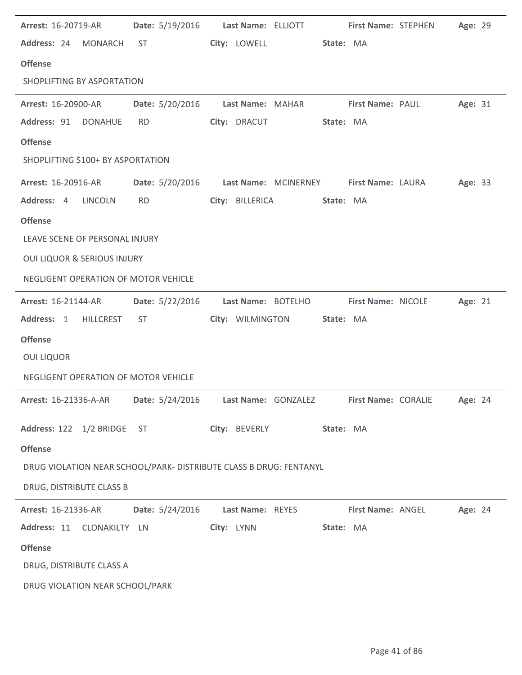| <b>Arrest: 16-20719-AR</b>                                         | Date: 5/19/2016    Last Name: ELLIOTT |                         |                                   |           |                    | First Name: STEPHEN        | Age: 29        |  |
|--------------------------------------------------------------------|---------------------------------------|-------------------------|-----------------------------------|-----------|--------------------|----------------------------|----------------|--|
| Address: 24 MONARCH                                                | ST                                    | City: LOWELL            |                                   | State: MA |                    |                            |                |  |
| <b>Offense</b>                                                     |                                       |                         |                                   |           |                    |                            |                |  |
| SHOPLIFTING BY ASPORTATION                                         |                                       |                         |                                   |           |                    |                            |                |  |
| Arrest: 16-20900-AR                                                | Date: 5/20/2016                       |                         | Last Name: MAHAR First Name: PAUL |           |                    |                            | Age: 31        |  |
| Address: 91<br><b>DONAHUE</b>                                      | <b>RD</b>                             | City: DRACUT            |                                   | State: MA |                    |                            |                |  |
| <b>Offense</b>                                                     |                                       |                         |                                   |           |                    |                            |                |  |
| SHOPLIFTING \$100+ BY ASPORTATION                                  |                                       |                         |                                   |           |                    |                            |                |  |
| <b>Arrest: 16-20916-AR</b>                                         | Date: 5/20/2016                       |                         | Last Name: MCINERNEY              |           | First Name: LAURA  |                            | Age: 33        |  |
| Address: 4<br>LINCOLN                                              | <b>RD</b>                             | City: BILLERICA         |                                   | State: MA |                    |                            |                |  |
| <b>Offense</b>                                                     |                                       |                         |                                   |           |                    |                            |                |  |
| LEAVE SCENE OF PERSONAL INJURY                                     |                                       |                         |                                   |           |                    |                            |                |  |
| <b>OUI LIQUOR &amp; SERIOUS INJURY</b>                             |                                       |                         |                                   |           |                    |                            |                |  |
| NEGLIGENT OPERATION OF MOTOR VEHICLE                               |                                       |                         |                                   |           |                    |                            |                |  |
|                                                                    |                                       |                         |                                   |           |                    |                            |                |  |
| Arrest: 16-21144-AR                                                | Date: 5/22/2016                       |                         | Last Name: BOTELHO                |           | First Name: NICOLE |                            | Age: 21        |  |
| Address: 1<br><b>HILLCREST</b>                                     | ST.                                   | City: WILMINGTON        |                                   | State: MA |                    |                            |                |  |
| <b>Offense</b>                                                     |                                       |                         |                                   |           |                    |                            |                |  |
| <b>OUI LIQUOR</b>                                                  |                                       |                         |                                   |           |                    |                            |                |  |
| NEGLIGENT OPERATION OF MOTOR VEHICLE                               |                                       |                         |                                   |           |                    |                            |                |  |
| Arrest: 16-21336-A-AR    Date: 5/24/2016    Last Name: GONZALEZ    |                                       |                         |                                   |           |                    | <b>First Name: CORALIE</b> | <b>Age: 24</b> |  |
| Address: 122 1/2 BRIDGE ST                                         |                                       | City: BEVERLY State: MA |                                   |           |                    |                            |                |  |
| <b>Offense</b>                                                     |                                       |                         |                                   |           |                    |                            |                |  |
| DRUG VIOLATION NEAR SCHOOL/PARK- DISTRIBUTE CLASS B DRUG: FENTANYL |                                       |                         |                                   |           |                    |                            |                |  |
| DRUG, DISTRIBUTE CLASS B                                           |                                       |                         |                                   |           |                    |                            |                |  |
| Arrest: 16-21336-AR Date: 5/24/2016                                |                                       | Last Name: REYES        |                                   |           | First Name: ANGEL  |                            | Age: 24        |  |
| Address: 11 CLONAKILTY LN                                          |                                       | City: LYNN              |                                   | State: MA |                    |                            |                |  |
| <b>Offense</b>                                                     |                                       |                         |                                   |           |                    |                            |                |  |
| DRUG, DISTRIBUTE CLASS A                                           |                                       |                         |                                   |           |                    |                            |                |  |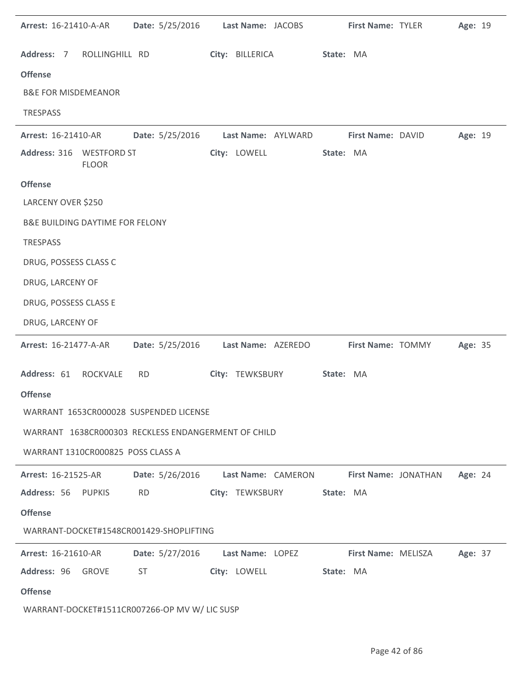| Arrest: 16-21410-A-AR                      |                | <b>Date:</b> 5/25/2016                              | Last Name: JACOBS |                    |           | First Name: TYLER    | Age: 19 |  |
|--------------------------------------------|----------------|-----------------------------------------------------|-------------------|--------------------|-----------|----------------------|---------|--|
| Address: 7                                 | ROLLINGHILL RD |                                                     | City: BILLERICA   |                    | State: MA |                      |         |  |
| <b>Offense</b>                             |                |                                                     |                   |                    |           |                      |         |  |
| <b>B&amp;E FOR MISDEMEANOR</b>             |                |                                                     |                   |                    |           |                      |         |  |
| <b>TRESPASS</b>                            |                |                                                     |                   |                    |           |                      |         |  |
| Arrest: 16-21410-AR                        |                | Date: 5/25/2016                                     |                   | Last Name: AYLWARD |           | First Name: DAVID    | Age: 19 |  |
| Address: 316 WESTFORD ST                   | <b>FLOOR</b>   |                                                     | City: LOWELL      |                    | State: MA |                      |         |  |
| <b>Offense</b>                             |                |                                                     |                   |                    |           |                      |         |  |
| LARCENY OVER \$250                         |                |                                                     |                   |                    |           |                      |         |  |
| <b>B&amp;E BUILDING DAYTIME FOR FELONY</b> |                |                                                     |                   |                    |           |                      |         |  |
| <b>TRESPASS</b>                            |                |                                                     |                   |                    |           |                      |         |  |
| DRUG, POSSESS CLASS C                      |                |                                                     |                   |                    |           |                      |         |  |
| DRUG, LARCENY OF                           |                |                                                     |                   |                    |           |                      |         |  |
| DRUG, POSSESS CLASS E                      |                |                                                     |                   |                    |           |                      |         |  |
| DRUG, LARCENY OF                           |                |                                                     |                   |                    |           |                      |         |  |
| Arrest: 16-21477-A-AR                      |                | Date: 5/25/2016                                     |                   | Last Name: AZEREDO |           | First Name: TOMMY    | Age: 35 |  |
| Address: 61                                | ROCKVALE       | <b>RD</b>                                           | City: TEWKSBURY   |                    | State: MA |                      |         |  |
| <b>Offense</b>                             |                |                                                     |                   |                    |           |                      |         |  |
|                                            |                | WARRANT 1653CR000028 SUSPENDED LICENSE              |                   |                    |           |                      |         |  |
|                                            |                | WARRANT 1638CR000303 RECKLESS ENDANGERMENT OF CHILD |                   |                    |           |                      |         |  |
| WARRANT 1310CR000825 POSS CLASS A          |                |                                                     |                   |                    |           |                      |         |  |
| Arrest: 16-21525-AR                        |                | <b>Date:</b> 5/26/2016                              |                   | Last Name: CAMERON |           | First Name: JONATHAN | Age: 24 |  |
| Address: 56 PUPKIS                         |                | <b>RD</b>                                           |                   | City: TEWKSBURY    | State: MA |                      |         |  |
| <b>Offense</b>                             |                |                                                     |                   |                    |           |                      |         |  |
|                                            |                | WARRANT-DOCKET#1548CR001429-SHOPLIFTING             |                   |                    |           |                      |         |  |
| <b>Arrest: 16-21610-AR</b>                 |                | Date: 5/27/2016                                     | Last Name: LOPEZ  |                    |           | First Name: MELISZA  | Age: 37 |  |
| Address: 96 GROVE                          |                | <b>ST</b>                                           | City: LOWELL      |                    | State: MA |                      |         |  |
| <b>Offense</b>                             |                |                                                     |                   |                    |           |                      |         |  |
|                                            |                | WARRANT-DOCKET#1511CR007266-OP MV W/ LIC SUSP       |                   |                    |           |                      |         |  |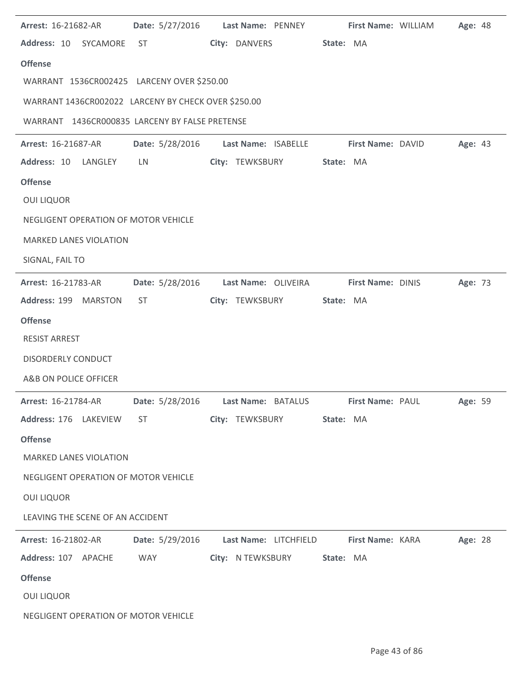| <b>Arrest: 16-21682-AR</b>                                                      |                 | Date: 5/27/2016    Last Name: PENNEY   | First Name: WILLIAM | Age: 48 |
|---------------------------------------------------------------------------------|-----------------|----------------------------------------|---------------------|---------|
| Address: 10 SYCAMORE                                                            | <b>ST</b>       | City: DANVERS                          | State: MA           |         |
| <b>Offense</b>                                                                  |                 |                                        |                     |         |
| WARRANT 1536CR002425 LARCENY OVER \$250.00                                      |                 |                                        |                     |         |
| WARRANT 1436CR002022 LARCENY BY CHECK OVER \$250.00                             |                 |                                        |                     |         |
| WARRANT 1436CR000835 LARCENY BY FALSE PRETENSE                                  |                 |                                        |                     |         |
| <b>Arrest: 16-21687-AR</b>                                                      |                 | Date: 5/28/2016    Last Name: ISABELLE | First Name: DAVID   | Age: 43 |
| Address: 10 LANGLEY                                                             | LN              | City: TEWKSBURY                        | State: MA           |         |
| <b>Offense</b>                                                                  |                 |                                        |                     |         |
| <b>OUI LIQUOR</b>                                                               |                 |                                        |                     |         |
| NEGLIGENT OPERATION OF MOTOR VEHICLE                                            |                 |                                        |                     |         |
| <b>MARKED LANES VIOLATION</b>                                                   |                 |                                        |                     |         |
| SIGNAL, FAIL TO                                                                 |                 |                                        |                     |         |
| Arrest: 16-21783-AR                                                             | Date: 5/28/2016 | Last Name: OLIVEIRA                    | First Name: DINIS   | Age: 73 |
| Address: 199 MARSTON                                                            | <b>ST</b>       | City: TEWKSBURY                        | State: MA           |         |
| <b>Offense</b>                                                                  |                 |                                        |                     |         |
| <b>RESIST ARREST</b>                                                            |                 |                                        |                     |         |
| <b>DISORDERLY CONDUCT</b>                                                       |                 |                                        |                     |         |
| A&B ON POLICE OFFICER                                                           |                 |                                        |                     |         |
| Arrest: 16-21784-AR Date: 5/28/2016 Last Name: BATALUS First Name: PAUL Age: 59 |                 |                                        |                     |         |
| Address: 176 LAKEVIEW ST                                                        |                 | City: TEWKSBURY State: MA              |                     |         |
| <b>Offense</b>                                                                  |                 |                                        |                     |         |
| <b>MARKED LANES VIOLATION</b>                                                   |                 |                                        |                     |         |
| NEGLIGENT OPERATION OF MOTOR VEHICLE                                            |                 |                                        |                     |         |
| <b>OUI LIQUOR</b>                                                               |                 |                                        |                     |         |
| LEAVING THE SCENE OF AN ACCIDENT                                                |                 |                                        |                     |         |
| Arrest: 16-21802-AR Date: 5/29/2016 Last Name: LITCHFIELD First Name: KARA      |                 |                                        |                     | Age: 28 |
| Address: 107 APACHE                                                             | <b>WAY WAY</b>  | City: N TEWKSBURY State: MA            |                     |         |
| <b>Offense</b>                                                                  |                 |                                        |                     |         |
| <b>OUI LIQUOR</b>                                                               |                 |                                        |                     |         |
| NEGLIGENT OPERATION OF MOTOR VEHICLE                                            |                 |                                        |                     |         |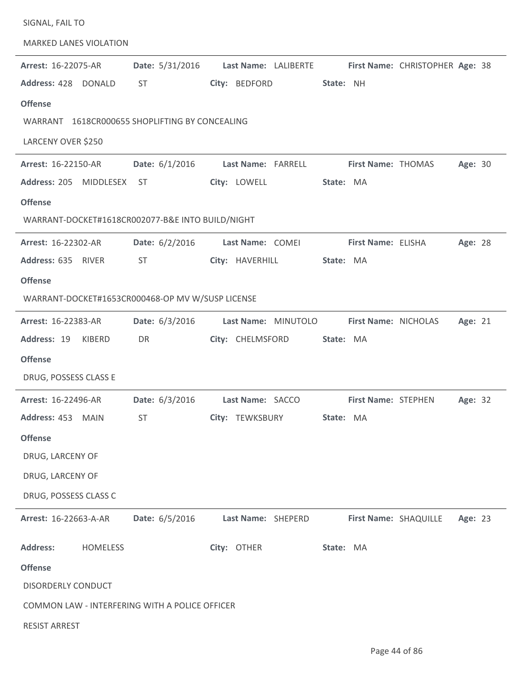| SIGNAL, FAIL TO               |                 |                                                  |                  |                     |           |                       |                                                      |         |  |
|-------------------------------|-----------------|--------------------------------------------------|------------------|---------------------|-----------|-----------------------|------------------------------------------------------|---------|--|
| <b>MARKED LANES VIOLATION</b> |                 |                                                  |                  |                     |           |                       |                                                      |         |  |
| Arrest: 16-22075-AR           |                 | Date: 5/31/2016                                  |                  |                     |           |                       | Last Name: LALIBERTE First Name: CHRISTOPHER Age: 38 |         |  |
| Address: 428 DONALD           |                 | <b>ST</b>                                        | City: BEDFORD    |                     | State: NH |                       |                                                      |         |  |
| <b>Offense</b>                |                 |                                                  |                  |                     |           |                       |                                                      |         |  |
|                               |                 | WARRANT 1618CR000655 SHOPLIFTING BY CONCEALING   |                  |                     |           |                       |                                                      |         |  |
| LARCENY OVER \$250            |                 |                                                  |                  |                     |           |                       |                                                      |         |  |
| Arrest: 16-22150-AR           |                 | Date: $6/1/2016$                                 |                  | Last Name: FARRELL  |           | First Name: THOMAS    |                                                      | Age: 30 |  |
| Address: 205 MIDDLESEX        |                 | ST                                               | City: LOWELL     |                     | State: MA |                       |                                                      |         |  |
| <b>Offense</b>                |                 |                                                  |                  |                     |           |                       |                                                      |         |  |
|                               |                 | WARRANT-DOCKET#1618CR002077-B&E INTO BUILD/NIGHT |                  |                     |           |                       |                                                      |         |  |
| Arrest: 16-22302-AR           |                 | Date: $6/2/2016$                                 | Last Name: COMEI |                     |           | First Name: ELISHA    |                                                      | Age: 28 |  |
| Address: 635 RIVER            |                 | ST                                               | City: HAVERHILL  |                     | State: MA |                       |                                                      |         |  |
| <b>Offense</b>                |                 |                                                  |                  |                     |           |                       |                                                      |         |  |
|                               |                 | WARRANT-DOCKET#1653CR000468-OP MV W/SUSP LICENSE |                  |                     |           |                       |                                                      |         |  |
| Arrest: 16-22383-AR           |                 | Date: 6/3/2016                                   |                  | Last Name: MINUTOLO |           | First Name: NICHOLAS  |                                                      | Age: 21 |  |
| Address: 19                   | KIBERD          | DR                                               | City: CHELMSFORD |                     | State: MA |                       |                                                      |         |  |
| <b>Offense</b>                |                 |                                                  |                  |                     |           |                       |                                                      |         |  |
| DRUG, POSSESS CLASS E         |                 |                                                  |                  |                     |           |                       |                                                      |         |  |
| Arrest: 16-22496-AR           |                 | <b>Date:</b> $6/3/2016$                          | Last Name: SACCO |                     |           | First Name: STEPHEN   |                                                      | Age: 32 |  |
| Address: 453 MAIN             |                 | <b>ST</b>                                        | City: TEWKSBURY  |                     | State: MA |                       |                                                      |         |  |
| <b>Offense</b>                |                 |                                                  |                  |                     |           |                       |                                                      |         |  |
| DRUG, LARCENY OF              |                 |                                                  |                  |                     |           |                       |                                                      |         |  |
| DRUG, LARCENY OF              |                 |                                                  |                  |                     |           |                       |                                                      |         |  |
| DRUG, POSSESS CLASS C         |                 |                                                  |                  |                     |           |                       |                                                      |         |  |
| Arrest: 16-22663-A-AR         |                 | Date: 6/5/2016                                   |                  | Last Name: SHEPERD  |           | First Name: SHAQUILLE |                                                      | Age: 23 |  |
| <b>Address:</b>               | <b>HOMELESS</b> |                                                  | City: OTHER      |                     | State: MA |                       |                                                      |         |  |
| <b>Offense</b>                |                 |                                                  |                  |                     |           |                       |                                                      |         |  |
| DISORDERLY CONDUCT            |                 |                                                  |                  |                     |           |                       |                                                      |         |  |
|                               |                 | COMMON LAW - INTERFERING WITH A POLICE OFFICER   |                  |                     |           |                       |                                                      |         |  |
| <b>RESIST ARREST</b>          |                 |                                                  |                  |                     |           |                       |                                                      |         |  |
|                               |                 |                                                  |                  |                     |           |                       |                                                      |         |  |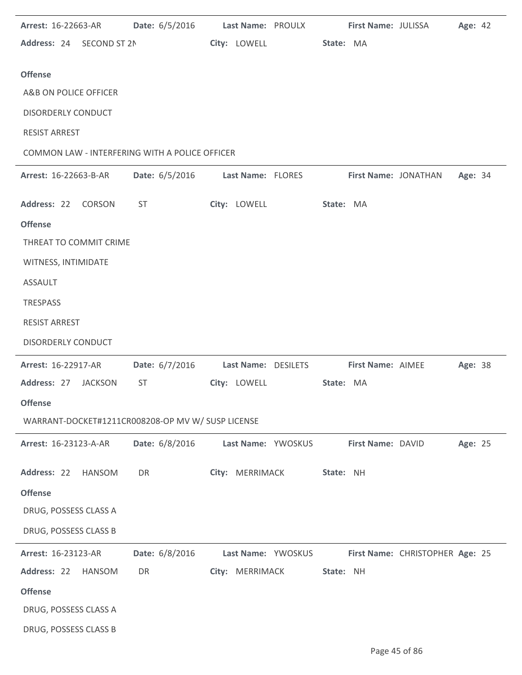| <b>Arrest: 16-22663-AR</b>               |                | Date: 6/5/2016 Last Name: PROULX First Name: JULISSA |                     |           |                   |                                 | Age: 42 |  |
|------------------------------------------|----------------|------------------------------------------------------|---------------------|-----------|-------------------|---------------------------------|---------|--|
| Address: 24 SECOND ST 2N                 |                |                                                      | City: LOWELL        | State: MA |                   |                                 |         |  |
| <b>Offense</b>                           |                |                                                      |                     |           |                   |                                 |         |  |
| A&B ON POLICE OFFICER                    |                |                                                      |                     |           |                   |                                 |         |  |
| <b>DISORDERLY CONDUCT</b>                |                |                                                      |                     |           |                   |                                 |         |  |
| <b>RESIST ARREST</b>                     |                |                                                      |                     |           |                   |                                 |         |  |
|                                          |                | COMMON LAW - INTERFERING WITH A POLICE OFFICER       |                     |           |                   |                                 |         |  |
| <b>Arrest: 16-22663-B-AR</b>             |                | <b>Date:</b> 6/5/2016                                | Last Name: FLORES   |           |                   | First Name: JONATHAN            | Age: 34 |  |
|                                          |                |                                                      |                     |           |                   |                                 |         |  |
| Address: 22 CORSON                       |                | ST                                                   | City: LOWELL        | State: MA |                   |                                 |         |  |
| <b>Offense</b><br>THREAT TO COMMIT CRIME |                |                                                      |                     |           |                   |                                 |         |  |
|                                          |                |                                                      |                     |           |                   |                                 |         |  |
| WITNESS, INTIMIDATE                      |                |                                                      |                     |           |                   |                                 |         |  |
| <b>ASSAULT</b>                           |                |                                                      |                     |           |                   |                                 |         |  |
| TRESPASS                                 |                |                                                      |                     |           |                   |                                 |         |  |
| <b>RESIST ARREST</b>                     |                |                                                      |                     |           |                   |                                 |         |  |
| <b>DISORDERLY CONDUCT</b>                |                |                                                      |                     |           |                   |                                 |         |  |
| Arrest: 16-22917-AR                      |                | Date: 6/7/2016                                       | Last Name: DESILETS |           | First Name: AIMEE |                                 | Age: 38 |  |
| Address: 27                              | <b>JACKSON</b> | <b>ST</b>                                            | City: LOWELL        | State: MA |                   |                                 |         |  |
| <b>Offense</b>                           |                |                                                      |                     |           |                   |                                 |         |  |
|                                          |                | WARRANT-DOCKET#1211CR008208-OP MV W/ SUSP LICENSE    |                     |           |                   |                                 |         |  |
| Arrest: 16-23123-A-AR                    |                | Date: 6/8/2016                                       | Last Name: YWOSKUS  |           | First Name: DAVID |                                 | Age: 25 |  |
| Address: 22                              | HANSOM         | DR                                                   | City: MERRIMACK     | State: NH |                   |                                 |         |  |
| <b>Offense</b>                           |                |                                                      |                     |           |                   |                                 |         |  |
| DRUG, POSSESS CLASS A                    |                |                                                      |                     |           |                   |                                 |         |  |
| DRUG, POSSESS CLASS B                    |                |                                                      |                     |           |                   |                                 |         |  |
| Arrest: 16-23123-AR                      |                | Date: 6/8/2016                                       | Last Name: YWOSKUS  |           |                   | First Name: CHRISTOPHER Age: 25 |         |  |
| Address: 22                              | <b>HANSOM</b>  | DR                                                   | City: MERRIMACK     | State: NH |                   |                                 |         |  |
| <b>Offense</b>                           |                |                                                      |                     |           |                   |                                 |         |  |
| DRUG, POSSESS CLASS A                    |                |                                                      |                     |           |                   |                                 |         |  |
| DRUG, POSSESS CLASS B                    |                |                                                      |                     |           |                   |                                 |         |  |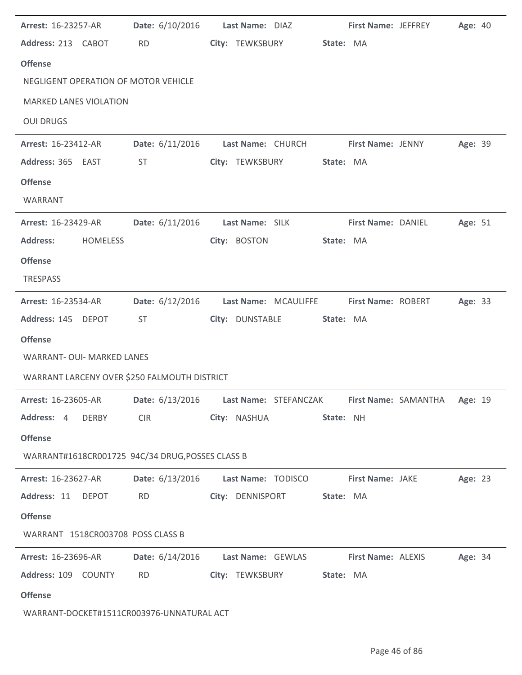| Arrest: 16-23257-AR                              |                 | Date: 6/10/2016 Last Name: DIAZ          |                         | <b>First Name: JEFFREY</b><br>Age: 40 |  |
|--------------------------------------------------|-----------------|------------------------------------------|-------------------------|---------------------------------------|--|
| Address: 213 CABOT                               | <b>RD</b>       | City: TEWKSBURY                          | State: MA               |                                       |  |
| <b>Offense</b>                                   |                 |                                          |                         |                                       |  |
| NEGLIGENT OPERATION OF MOTOR VEHICLE             |                 |                                          |                         |                                       |  |
| <b>MARKED LANES VIOLATION</b>                    |                 |                                          |                         |                                       |  |
| <b>OUI DRUGS</b>                                 |                 |                                          |                         |                                       |  |
| Arrest: 16-23412-AR                              |                 | Date: 6/11/2016 Last Name: CHURCH        | First Name: JENNY       | Age: 39                               |  |
| Address: 365 EAST                                | ST              | City: TEWKSBURY                          | State: MA               |                                       |  |
| <b>Offense</b>                                   |                 |                                          |                         |                                       |  |
| WARRANT                                          |                 |                                          |                         |                                       |  |
| <b>Arrest: 16-23429-AR</b>                       |                 | Date: 6/11/2016    Last Name: SILK       | First Name: DANIEL      | Age: 51                               |  |
| <b>Address:</b><br><b>HOMELESS</b>               |                 | City: BOSTON                             | State: MA               |                                       |  |
| <b>Offense</b>                                   |                 |                                          |                         |                                       |  |
| <b>TRESPASS</b>                                  |                 |                                          |                         |                                       |  |
| <b>Arrest: 16-23534-AR</b>                       | Date: 6/12/2016 | Last Name: MCAULIFFE                     | First Name: ROBERT      | Age: 33                               |  |
| Address: 145 DEPOT                               | <b>ST</b>       | City: DUNSTABLE                          | State: MA               |                                       |  |
| <b>Offense</b>                                   |                 |                                          |                         |                                       |  |
| <b>WARRANT- OUI- MARKED LANES</b>                |                 |                                          |                         |                                       |  |
| WARRANT LARCENY OVER \$250 FALMOUTH DISTRICT     |                 |                                          |                         |                                       |  |
| <b>Arrest: 16-23605-AR</b>                       |                 | Date: 6/13/2016    Last Name: STEFANCZAK |                         | First Name: SAMANTHA<br>Age: 19       |  |
| Address: 4 DERBY                                 |                 | CIR City: NASHUA                         | State: NH               |                                       |  |
| <b>Offense</b>                                   |                 |                                          |                         |                                       |  |
| WARRANT#1618CR001725 94C/34 DRUG, POSSES CLASS B |                 |                                          |                         |                                       |  |
| <b>Arrest: 16-23627-AR</b>                       |                 | Date: 6/13/2016    Last Name: TODISCO    | <b>First Name: JAKE</b> | Age: 23                               |  |
| Address: 11 DEPOT                                |                 | RD City: DENNISPORT State: MA            |                         |                                       |  |
| <b>Offense</b>                                   |                 |                                          |                         |                                       |  |
| WARRANT 1518CR003708 POSS CLASS B                |                 |                                          |                         |                                       |  |
| <b>Arrest: 16-23696-AR</b>                       |                 | Date: 6/14/2016 Last Name: GEWLAS        | First Name: ALEXIS      | <b>Age: 34</b>                        |  |
| Address: 109 COUNTY                              | <b>RD</b>       | City: TEWKSBURY                          | State: MA               |                                       |  |
| <b>Offense</b>                                   |                 |                                          |                         |                                       |  |
| WARRANT-DOCKET#1511CR003976-UNNATURAL ACT        |                 |                                          |                         |                                       |  |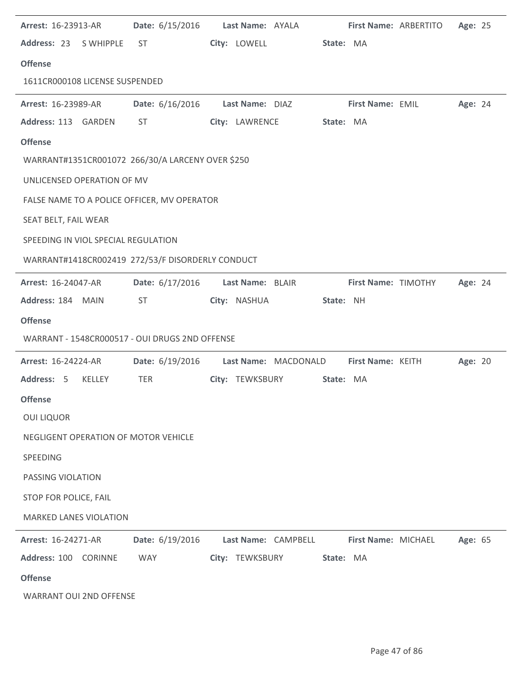| Arrest: 16-23913-AR                  |        | Date: 6/15/2016                                  | Last Name: AYALA |                      |           | First Name: ARBERTITO | Age: 25 |  |
|--------------------------------------|--------|--------------------------------------------------|------------------|----------------------|-----------|-----------------------|---------|--|
| Address: 23 SWHIPPLE                 |        | ST                                               | City: LOWELL     |                      | State: MA |                       |         |  |
| <b>Offense</b>                       |        |                                                  |                  |                      |           |                       |         |  |
| 1611CR000108 LICENSE SUSPENDED       |        |                                                  |                  |                      |           |                       |         |  |
| <b>Arrest: 16-23989-AR</b>           |        | Date: 6/16/2016                                  | Last Name: DIAZ  |                      |           | First Name: EMIL      | Age: 24 |  |
| Address: 113 GARDEN                  |        | <b>ST</b>                                        | City: LAWRENCE   |                      | State: MA |                       |         |  |
| <b>Offense</b>                       |        |                                                  |                  |                      |           |                       |         |  |
|                                      |        | WARRANT#1351CR001072 266/30/A LARCENY OVER \$250 |                  |                      |           |                       |         |  |
| UNLICENSED OPERATION OF MV           |        |                                                  |                  |                      |           |                       |         |  |
|                                      |        | FALSE NAME TO A POLICE OFFICER, MV OPERATOR      |                  |                      |           |                       |         |  |
| SEAT BELT, FAIL WEAR                 |        |                                                  |                  |                      |           |                       |         |  |
| SPEEDING IN VIOL SPECIAL REGULATION  |        |                                                  |                  |                      |           |                       |         |  |
|                                      |        | WARRANT#1418CR002419 272/53/F DISORDERLY CONDUCT |                  |                      |           |                       |         |  |
| Arrest: 16-24047-AR                  |        | Date: 6/17/2016                                  | Last Name: BLAIR |                      |           | First Name: TIMOTHY   | Age: 24 |  |
| Address: 184 MAIN                    |        | <b>ST</b>                                        | City: NASHUA     |                      | State: NH |                       |         |  |
|                                      |        |                                                  |                  |                      |           |                       |         |  |
| <b>Offense</b>                       |        |                                                  |                  |                      |           |                       |         |  |
|                                      |        | WARRANT - 1548CR000517 - OUI DRUGS 2ND OFFENSE   |                  |                      |           |                       |         |  |
| Arrest: 16-24224-AR                  |        | Date: 6/19/2016                                  |                  | Last Name: MACDONALD |           | First Name: KEITH     | Age: 20 |  |
| Address: 5                           | KELLEY | TER                                              | City: TEWKSBURY  |                      | State: MA |                       |         |  |
| <b>Offense</b>                       |        |                                                  |                  |                      |           |                       |         |  |
| <b>OUI LIQUOR</b>                    |        |                                                  |                  |                      |           |                       |         |  |
| NEGLIGENT OPERATION OF MOTOR VEHICLE |        |                                                  |                  |                      |           |                       |         |  |
| SPEEDING                             |        |                                                  |                  |                      |           |                       |         |  |
| PASSING VIOLATION                    |        |                                                  |                  |                      |           |                       |         |  |
| STOP FOR POLICE, FAIL                |        |                                                  |                  |                      |           |                       |         |  |
| <b>MARKED LANES VIOLATION</b>        |        |                                                  |                  |                      |           |                       |         |  |
| Arrest: 16-24271-AR                  |        | Date: 6/19/2016                                  |                  | Last Name: CAMPBELL  |           | First Name: MICHAEL   | Age: 65 |  |
| Address: 100 CORINNE                 |        | WAY                                              |                  | City: TEWKSBURY      | State: MA |                       |         |  |
| <b>Offense</b>                       |        |                                                  |                  |                      |           |                       |         |  |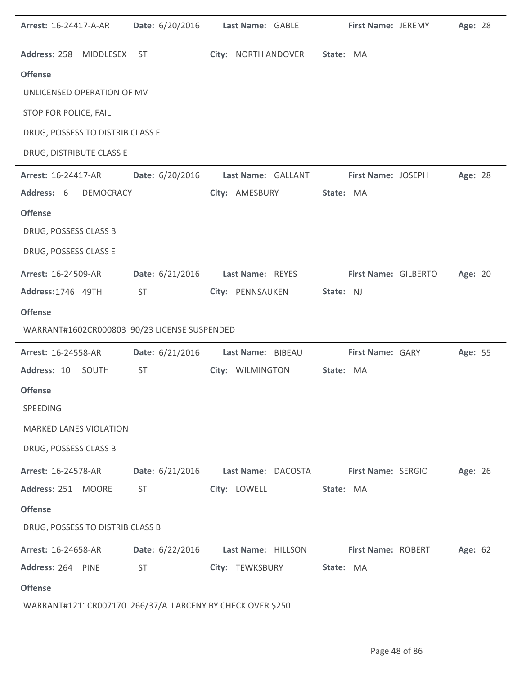| <b>Arrest: 16-24417-A-AR</b>                              |           | Date: 6/20/2016 | Last Name: GABLE   |                     |           | First Name: JEREMY   | Age: 28 |  |
|-----------------------------------------------------------|-----------|-----------------|--------------------|---------------------|-----------|----------------------|---------|--|
| Address: 258 MIDDLESEX                                    |           | ST              |                    | City: NORTH ANDOVER | State: MA |                      |         |  |
| <b>Offense</b>                                            |           |                 |                    |                     |           |                      |         |  |
| UNLICENSED OPERATION OF MV                                |           |                 |                    |                     |           |                      |         |  |
| STOP FOR POLICE, FAIL                                     |           |                 |                    |                     |           |                      |         |  |
| DRUG, POSSESS TO DISTRIB CLASS E                          |           |                 |                    |                     |           |                      |         |  |
| DRUG, DISTRIBUTE CLASS E                                  |           |                 |                    |                     |           |                      |         |  |
| Arrest: 16-24417-AR                                       |           | Date: 6/20/2016 |                    | Last Name: GALLANT  |           | First Name: JOSEPH   | Age: 28 |  |
| Address: 6                                                | DEMOCRACY |                 | City: AMESBURY     |                     | State: MA |                      |         |  |
| <b>Offense</b>                                            |           |                 |                    |                     |           |                      |         |  |
| DRUG, POSSESS CLASS B                                     |           |                 |                    |                     |           |                      |         |  |
| DRUG, POSSESS CLASS E                                     |           |                 |                    |                     |           |                      |         |  |
| Arrest: 16-24509-AR                                       |           | Date: 6/21/2016 | Last Name: REYES   |                     |           | First Name: GILBERTO | Age: 20 |  |
| Address: 1746 49TH                                        |           | <b>ST</b>       | City: PENNSAUKEN   |                     | State: NJ |                      |         |  |
| <b>Offense</b>                                            |           |                 |                    |                     |           |                      |         |  |
| WARRANT#1602CR000803 90/23 LICENSE SUSPENDED              |           |                 |                    |                     |           |                      |         |  |
| Arrest: 16-24558-AR                                       |           | Date: 6/21/2016 | Last Name: BIBEAU  |                     |           | First Name: GARY     | Age: 55 |  |
| Address: 10 SOUTH                                         |           | <b>ST</b>       |                    | City: WILMINGTON    | State: MA |                      |         |  |
| <b>Offense</b>                                            |           |                 |                    |                     |           |                      |         |  |
| SPEEDING                                                  |           |                 |                    |                     |           |                      |         |  |
| <b>MARKED LANES VIOLATION</b>                             |           |                 |                    |                     |           |                      |         |  |
| DRUG, POSSESS CLASS B                                     |           |                 |                    |                     |           |                      |         |  |
| Arrest: 16-24578-AR                                       |           | Date: 6/21/2016 |                    | Last Name: DACOSTA  |           | First Name: SERGIO   | Age: 26 |  |
| Address: 251 MOORE                                        |           | <b>ST</b>       | City: LOWELL       |                     | State: MA |                      |         |  |
| <b>Offense</b>                                            |           |                 |                    |                     |           |                      |         |  |
| DRUG, POSSESS TO DISTRIB CLASS B                          |           |                 |                    |                     |           |                      |         |  |
| Arrest: 16-24658-AR                                       |           | Date: 6/22/2016 | Last Name: HILLSON |                     |           | First Name: ROBERT   | Age: 62 |  |
| Address: 264 PINE                                         |           | <b>ST</b>       | City: TEWKSBURY    |                     | State: MA |                      |         |  |
| <b>Offense</b>                                            |           |                 |                    |                     |           |                      |         |  |
| WARRANT#1211CR007170 266/37/A LARCENY BY CHECK OVER \$250 |           |                 |                    |                     |           |                      |         |  |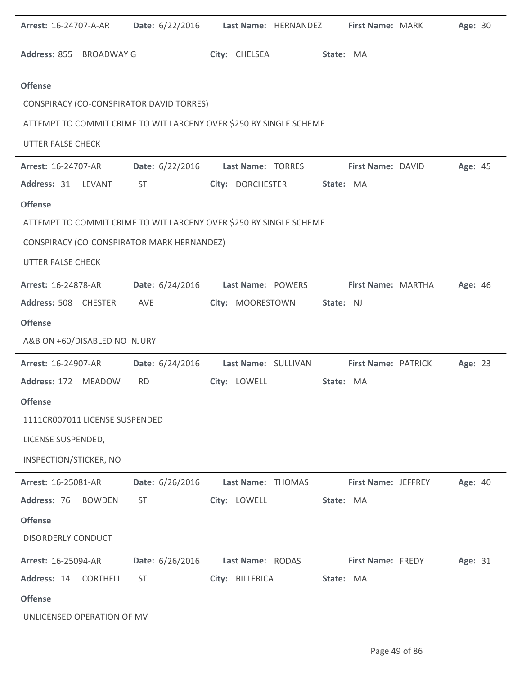| Arrest: 16-24707-A-AR                      | Date: 6/22/2016 | Last Name: HERNANDEZ                                               | First Name: MARK           | Age: 30 |
|--------------------------------------------|-----------------|--------------------------------------------------------------------|----------------------------|---------|
| Address: 855 BROADWAY G                    |                 | City: CHELSEA                                                      | State: MA                  |         |
| <b>Offense</b>                             |                 |                                                                    |                            |         |
| CONSPIRACY (CO-CONSPIRATOR DAVID TORRES)   |                 |                                                                    |                            |         |
|                                            |                 | ATTEMPT TO COMMIT CRIME TO WIT LARCENY OVER \$250 BY SINGLE SCHEME |                            |         |
| <b>UTTER FALSE CHECK</b>                   |                 |                                                                    |                            |         |
| Arrest: 16-24707-AR                        | Date: 6/22/2016 | Last Name: TORRES                                                  | First Name: DAVID          | Age: 45 |
| Address: 31<br>LEVANT                      | <b>ST</b>       | City: DORCHESTER                                                   | State: MA                  |         |
| <b>Offense</b>                             |                 |                                                                    |                            |         |
|                                            |                 | ATTEMPT TO COMMIT CRIME TO WIT LARCENY OVER \$250 BY SINGLE SCHEME |                            |         |
| CONSPIRACY (CO-CONSPIRATOR MARK HERNANDEZ) |                 |                                                                    |                            |         |
| <b>UTTER FALSE CHECK</b>                   |                 |                                                                    |                            |         |
| Arrest: 16-24878-AR                        | Date: 6/24/2016 | Last Name: POWERS                                                  | First Name: MARTHA         | Age: 46 |
| Address: 508 CHESTER                       | AVE             | City: MOORESTOWN                                                   | State: NJ                  |         |
| <b>Offense</b>                             |                 |                                                                    |                            |         |
| A&B ON +60/DISABLED NO INJURY              |                 |                                                                    |                            |         |
| Arrest: 16-24907-AR                        | Date: 6/24/2016 | Last Name: SULLIVAN                                                | First Name: PATRICK        | Age: 23 |
| Address: 172 MEADOW                        | <b>RD</b>       | City: LOWELL                                                       | State: MA                  |         |
| <b>Offense</b>                             |                 |                                                                    |                            |         |
| 1111CR007011 LICENSE SUSPENDED             |                 |                                                                    |                            |         |
| LICENSE SUSPENDED,                         |                 |                                                                    |                            |         |
| INSPECTION/STICKER, NO                     |                 |                                                                    |                            |         |
| Arrest: 16-25081-AR                        | Date: 6/26/2016 | Last Name: THOMAS                                                  | <b>First Name: JEFFREY</b> | Age: 40 |
| Address: 76<br>BOWDEN                      | <b>ST</b>       | City: LOWELL                                                       | State: MA                  |         |
| <b>Offense</b>                             |                 |                                                                    |                            |         |
| <b>DISORDERLY CONDUCT</b>                  |                 |                                                                    |                            |         |
| <b>Arrest: 16-25094-AR</b>                 | Date: 6/26/2016 | Last Name: RODAS                                                   | <b>First Name: FREDY</b>   | Age: 31 |
| Address: 14<br><b>CORTHELL</b>             | <b>ST</b>       | City: BILLERICA                                                    | State: MA                  |         |
| <b>Offense</b>                             |                 |                                                                    |                            |         |
| UNLICENSED OPERATION OF MV                 |                 |                                                                    |                            |         |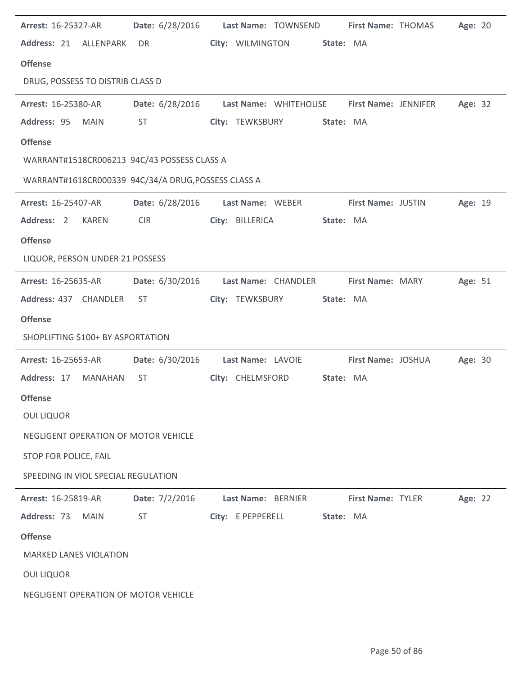| <b>Arrest: 16-25327-AR</b>                          |                        | Date: 6/28/2016    Last Name: TOWNSEND     | First Name: THOMAS        | Age: 20 |
|-----------------------------------------------------|------------------------|--------------------------------------------|---------------------------|---------|
| Address: 21 ALLENPARK                               | DR                     | City: WILMINGTON                           | State: MA                 |         |
| <b>Offense</b>                                      |                        |                                            |                           |         |
| DRUG, POSSESS TO DISTRIB CLASS D                    |                        |                                            |                           |         |
| Arrest: 16-25380-AR                                 | Date: 6/28/2016        | Last Name: WHITEHOUSE First Name: JENNIFER |                           | Age: 32 |
| Address: 95<br><b>MAIN</b>                          | <b>ST</b>              | City: TEWKSBURY                            | State: MA                 |         |
| <b>Offense</b>                                      |                        |                                            |                           |         |
| WARRANT#1518CR006213 94C/43 POSSESS CLASS A         |                        |                                            |                           |         |
| WARRANT#1618CR000339 94C/34/A DRUG, POSSESS CLASS A |                        |                                            |                           |         |
| Arrest: 16-25407-AR                                 |                        | Date: 6/28/2016 Last Name: WEBER           | <b>First Name: JUSTIN</b> | Age: 19 |
| Address: 2<br>KAREN                                 | <b>CIR</b>             | City: BILLERICA                            | State: MA                 |         |
| <b>Offense</b>                                      |                        |                                            |                           |         |
| LIQUOR, PERSON UNDER 21 POSSESS                     |                        |                                            |                           |         |
| <b>Arrest: 16-25635-AR</b>                          | Date: 6/30/2016        | Last Name: CHANDLER                        | <b>First Name: MARY</b>   | Age: 51 |
| Address: 437 CHANDLER                               | ST                     | City: TEWKSBURY                            | State: MA                 |         |
| <b>Offense</b>                                      |                        |                                            |                           |         |
| SHOPLIFTING \$100+ BY ASPORTATION                   |                        |                                            |                           |         |
| <b>Arrest: 16-25653-AR</b>                          | <b>Date:</b> 6/30/2016 | Last Name: LAVOIE                          | First Name: JOSHUA        | Age: 30 |
| Address: 17<br>MANAHAN                              | ST                     | City: CHELMSFORD                           | State: MA                 |         |
| <b>Offense</b>                                      |                        |                                            |                           |         |
| <b>OUI LIQUOR</b>                                   |                        |                                            |                           |         |
| NEGLIGENT OPERATION OF MOTOR VEHICLE                |                        |                                            |                           |         |
| STOP FOR POLICE, FAIL                               |                        |                                            |                           |         |
| SPEEDING IN VIOL SPECIAL REGULATION                 |                        |                                            |                           |         |
| <b>Arrest: 16-25819-AR</b>                          | Date: 7/2/2016         | Last Name: BERNIER                         | <b>First Name: TYLER</b>  | Age: 22 |
| Address: 73<br><b>MAIN</b>                          | <b>ST</b>              | City: E PEPPERELL                          | State: MA                 |         |
| <b>Offense</b>                                      |                        |                                            |                           |         |
| <b>MARKED LANES VIOLATION</b>                       |                        |                                            |                           |         |
| <b>OUI LIQUOR</b>                                   |                        |                                            |                           |         |
| NEGLIGENT OPERATION OF MOTOR VEHICLE                |                        |                                            |                           |         |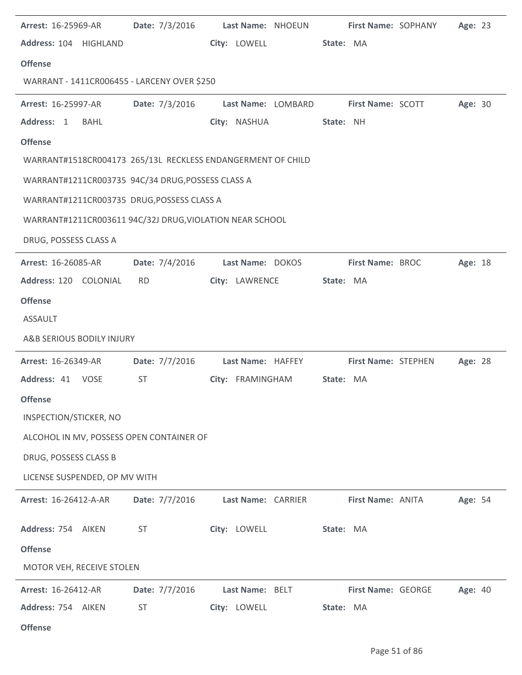| <b>Arrest: 16-25969-AR</b>                                  | <b>Date:</b> $7/3/2016$ | Last Name: NHOEUN  | First Name: SOPHANY        | Age: 23 |
|-------------------------------------------------------------|-------------------------|--------------------|----------------------------|---------|
| Address: 104 HIGHLAND                                       |                         | City: LOWELL       | State: MA                  |         |
| <b>Offense</b>                                              |                         |                    |                            |         |
| WARRANT - 1411CR006455 - LARCENY OVER \$250                 |                         |                    |                            |         |
| <b>Arrest: 16-25997-AR</b>                                  | Date: 7/3/2016          | Last Name: LOMBARD | <b>First Name: SCOTT</b>   | Age: 30 |
| Address: 1<br><b>BAHL</b>                                   |                         | City: NASHUA       | State: NH                  |         |
| <b>Offense</b>                                              |                         |                    |                            |         |
| WARRANT#1518CR004173 265/13L RECKLESS ENDANGERMENT OF CHILD |                         |                    |                            |         |
| WARRANT#1211CR003735 94C/34 DRUG, POSSESS CLASS A           |                         |                    |                            |         |
| WARRANT#1211CR003735 DRUG, POSSESS CLASS A                  |                         |                    |                            |         |
| WARRANT#1211CR003611 94C/32J DRUG, VIOLATION NEAR SCHOOL    |                         |                    |                            |         |
| DRUG, POSSESS CLASS A                                       |                         |                    |                            |         |
| <b>Arrest: 16-26085-AR</b>                                  | Date: 7/4/2016          | Last Name: DOKOS   | <b>First Name: BROC</b>    | Age: 18 |
| Address: 120 COLONIAL                                       | <b>RD</b>               | City: LAWRENCE     | State: MA                  |         |
| <b>Offense</b>                                              |                         |                    |                            |         |
| <b>ASSAULT</b>                                              |                         |                    |                            |         |
| A&B SERIOUS BODILY INJURY                                   |                         |                    |                            |         |
| Arrest: 16-26349-AR                                         | Date: 7/7/2016          | Last Name: HAFFEY  | <b>First Name: STEPHEN</b> | Age: 28 |
| Address: 41 VOSE                                            | <b>ST</b>               | City: FRAMINGHAM   | State: MA                  |         |
| <b>Offense</b>                                              |                         |                    |                            |         |
| INSPECTION/STICKER, NO                                      |                         |                    |                            |         |
| ALCOHOL IN MV, POSSESS OPEN CONTAINER OF                    |                         |                    |                            |         |
| DRUG, POSSESS CLASS B                                       |                         |                    |                            |         |
| LICENSE SUSPENDED, OP MV WITH                               |                         |                    |                            |         |
| Arrest: 16-26412-A-AR                                       | Date: 7/7/2016          | Last Name: CARRIER | First Name: ANITA          | Age: 54 |
| Address: 754 AIKEN                                          | <b>ST</b>               | City: LOWELL       | State: MA                  |         |
| <b>Offense</b>                                              |                         |                    |                            |         |
| MOTOR VEH, RECEIVE STOLEN                                   |                         |                    |                            |         |
| <b>Arrest: 16-26412-AR</b>                                  | Date: 7/7/2016          | Last Name: BELT    | First Name: GEORGE         | Age: 40 |
| Address: 754 AIKEN                                          | <b>ST</b>               | City: LOWELL       | State: MA                  |         |
|                                                             |                         |                    |                            |         |

÷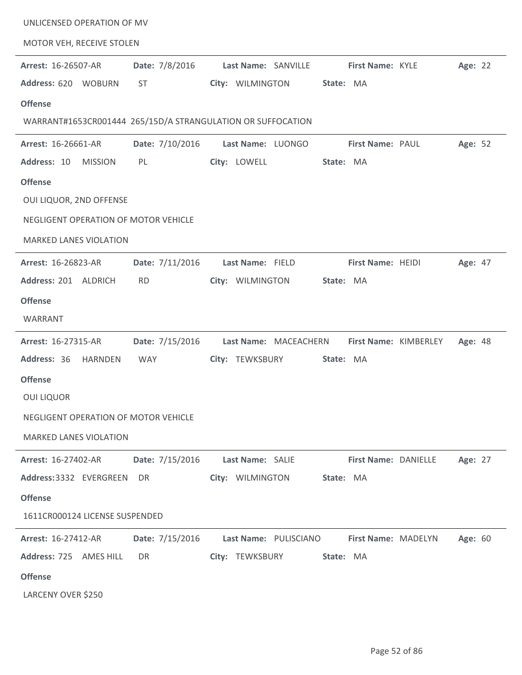| UNLICENSED OPERATION OF MV                                                                                                                                                 |                               |                                                             |                                   |                       |         |
|----------------------------------------------------------------------------------------------------------------------------------------------------------------------------|-------------------------------|-------------------------------------------------------------|-----------------------------------|-----------------------|---------|
| MOTOR VEH, RECEIVE STOLEN                                                                                                                                                  |                               |                                                             |                                   |                       |         |
| Arrest: 16-26507-AR<br>Address: 620 WOBURN                                                                                                                                 | Date: 7/8/2016<br><b>ST</b>   | Last Name: SANVILLE<br>City: WILMINGTON                     | First Name: KYLE<br>State: MA     |                       | Age: 22 |
| <b>Offense</b>                                                                                                                                                             |                               | WARRANT#1653CR001444 265/15D/A STRANGULATION OR SUFFOCATION |                                   |                       |         |
| Arrest: 16-26661-AR<br>Address: 10<br><b>MISSION</b><br><b>Offense</b><br>OUI LIQUOR, 2ND OFFENSE<br>NEGLIGENT OPERATION OF MOTOR VEHICLE<br><b>MARKED LANES VIOLATION</b> | Date: 7/10/2016<br>PL         | Last Name: LUONGO<br>City: LOWELL                           | First Name: PAUL<br>State: MA     |                       | Age: 52 |
| Arrest: 16-26823-AR<br>Address: 201 ALDRICH<br><b>Offense</b><br>WARRANT                                                                                                   | Date: 7/11/2016<br><b>RD</b>  | Last Name: FIELD<br>City: WILMINGTON                        | First Name: HEIDI<br>State: MA    |                       | Age: 47 |
| Arrest: 16-27315-AR<br>Address: 36<br><b>HARNDEN</b><br><b>Offense</b><br><b>OUI LIQUOR</b><br>NEGLIGENT OPERATION OF MOTOR VEHICLE<br><b>MARKED LANES VIOLATION</b>       | Date: 7/15/2016<br><b>WAY</b> | Last Name: MACEACHERN<br>City: TEWKSBURY                    | State: MA                         | First Name: KIMBERLEY | Age: 48 |
| <b>Arrest: 16-27402-AR</b><br>Address: 3332 EVERGREEN<br><b>Offense</b><br>1611CR000124 LICENSE SUSPENDED                                                                  | Date: 7/15/2016<br>DR.        | Last Name: SALIE<br>City: WILMINGTON                        | First Name: DANIELLE<br>State: MA |                       | Age: 27 |
| Arrest: 16-27412-AR<br>Address: 725 AMES HILL<br><b>Offense</b><br>LARCENY OVER \$250                                                                                      | Date: 7/15/2016<br><b>DR</b>  | Last Name: PULISCIANO<br>City: TEWKSBURY                    | First Name: MADELYN<br>State: MA  |                       | Age: 60 |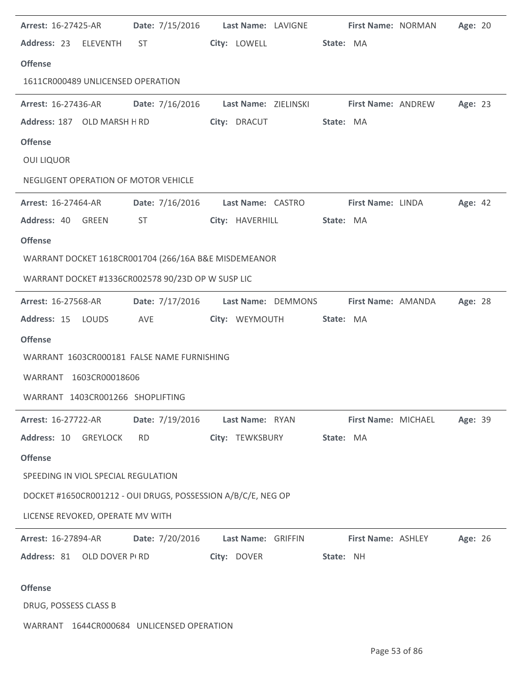| Arrest: 16-27425-AR                                          |                 | Date: 7/15/2016    Last Name: LAVIGNE                   | <b>First Name: NORMAN</b> | Age: 20                       |
|--------------------------------------------------------------|-----------------|---------------------------------------------------------|---------------------------|-------------------------------|
| Address: 23 ELEVENTH ST                                      |                 | City: LOWELL                                            | State: MA                 |                               |
| <b>Offense</b>                                               |                 |                                                         |                           |                               |
| 1611CR000489 UNLICENSED OPERATION                            |                 |                                                         |                           |                               |
| <b>Arrest: 16-27436-AR</b>                                   |                 | Date: 7/16/2016 Last Name: ZIELINSKI First Name: ANDREW |                           | Age: 23                       |
| Address: 187 OLD MARSH H RD                                  |                 | City: DRACUT                                            | State: MA                 |                               |
| <b>Offense</b>                                               |                 |                                                         |                           |                               |
| <b>OUI LIQUOR</b>                                            |                 |                                                         |                           |                               |
| NEGLIGENT OPERATION OF MOTOR VEHICLE                         |                 |                                                         |                           |                               |
| <b>Arrest: 16-27464-AR</b>                                   |                 | Date: 7/16/2016    Last Name: CASTRO                    | <b>First Name: LINDA</b>  | Age: 42                       |
| Address: 40 GREEN                                            | ST              | City: HAVERHILL                                         | State: MA                 |                               |
| <b>Offense</b>                                               |                 |                                                         |                           |                               |
| WARRANT DOCKET 1618CR001704 (266/16A B&E MISDEMEANOR         |                 |                                                         |                           |                               |
| WARRANT DOCKET #1336CR002578 90/23D OP W SUSP LIC            |                 |                                                         |                           |                               |
| <b>Arrest: 16-27568-AR</b>                                   | Date: 7/17/2016 | Last Name: DEMMONS                                      |                           | Age: 28<br>First Name: AMANDA |
| Address: 15 LOUDS                                            | AVE             | City: WEYMOUTH                                          | State: MA                 |                               |
| <b>Offense</b>                                               |                 |                                                         |                           |                               |
| WARRANT 1603CR000181 FALSE NAME FURNISHING                   |                 |                                                         |                           |                               |
| WARRANT 1603CR00018606                                       |                 |                                                         |                           |                               |
| WARRANT 1403CR001266 SHOPLIFTING                             |                 |                                                         |                           |                               |
| Arrest: 16-27722-AR                                          | Date: 7/19/2016 | Last Name: RYAN                                         | First Name: MICHAEL       | Age: 39                       |
| Address: 10 GREYLOCK                                         | <b>RD</b>       | City: TEWKSBURY                                         | State: MA                 |                               |
| <b>Offense</b>                                               |                 |                                                         |                           |                               |
| SPEEDING IN VIOL SPECIAL REGULATION                          |                 |                                                         |                           |                               |
| DOCKET #1650CR001212 - OUI DRUGS, POSSESSION A/B/C/E, NEG OP |                 |                                                         |                           |                               |
| LICENSE REVOKED, OPERATE MV WITH                             |                 |                                                         |                           |                               |
| Arrest: 16-27894-AR                                          | Date: 7/20/2016 | Last Name: GRIFFIN                                      | <b>First Name: ASHLEY</b> | Age: 26                       |
| Address: 81 OLD DOVER PI RD                                  |                 | City: DOVER                                             | State: NH                 |                               |
| <b>Offense</b>                                               |                 |                                                         |                           |                               |
| DRUG, POSSESS CLASS B                                        |                 |                                                         |                           |                               |
|                                                              |                 |                                                         |                           |                               |

WARRANT 1644CR000684 UNLICENSED OPERATION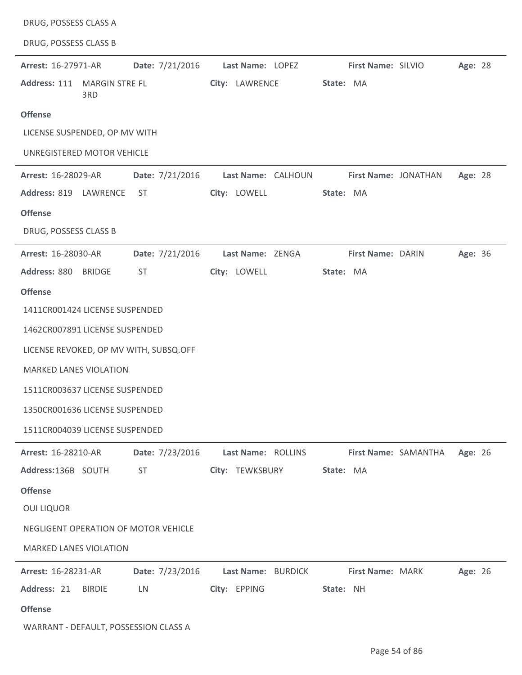| DRUG, POSSESS CLASS A                      |                    |                                 |
|--------------------------------------------|--------------------|---------------------------------|
| DRUG, POSSESS CLASS B                      |                    |                                 |
| Date: 7/21/2016<br>Arrest: 16-27971-AR     | Last Name: LOPEZ   | First Name: SILVIO<br>Age: 28   |
| Address: 111 MARGIN STRE FL<br>3RD         | City: LAWRENCE     | State: MA                       |
| <b>Offense</b>                             |                    |                                 |
| LICENSE SUSPENDED, OP MV WITH              |                    |                                 |
| UNREGISTERED MOTOR VEHICLE                 |                    |                                 |
| Arrest: 16-28029-AR<br>Date: 7/21/2016     | Last Name: CALHOUN | First Name: JONATHAN<br>Age: 28 |
| Address: 819<br>LAWRENCE<br><b>ST</b>      | City: LOWELL       | State: MA                       |
| <b>Offense</b>                             |                    |                                 |
| DRUG, POSSESS CLASS B                      |                    |                                 |
| Arrest: 16-28030-AR<br>Date: 7/21/2016     | Last Name: ZENGA   | First Name: DARIN<br>Age: 36    |
| Address: 880<br><b>BRIDGE</b><br><b>ST</b> | City: LOWELL       | State: MA                       |
| <b>Offense</b>                             |                    |                                 |
| 1411CR001424 LICENSE SUSPENDED             |                    |                                 |
| 1462CR007891 LICENSE SUSPENDED             |                    |                                 |
| LICENSE REVOKED, OP MV WITH, SUBSQ.OFF     |                    |                                 |
| <b>MARKED LANES VIOLATION</b>              |                    |                                 |
| 1511CR003637 LICENSE SUSPENDED             |                    |                                 |
| 1350CR001636 LICENSE SUSPENDED             |                    |                                 |
| 1511CR004039 LICENSE SUSPENDED             |                    |                                 |
| Date: 7/23/2016<br>Arrest: 16-28210-AR     | Last Name: ROLLINS | Age: 26<br>First Name: SAMANTHA |
| Address:136B SOUTH<br><b>ST</b>            | City: TEWKSBURY    | State: MA                       |
| <b>Offense</b>                             |                    |                                 |
| <b>OUI LIQUOR</b>                          |                    |                                 |
| NEGLIGENT OPERATION OF MOTOR VEHICLE       |                    |                                 |
| <b>MARKED LANES VIOLATION</b>              |                    |                                 |
| Date: 7/23/2016<br>Arrest: 16-28231-AR     | Last Name: BURDICK | First Name: MARK<br>Age: 26     |
| Address: 21<br><b>BIRDIE</b><br>LN         | City: EPPING       | State: NH                       |
| <b>Offense</b>                             |                    |                                 |
| WARRANT - DEFAULT, POSSESSION CLASS A      |                    |                                 |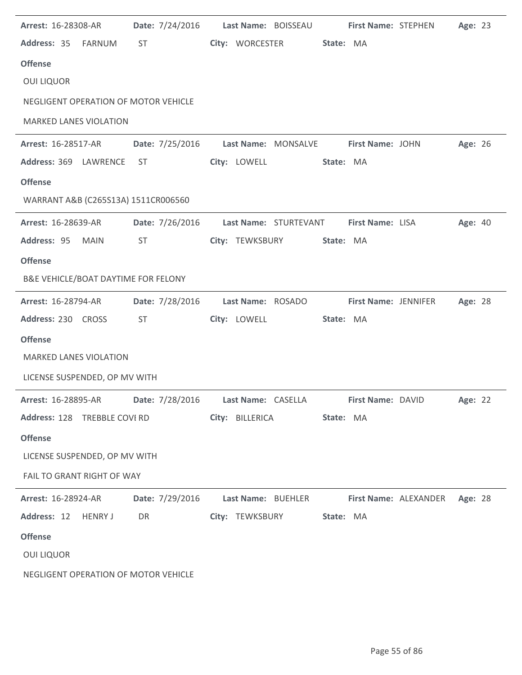| Arrest: 16-28308-AR                                                              |                                                                                                                                                                                                                                          |  |                 | Date: 7/24/2016 Last Name: BOISSEAU |           | First Name: STEPHEN                  |                                                                  | Age: 23 |  |
|----------------------------------------------------------------------------------|------------------------------------------------------------------------------------------------------------------------------------------------------------------------------------------------------------------------------------------|--|-----------------|-------------------------------------|-----------|--------------------------------------|------------------------------------------------------------------|---------|--|
| Address: 35 FARNUM                                                               | <b>ST</b>                                                                                                                                                                                                                                |  |                 | City: WORCESTER                     | State: MA |                                      |                                                                  |         |  |
| <b>Offense</b>                                                                   |                                                                                                                                                                                                                                          |  |                 |                                     |           |                                      |                                                                  |         |  |
| <b>OUI LIQUOR</b>                                                                |                                                                                                                                                                                                                                          |  |                 |                                     |           |                                      |                                                                  |         |  |
| NEGLIGENT OPERATION OF MOTOR VEHICLE                                             |                                                                                                                                                                                                                                          |  |                 |                                     |           |                                      |                                                                  |         |  |
| <b>MARKED LANES VIOLATION</b>                                                    |                                                                                                                                                                                                                                          |  |                 |                                     |           |                                      |                                                                  |         |  |
| Arrest: 16-28517-AR                                                              | Date: 7/25/2016                                                                                                                                                                                                                          |  |                 |                                     |           | Last Name: MONSALVE First Name: JOHN |                                                                  | Age: 26 |  |
| Address: 369 LAWRENCE                                                            | ST                                                                                                                                                                                                                                       |  | City: LOWELL    |                                     | State: MA |                                      |                                                                  |         |  |
| <b>Offense</b>                                                                   |                                                                                                                                                                                                                                          |  |                 |                                     |           |                                      |                                                                  |         |  |
| WARRANT A&B (C265S13A) 1511CR006560                                              |                                                                                                                                                                                                                                          |  |                 |                                     |           |                                      |                                                                  |         |  |
| Arrest: 16-28639-AR                                                              | Date: 7/26/2016                                                                                                                                                                                                                          |  |                 | Last Name: STURTEVANT               |           | First Name: LISA                     |                                                                  | Age: 40 |  |
| Address: 95 MAIN                                                                 | <b>ST</b>                                                                                                                                                                                                                                |  | City: TEWKSBURY |                                     | State: MA |                                      |                                                                  |         |  |
| <b>Offense</b>                                                                   |                                                                                                                                                                                                                                          |  |                 |                                     |           |                                      |                                                                  |         |  |
| B&E VEHICLE/BOAT DAYTIME FOR FELONY                                              |                                                                                                                                                                                                                                          |  |                 |                                     |           |                                      |                                                                  |         |  |
| Arrest: 16-28794-AR                                                              | Date: 7/28/2016                                                                                                                                                                                                                          |  |                 | Last Name: ROSADO                   |           | First Name: JENNIFER                 |                                                                  | Age: 28 |  |
| Address: 230 CROSS                                                               | <b>ST</b>                                                                                                                                                                                                                                |  | City: LOWELL    |                                     | State: MA |                                      |                                                                  |         |  |
| <b>Offense</b>                                                                   |                                                                                                                                                                                                                                          |  |                 |                                     |           |                                      |                                                                  |         |  |
| <b>MARKED LANES VIOLATION</b>                                                    |                                                                                                                                                                                                                                          |  |                 |                                     |           |                                      |                                                                  |         |  |
| LICENSE SUSPENDED, OP MV WITH                                                    |                                                                                                                                                                                                                                          |  |                 |                                     |           |                                      |                                                                  |         |  |
| Arrest: 16-28895-AR Date: 7/28/2016 Last Name: CASELLA First Name: DAVID Age: 22 |                                                                                                                                                                                                                                          |  |                 |                                     |           |                                      |                                                                  |         |  |
| Address: 128 TREBBLE COVI RD                                                     |                                                                                                                                                                                                                                          |  |                 | City: BILLERICA State: MA           |           |                                      |                                                                  |         |  |
| <b>Offense</b>                                                                   |                                                                                                                                                                                                                                          |  |                 |                                     |           |                                      |                                                                  |         |  |
| LICENSE SUSPENDED, OP MV WITH                                                    |                                                                                                                                                                                                                                          |  |                 |                                     |           |                                      |                                                                  |         |  |
| FAIL TO GRANT RIGHT OF WAY                                                       |                                                                                                                                                                                                                                          |  |                 |                                     |           |                                      |                                                                  |         |  |
| <b>Arrest: 16-28924-AR</b>                                                       |                                                                                                                                                                                                                                          |  |                 |                                     |           |                                      | Date: 7/29/2016 Last Name: BUEHLER First Name: ALEXANDER Age: 28 |         |  |
| Address: 12 HENRY J                                                              | DR <sub>2</sub> and the set of the set of the set of the set of the set of the set of the set of the set of the set of the set of the set of the set of the set of the set of the set of the set of the set of the set of the set of the |  |                 | City: TEWKSBURY State: MA           |           |                                      |                                                                  |         |  |
| <b>Offense</b>                                                                   |                                                                                                                                                                                                                                          |  |                 |                                     |           |                                      |                                                                  |         |  |
| <b>OUI LIQUOR</b>                                                                |                                                                                                                                                                                                                                          |  |                 |                                     |           |                                      |                                                                  |         |  |
| NEGLIGENT OPERATION OF MOTOR VEHICLE                                             |                                                                                                                                                                                                                                          |  |                 |                                     |           |                                      |                                                                  |         |  |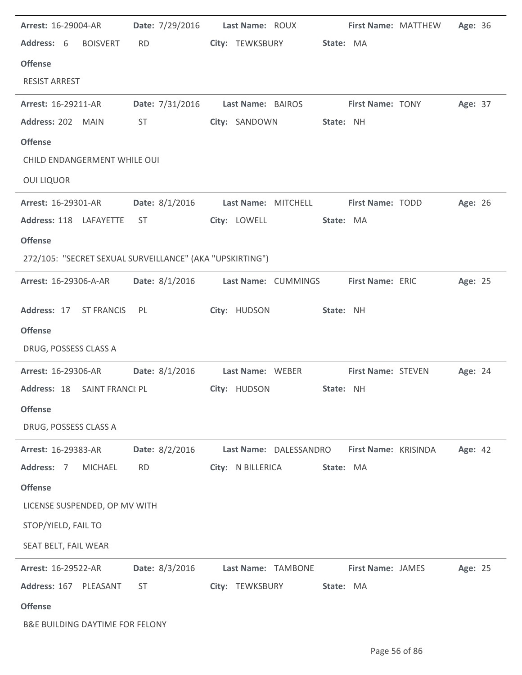| Arrest: 16-29004-AR                                      | Date: 7/29/2016  | Last Name: ROUX        |           | First Name: MATTHEW       | Age: 36 |  |
|----------------------------------------------------------|------------------|------------------------|-----------|---------------------------|---------|--|
| Address: 6<br><b>BOISVERT</b>                            | <b>RD</b>        | City: TEWKSBURY        | State: MA |                           |         |  |
| <b>Offense</b>                                           |                  |                        |           |                           |         |  |
| <b>RESIST ARREST</b>                                     |                  |                        |           |                           |         |  |
| Arrest: 16-29211-AR                                      | Date: 7/31/2016  | Last Name: BAIROS      |           | <b>First Name: TONY</b>   | Age: 37 |  |
| Address: 202 MAIN                                        | ST               | City: SANDOWN          | State: NH |                           |         |  |
| <b>Offense</b>                                           |                  |                        |           |                           |         |  |
| CHILD ENDANGERMENT WHILE OUI                             |                  |                        |           |                           |         |  |
| <b>OUI LIQUOR</b>                                        |                  |                        |           |                           |         |  |
| <b>Arrest: 16-29301-AR</b>                               | Date: 8/1/2016   | Last Name: MITCHELL    |           | <b>First Name: TODD</b>   | Age: 26 |  |
| Address: 118 LAFAYETTE                                   | ST.              | City: LOWELL           | State: MA |                           |         |  |
| <b>Offense</b>                                           |                  |                        |           |                           |         |  |
| 272/105: "SECRET SEXUAL SURVEILLANCE" (AKA "UPSKIRTING") |                  |                        |           |                           |         |  |
| Arrest: 16-29306-A-AR                                    | Date: 8/1/2016   | Last Name: CUMMINGS    |           | First Name: ERIC          | Age: 25 |  |
|                                                          |                  |                        |           |                           |         |  |
| Address: 17 ST FRANCIS                                   | PL               | City: HUDSON           | State: NH |                           |         |  |
| <b>Offense</b>                                           |                  |                        |           |                           |         |  |
| DRUG, POSSESS CLASS A                                    |                  |                        |           |                           |         |  |
| Arrest: 16-29306-AR                                      | Date: $8/1/2016$ | Last Name: WEBER       |           | <b>First Name: STEVEN</b> | Age: 24 |  |
| Address: 18<br>SAINT FRANCI PL                           |                  | City: HUDSON           | State: NH |                           |         |  |
| <b>Offense</b>                                           |                  |                        |           |                           |         |  |
| DRUG, POSSESS CLASS A                                    |                  |                        |           |                           |         |  |
| Arrest: 16-29383-AR                                      | Date: 8/2/2016   | Last Name: DALESSANDRO |           | First Name: KRISINDA      | Age: 42 |  |
| Address: 7<br><b>MICHAEL</b>                             | <b>RD</b>        | City: N BILLERICA      | State: MA |                           |         |  |
| <b>Offense</b>                                           |                  |                        |           |                           |         |  |
| LICENSE SUSPENDED, OP MV WITH                            |                  |                        |           |                           |         |  |
| STOP/YIELD, FAIL TO                                      |                  |                        |           |                           |         |  |
| SEAT BELT, FAIL WEAR                                     |                  |                        |           |                           |         |  |
| Arrest: 16-29522-AR                                      | Date: 8/3/2016   | Last Name: TAMBONE     |           | <b>First Name: JAMES</b>  | Age: 25 |  |
| Address: 167 PLEASANT                                    | <b>ST</b>        | City: TEWKSBURY        | State: MA |                           |         |  |
| <b>Offense</b>                                           |                  |                        |           |                           |         |  |
| B&E BUILDING DAYTIME FOR FELONY                          |                  |                        |           |                           |         |  |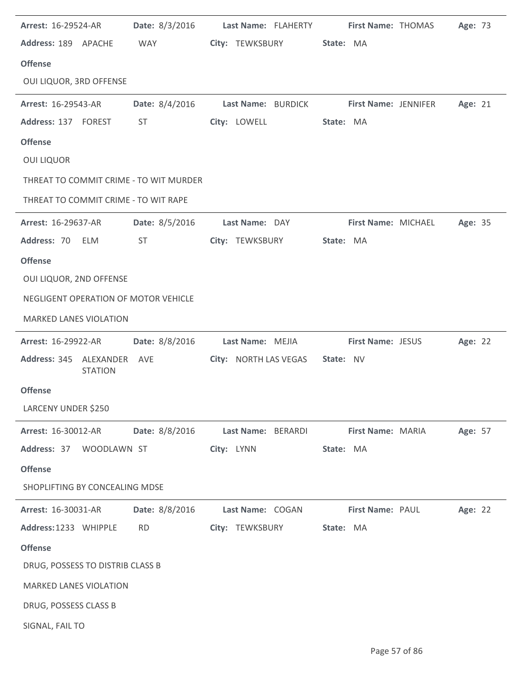| <b>Arrest: 16-29524-AR</b>       |                | Date: 8/3/2016 Last Name: FLAHERTY First Name: THOMAS |            |                                         |           |                          |                     | Age: 73 |  |
|----------------------------------|----------------|-------------------------------------------------------|------------|-----------------------------------------|-----------|--------------------------|---------------------|---------|--|
| Address: 189 APACHE              |                | <b>WAY</b>                                            |            | City: TEWKSBURY                         | State: MA |                          |                     |         |  |
| <b>Offense</b>                   |                |                                                       |            |                                         |           |                          |                     |         |  |
| OUI LIQUOR, 3RD OFFENSE          |                |                                                       |            |                                         |           |                          |                     |         |  |
| <b>Arrest: 16-29543-AR</b>       |                | Date: 8/4/2016                                        |            | Last Name: BURDICK First Name: JENNIFER |           |                          |                     | Age: 21 |  |
| Address: 137 FOREST              |                | <b>ST</b>                                             |            | City: LOWELL                            | State: MA |                          |                     |         |  |
| <b>Offense</b>                   |                |                                                       |            |                                         |           |                          |                     |         |  |
| <b>OUI LIQUOR</b>                |                |                                                       |            |                                         |           |                          |                     |         |  |
|                                  |                | THREAT TO COMMIT CRIME - TO WIT MURDER                |            |                                         |           |                          |                     |         |  |
|                                  |                | THREAT TO COMMIT CRIME - TO WIT RAPE                  |            |                                         |           |                          |                     |         |  |
| <b>Arrest: 16-29637-AR</b>       |                | <b>Date: 8/5/2016</b>                                 |            | Last Name: DAY                          |           |                          | First Name: MICHAEL | Age: 35 |  |
| Address: 70 ELM                  |                | <b>ST</b>                                             |            | City: TEWKSBURY                         | State: MA |                          |                     |         |  |
| <b>Offense</b>                   |                |                                                       |            |                                         |           |                          |                     |         |  |
| OUI LIQUOR, 2ND OFFENSE          |                |                                                       |            |                                         |           |                          |                     |         |  |
|                                  |                | NEGLIGENT OPERATION OF MOTOR VEHICLE                  |            |                                         |           |                          |                     |         |  |
| <b>MARKED LANES VIOLATION</b>    |                |                                                       |            |                                         |           |                          |                     |         |  |
| <b>Arrest: 16-29922-AR</b>       |                | Date: 8/8/2016                                        |            | Last Name: MEJIA                        |           | <b>First Name: JESUS</b> |                     | Age: 22 |  |
| Address: 345 ALEXANDER AVE       | <b>STATION</b> |                                                       |            | City: NORTH LAS VEGAS State: NV         |           |                          |                     |         |  |
| <b>Offense</b>                   |                |                                                       |            |                                         |           |                          |                     |         |  |
| LARCENY UNDER \$250              |                |                                                       |            |                                         |           |                          |                     |         |  |
| Arrest: 16-30012-AR              |                | Date: 8/8/2016                                        |            | Last Name: BERARDI                      |           | First Name: MARIA        |                     | Age: 57 |  |
| Address: 37 WOODLAWN ST          |                |                                                       | City: LYNN |                                         | State: MA |                          |                     |         |  |
| <b>Offense</b>                   |                |                                                       |            |                                         |           |                          |                     |         |  |
| SHOPLIFTING BY CONCEALING MDSE   |                |                                                       |            |                                         |           |                          |                     |         |  |
| Arrest: 16-30031-AR              |                | Date: 8/8/2016                                        |            | Last Name: COGAN                        |           | First Name: PAUL         |                     | Age: 22 |  |
| Address: 1233 WHIPPLE            |                | <b>RD</b>                                             |            | City: TEWKSBURY                         | State: MA |                          |                     |         |  |
| <b>Offense</b>                   |                |                                                       |            |                                         |           |                          |                     |         |  |
| DRUG, POSSESS TO DISTRIB CLASS B |                |                                                       |            |                                         |           |                          |                     |         |  |
| <b>MARKED LANES VIOLATION</b>    |                |                                                       |            |                                         |           |                          |                     |         |  |
| DRUG, POSSESS CLASS B            |                |                                                       |            |                                         |           |                          |                     |         |  |
| SIGNAL, FAIL TO                  |                |                                                       |            |                                         |           |                          |                     |         |  |

J.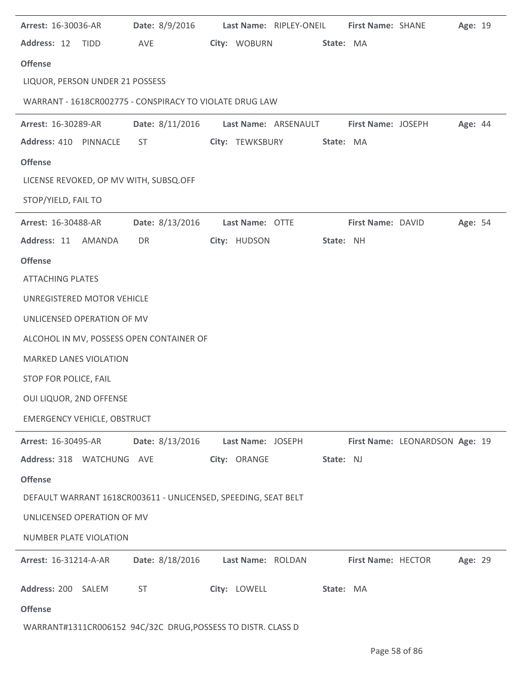| Arrest: 16-30036-AR                | Date: 8/9/2016                                                 | Last Name: RIPLEY-ONEIL                 | First Name: SHANE  |                                | Age: 19 |  |
|------------------------------------|----------------------------------------------------------------|-----------------------------------------|--------------------|--------------------------------|---------|--|
| Address: 12<br><b>TIDD</b>         | AVE                                                            | City: WOBURN                            | State: MA          |                                |         |  |
| <b>Offense</b>                     |                                                                |                                         |                    |                                |         |  |
| LIQUOR, PERSON UNDER 21 POSSESS    |                                                                |                                         |                    |                                |         |  |
|                                    | WARRANT - 1618CR002775 - CONSPIRACY TO VIOLATE DRUG LAW        |                                         |                    |                                |         |  |
| Arrest: 16-30289-AR                |                                                                | Date: 8/11/2016    Last Name: ARSENAULT | First Name: JOSEPH |                                | Age: 44 |  |
| Address: 410 PINNACLE              | <b>ST</b>                                                      | City: TEWKSBURY                         | State: MA          |                                |         |  |
| <b>Offense</b>                     |                                                                |                                         |                    |                                |         |  |
|                                    | LICENSE REVOKED, OP MV WITH, SUBSQ.OFF                         |                                         |                    |                                |         |  |
| STOP/YIELD, FAIL TO                |                                                                |                                         |                    |                                |         |  |
| Arrest: 16-30488-AR                | Date: 8/13/2016                                                | Last Name: OTTE                         | First Name: DAVID  |                                | Age: 54 |  |
| Address: 11 AMANDA                 | DR                                                             | City: HUDSON                            | State: NH          |                                |         |  |
| <b>Offense</b>                     |                                                                |                                         |                    |                                |         |  |
| <b>ATTACHING PLATES</b>            |                                                                |                                         |                    |                                |         |  |
| UNREGISTERED MOTOR VEHICLE         |                                                                |                                         |                    |                                |         |  |
| UNLICENSED OPERATION OF MV         |                                                                |                                         |                    |                                |         |  |
|                                    | ALCOHOL IN MV, POSSESS OPEN CONTAINER OF                       |                                         |                    |                                |         |  |
| <b>MARKED LANES VIOLATION</b>      |                                                                |                                         |                    |                                |         |  |
| STOP FOR POLICE, FAIL              |                                                                |                                         |                    |                                |         |  |
| OUI LIQUOR, 2ND OFFENSE            |                                                                |                                         |                    |                                |         |  |
| <b>EMERGENCY VEHICLE, OBSTRUCT</b> |                                                                |                                         |                    |                                |         |  |
| Arrest: 16-30495-AR                | Date: 8/13/2016                                                | Last Name: JOSEPH                       |                    | First Name: LEONARDSON Age: 19 |         |  |
| Address: 318 WATCHUNG AVE          |                                                                | City: ORANGE                            | State: NJ          |                                |         |  |
| <b>Offense</b>                     |                                                                |                                         |                    |                                |         |  |
|                                    | DEFAULT WARRANT 1618CR003611 - UNLICENSED, SPEEDING, SEAT BELT |                                         |                    |                                |         |  |
| UNLICENSED OPERATION OF MV         |                                                                |                                         |                    |                                |         |  |
| <b>NUMBER PLATE VIOLATION</b>      |                                                                |                                         |                    |                                |         |  |
| Arrest: 16-31214-A-AR              | Date: 8/18/2016                                                | Last Name: ROLDAN                       | First Name: HECTOR |                                | Age: 29 |  |
|                                    |                                                                |                                         |                    |                                |         |  |
| Address: 200 SALEM                 | <b>ST</b>                                                      | City: LOWELL                            | State: MA          |                                |         |  |
| <b>Offense</b>                     |                                                                |                                         |                    |                                |         |  |
|                                    | WARRANT#1311CR006152 94C/32C DRUG, POSSESS TO DISTR. CLASS D   |                                         |                    |                                |         |  |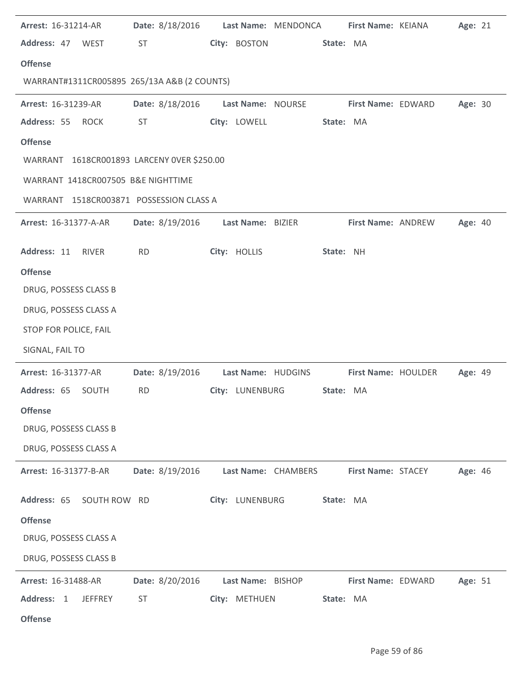| Arrest: 16-31214-AR                         | <b>Date:</b> 8/18/2016 |                     | Last Name: MENDONCA |           | First Name: KEIANA  | Age: 21 |  |
|---------------------------------------------|------------------------|---------------------|---------------------|-----------|---------------------|---------|--|
| Address: 47 WEST                            | <b>ST</b>              | City: BOSTON        |                     | State: MA |                     |         |  |
| <b>Offense</b>                              |                        |                     |                     |           |                     |         |  |
| WARRANT#1311CR005895 265/13A A&B (2 COUNTS) |                        |                     |                     |           |                     |         |  |
| Arrest: 16-31239-AR                         | Date: 8/18/2016        | Last Name: NOURSE   |                     |           | First Name: EDWARD  | Age: 30 |  |
| Address: 55<br><b>ROCK</b>                  | ST                     | City: LOWELL        |                     | State: MA |                     |         |  |
| <b>Offense</b>                              |                        |                     |                     |           |                     |         |  |
| WARRANT 1618CR001893 LARCENY OVER \$250.00  |                        |                     |                     |           |                     |         |  |
| WARRANT 1418CR007505 B&E NIGHTTIME          |                        |                     |                     |           |                     |         |  |
| WARRANT 1518CR003871 POSSESSION CLASS A     |                        |                     |                     |           |                     |         |  |
| Arrest: 16-31377-A-AR                       | Date: 8/19/2016        | Last Name: BIZIER   |                     |           | First Name: ANDREW  | Age: 40 |  |
| Address: 11<br>RIVER                        | <b>RD</b>              | City: HOLLIS        |                     | State: NH |                     |         |  |
| <b>Offense</b>                              |                        |                     |                     |           |                     |         |  |
| DRUG, POSSESS CLASS B                       |                        |                     |                     |           |                     |         |  |
| DRUG, POSSESS CLASS A                       |                        |                     |                     |           |                     |         |  |
| STOP FOR POLICE, FAIL                       |                        |                     |                     |           |                     |         |  |
| SIGNAL, FAIL TO                             |                        |                     |                     |           |                     |         |  |
| Arrest: 16-31377-AR                         | Date: 8/19/2016        | Last Name: HUDGINS  |                     |           | First Name: HOULDER | Age: 49 |  |
| Address: 65 SOUTH                           | <b>RD</b>              | City: LUNENBURG     |                     | State: MA |                     |         |  |
| <b>Offense</b>                              |                        |                     |                     |           |                     |         |  |
| DRUG, POSSESS CLASS B                       |                        |                     |                     |           |                     |         |  |
| DRUG, POSSESS CLASS A                       |                        |                     |                     |           |                     |         |  |
| Arrest: 16-31377-B-AR                       | Date: 8/19/2016        | Last Name: CHAMBERS |                     |           | First Name: STACEY  | Age: 46 |  |
| Address: 65<br>SOUTH ROW RD                 |                        | City: LUNENBURG     |                     | State: MA |                     |         |  |
| <b>Offense</b>                              |                        |                     |                     |           |                     |         |  |
| DRUG, POSSESS CLASS A                       |                        |                     |                     |           |                     |         |  |
| DRUG, POSSESS CLASS B                       |                        |                     |                     |           |                     |         |  |
| Arrest: 16-31488-AR                         | Date: 8/20/2016        | Last Name: BISHOP   |                     |           | First Name: EDWARD  | Age: 51 |  |
| Address: 1<br><b>JEFFREY</b>                | <b>ST</b>              | City: METHUEN       |                     | State: MA |                     |         |  |
| <b>Offense</b>                              |                        |                     |                     |           |                     |         |  |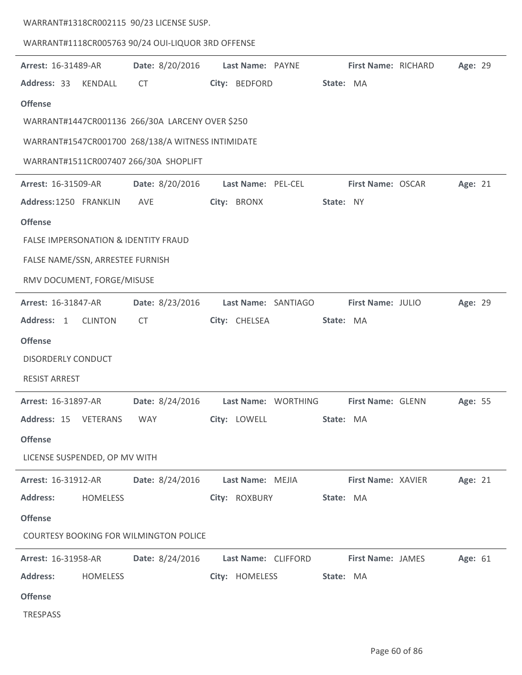| WARRANT#1318CR002115 90/23 LICENSE SUSP.          |                 |                          |                                                                           |         |
|---------------------------------------------------|-----------------|--------------------------|---------------------------------------------------------------------------|---------|
| WARRANT#1118CR005763 90/24 OUI-LIQUOR 3RD OFFENSE |                 |                          |                                                                           |         |
| Arrest: 16-31489-AR                               | Date: 8/20/2016 | Last Name: PAYNE         | First Name: RICHARD                                                       | Age: 29 |
| Address: 33<br>KENDALL                            | CT              | City: BEDFORD            | State: MA                                                                 |         |
| <b>Offense</b>                                    |                 |                          |                                                                           |         |
| WARRANT#1447CR001136 266/30A LARCENY OVER \$250   |                 |                          |                                                                           |         |
| WARRANT#1547CR001700 268/138/A WITNESS INTIMIDATE |                 |                          |                                                                           |         |
| WARRANT#1511CR007407 266/30A SHOPLIFT             |                 |                          |                                                                           |         |
| Arrest: 16-31509-AR                               | Date: 8/20/2016 | Last Name: PEL-CEL       | First Name: OSCAR                                                         | Age: 21 |
| Address: 1250 FRANKLIN                            | AVE             | City: BRONX              | State: NY                                                                 |         |
| <b>Offense</b>                                    |                 |                          |                                                                           |         |
| FALSE IMPERSONATION & IDENTITY FRAUD              |                 |                          |                                                                           |         |
| FALSE NAME/SSN, ARRESTEE FURNISH                  |                 |                          |                                                                           |         |
| RMV DOCUMENT, FORGE/MISUSE                        |                 |                          |                                                                           |         |
| Arrest: 16-31847-AR                               | Date: 8/23/2016 | Last Name: SANTIAGO      | First Name: JULIO                                                         | Age: 29 |
| Address: 1<br><b>CLINTON</b>                      | <b>CT</b>       | City: CHELSEA            | State: MA                                                                 |         |
| <b>Offense</b>                                    |                 |                          |                                                                           |         |
| <b>DISORDERLY CONDUCT</b>                         |                 |                          |                                                                           |         |
| <b>RESIST ARREST</b>                              |                 |                          |                                                                           |         |
|                                                   |                 |                          | Arrest: 16-31897-AR Date: 8/24/2016 Last Name: WORTHING First Name: GLENN | Age: 55 |
| Address: 15 VETERANS WAY                          |                 | City: LOWELL             | State: MA                                                                 |         |
| <b>Offense</b>                                    |                 |                          |                                                                           |         |
| LICENSE SUSPENDED, OP MV WITH                     |                 |                          |                                                                           |         |
| <b>Arrest: 16-31912-AR</b>                        | Date: 8/24/2016 |                          | Last Name: MEJIA First Name: XAVIER                                       | Age: 21 |
| <b>Address:</b><br>HOMELESS                       |                 | City: ROXBURY State: MA  |                                                                           |         |
| <b>Offense</b>                                    |                 |                          |                                                                           |         |
| <b>COURTESY BOOKING FOR WILMINGTON POLICE</b>     |                 |                          |                                                                           |         |
| <b>Arrest: 16-31958-AR</b>                        |                 |                          | Date: 8/24/2016 Last Name: CLIFFORD First Name: JAMES                     | Age: 61 |
| <b>Address:</b><br><b>HOMELESS</b>                |                 | City: HOMELESS State: MA |                                                                           |         |
| <b>Offense</b>                                    |                 |                          |                                                                           |         |
| TRESPASS                                          |                 |                          |                                                                           |         |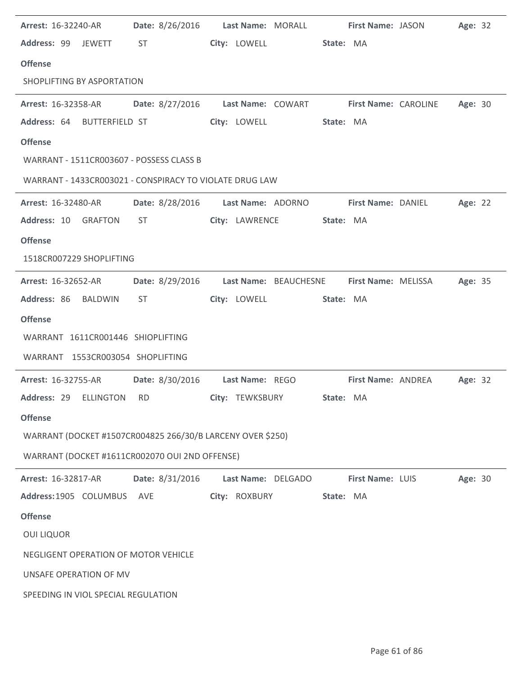| <b>Arrest: 16-32240-AR</b>                                                 | Date: 8/26/2016 Last Name: MORALL                                                                                                                                                                                              |                    |                        | <b>First Name: JASON</b>  |                           | Age: 32 |  |
|----------------------------------------------------------------------------|--------------------------------------------------------------------------------------------------------------------------------------------------------------------------------------------------------------------------------|--------------------|------------------------|---------------------------|---------------------------|---------|--|
| Address: 99 JEWETT                                                         | ST and the state of the state of the state of the state of the state of the state of the state of the state of the state of the state of the state of the state of the state of the state of the state of the state of the sta |                    | City: LOWELL State: MA |                           |                           |         |  |
| <b>Offense</b>                                                             |                                                                                                                                                                                                                                |                    |                        |                           |                           |         |  |
| SHOPLIFTING BY ASPORTATION                                                 |                                                                                                                                                                                                                                |                    |                        |                           |                           |         |  |
| Arrest: 16-32358-AR Date: 8/27/2016 Last Name: COWART First Name: CAROLINE |                                                                                                                                                                                                                                |                    |                        |                           |                           | Age: 30 |  |
| Address: 64                                                                | BUTTERFIELD ST                                                                                                                                                                                                                 | City: LOWELL       |                        | State: MA                 |                           |         |  |
| <b>Offense</b>                                                             |                                                                                                                                                                                                                                |                    |                        |                           |                           |         |  |
| WARRANT - 1511CR003607 - POSSESS CLASS B                                   |                                                                                                                                                                                                                                |                    |                        |                           |                           |         |  |
| WARRANT - 1433CR003021 - CONSPIRACY TO VIOLATE DRUG LAW                    |                                                                                                                                                                                                                                |                    |                        |                           |                           |         |  |
| <b>Arrest: 16-32480-AR</b>                                                 | Date: 8/28/2016    Last Name: ADORNO                                                                                                                                                                                           |                    |                        |                           | <b>First Name: DANIEL</b> | Age: 22 |  |
| Address: 10 GRAFTON                                                        | ST and the state of the state of the state of the state of the state of the state of the state of the state of the state of the state of the state of the state of the state of the state of the state of the state of the sta | City: LAWRENCE     |                        | State: MA                 |                           |         |  |
| <b>Offense</b>                                                             |                                                                                                                                                                                                                                |                    |                        |                           |                           |         |  |
| 1518CR007229 SHOPLIFTING                                                   |                                                                                                                                                                                                                                |                    |                        |                           |                           |         |  |
| Arrest: 16-32652-AR                                                        | Date: 8/29/2016    Last Name: BEAUCHESNE                                                                                                                                                                                       |                    |                        |                           | First Name: MELISSA       | Age: 35 |  |
| Address: 86 BALDWIN                                                        | ST.                                                                                                                                                                                                                            | City: LOWELL       |                        | State: MA                 |                           |         |  |
| <b>Offense</b>                                                             |                                                                                                                                                                                                                                |                    |                        |                           |                           |         |  |
| WARRANT 1611CR001446 SHIOPLIFTING                                          |                                                                                                                                                                                                                                |                    |                        |                           |                           |         |  |
| WARRANT 1553CR003054 SHOPLIFTING                                           |                                                                                                                                                                                                                                |                    |                        |                           |                           |         |  |
| Arrest: 16-32755-AR   Date: 8/30/2016   Last Name: REGO                    |                                                                                                                                                                                                                                |                    |                        | <b>First Name: ANDREA</b> |                           | Age: 32 |  |
| Address: 29 ELLINGTON                                                      | RD and the set of the set of the set of the set of the set of the set of the set of the set of the set of the set of the set of the set of the set of the set of the set of the set of the set of the set of the set of the se | City: TEWKSBURY    |                        | State: MA                 |                           |         |  |
| <b>Offense</b>                                                             |                                                                                                                                                                                                                                |                    |                        |                           |                           |         |  |
| WARRANT (DOCKET #1507CR004825 266/30/B LARCENY OVER \$250)                 |                                                                                                                                                                                                                                |                    |                        |                           |                           |         |  |
| WARRANT (DOCKET #1611CR002070 OUI 2ND OFFENSE)                             |                                                                                                                                                                                                                                |                    |                        |                           |                           |         |  |
| <b>Arrest: 16-32817-AR</b>                                                 | Date: 8/31/2016                                                                                                                                                                                                                | Last Name: DELGADO |                        | First Name: LUIS          |                           | Age: 30 |  |
| Address: 1905 COLUMBUS                                                     | <b>AVE</b>                                                                                                                                                                                                                     | City: ROXBURY      |                        | State: MA                 |                           |         |  |
| <b>Offense</b>                                                             |                                                                                                                                                                                                                                |                    |                        |                           |                           |         |  |
| <b>OUI LIQUOR</b>                                                          |                                                                                                                                                                                                                                |                    |                        |                           |                           |         |  |
| NEGLIGENT OPERATION OF MOTOR VEHICLE                                       |                                                                                                                                                                                                                                |                    |                        |                           |                           |         |  |
| UNSAFE OPERATION OF MV                                                     |                                                                                                                                                                                                                                |                    |                        |                           |                           |         |  |
| SPEEDING IN VIOL SPECIAL REGULATION                                        |                                                                                                                                                                                                                                |                    |                        |                           |                           |         |  |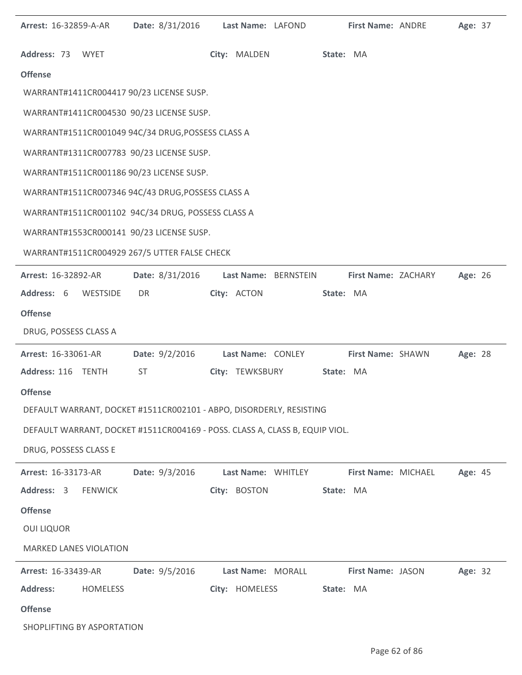| Arrest: 16-32859-A-AR         |                 | Date: 8/31/2016                                                             | Last Name: LAFOND |                      |           | First Name: ANDRE   | Age: 37 |  |
|-------------------------------|-----------------|-----------------------------------------------------------------------------|-------------------|----------------------|-----------|---------------------|---------|--|
| Address: 73 WYET              |                 |                                                                             | City: MALDEN      |                      | State: MA |                     |         |  |
| <b>Offense</b>                |                 |                                                                             |                   |                      |           |                     |         |  |
|                               |                 | WARRANT#1411CR004417 90/23 LICENSE SUSP.                                    |                   |                      |           |                     |         |  |
|                               |                 | WARRANT#1411CR004530 90/23 LICENSE SUSP.                                    |                   |                      |           |                     |         |  |
|                               |                 | WARRANT#1511CR001049 94C/34 DRUG, POSSESS CLASS A                           |                   |                      |           |                     |         |  |
|                               |                 | WARRANT#1311CR007783 90/23 LICENSE SUSP.                                    |                   |                      |           |                     |         |  |
|                               |                 | WARRANT#1511CR001186 90/23 LICENSE SUSP.                                    |                   |                      |           |                     |         |  |
|                               |                 | WARRANT#1511CR007346 94C/43 DRUG, POSSESS CLASS A                           |                   |                      |           |                     |         |  |
|                               |                 | WARRANT#1511CR001102 94C/34 DRUG, POSSESS CLASS A                           |                   |                      |           |                     |         |  |
|                               |                 | WARRANT#1553CR000141 90/23 LICENSE SUSP.                                    |                   |                      |           |                     |         |  |
|                               |                 | WARRANT#1511CR004929 267/5 UTTER FALSE CHECK                                |                   |                      |           |                     |         |  |
| <b>Arrest: 16-32892-AR</b>    |                 | Date: 8/31/2016                                                             |                   | Last Name: BERNSTEIN |           | First Name: ZACHARY | Age: 26 |  |
| Address: 6 WESTSIDE           |                 | DR                                                                          | City: ACTON       |                      | State: MA |                     |         |  |
| <b>Offense</b>                |                 |                                                                             |                   |                      |           |                     |         |  |
| DRUG, POSSESS CLASS A         |                 |                                                                             |                   |                      |           |                     |         |  |
| Arrest: 16-33061-AR           |                 | Date: 9/2/2016                                                              | Last Name: CONLEY |                      |           | First Name: SHAWN   | Age: 28 |  |
| Address: 116 TENTH            |                 | ST                                                                          |                   | City: TEWKSBURY      | State: MA |                     |         |  |
| <b>Offense</b>                |                 |                                                                             |                   |                      |           |                     |         |  |
|                               |                 | DEFAULT WARRANT, DOCKET #1511CR002101 - ABPO, DISORDERLY, RESISTING         |                   |                      |           |                     |         |  |
|                               |                 | DEFAULT WARRANT, DOCKET #1511CR004169 - POSS. CLASS A, CLASS B, EQUIP VIOL. |                   |                      |           |                     |         |  |
| DRUG, POSSESS CLASS E         |                 |                                                                             |                   |                      |           |                     |         |  |
| Arrest: 16-33173-AR           |                 | Date: 9/3/2016                                                              |                   | Last Name: WHITLEY   |           | First Name: MICHAEL | Age: 45 |  |
| Address: 3                    | <b>FENWICK</b>  |                                                                             | City: BOSTON      |                      | State: MA |                     |         |  |
| <b>Offense</b>                |                 |                                                                             |                   |                      |           |                     |         |  |
| <b>OUI LIQUOR</b>             |                 |                                                                             |                   |                      |           |                     |         |  |
| <b>MARKED LANES VIOLATION</b> |                 |                                                                             |                   |                      |           |                     |         |  |
| <b>Arrest: 16-33439-AR</b>    |                 | Date: 9/5/2016                                                              | Last Name: MORALL |                      |           | First Name: JASON   | Age: 32 |  |
| <b>Address:</b>               | <b>HOMELESS</b> |                                                                             | City: HOMELESS    |                      | State: MA |                     |         |  |
| <b>Offense</b>                |                 |                                                                             |                   |                      |           |                     |         |  |
| SHOPLIFTING BY ASPORTATION    |                 |                                                                             |                   |                      |           |                     |         |  |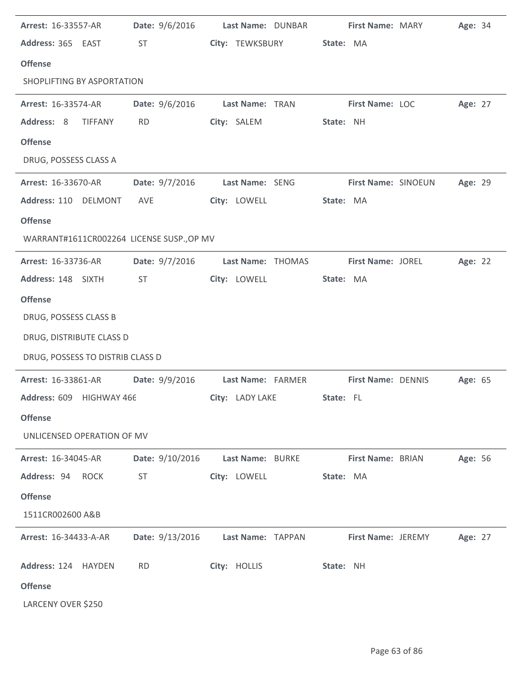| Arrest: 16-33557-AR                       | Date: 9/6/2016  | Last Name: DUNBAR | <b>First Name: MARY</b> | Age: 34 |
|-------------------------------------------|-----------------|-------------------|-------------------------|---------|
| Address: 365 EAST                         | ST              | City: TEWKSBURY   | State: MA               |         |
| <b>Offense</b>                            |                 |                   |                         |         |
| SHOPLIFTING BY ASPORTATION                |                 |                   |                         |         |
| Arrest: 16-33574-AR                       | Date: 9/6/2016  | Last Name: TRAN   | First Name: LOC         | Age: 27 |
| Address: 8<br><b>TIFFANY</b>              | <b>RD</b>       | City: SALEM       | State: NH               |         |
| <b>Offense</b>                            |                 |                   |                         |         |
| DRUG, POSSESS CLASS A                     |                 |                   |                         |         |
| Arrest: 16-33670-AR                       | Date: 9/7/2016  | Last Name: SENG   | First Name: SINOEUN     | Age: 29 |
| Address: 110 DELMONT                      | AVE             | City: LOWELL      | State: MA               |         |
| <b>Offense</b>                            |                 |                   |                         |         |
| WARRANT#1611CR002264 LICENSE SUSP., OP MV |                 |                   |                         |         |
| Arrest: 16-33736-AR                       | Date: 9/7/2016  | Last Name: THOMAS | First Name: JOREL       | Age: 22 |
| Address: 148 SIXTH                        | <b>ST</b>       | City: LOWELL      | State: MA               |         |
| <b>Offense</b>                            |                 |                   |                         |         |
| DRUG, POSSESS CLASS B                     |                 |                   |                         |         |
| DRUG, DISTRIBUTE CLASS D                  |                 |                   |                         |         |
| DRUG, POSSESS TO DISTRIB CLASS D          |                 |                   |                         |         |
| Arrest: 16-33861-AR                       | Date: 9/9/2016  | Last Name: FARMER | First Name: DENNIS      | Age: 65 |
| Address: 609 HIGHWAY 466                  |                 | City: LADY LAKE   | State: FL               |         |
| <b>Offense</b>                            |                 |                   |                         |         |
| UNLICENSED OPERATION OF MV                |                 |                   |                         |         |
| Arrest: 16-34045-AR                       | Date: 9/10/2016 | Last Name: BURKE  | First Name: BRIAN       | Age: 56 |
| Address: 94<br><b>ROCK</b>                | <b>ST</b>       | City: LOWELL      | State: MA               |         |
| <b>Offense</b>                            |                 |                   |                         |         |
| 1511CR002600 A&B                          |                 |                   |                         |         |
| Arrest: 16-34433-A-AR                     | Date: 9/13/2016 | Last Name: TAPPAN | First Name: JEREMY      | Age: 27 |
| Address: 124 HAYDEN                       | <b>RD</b>       | City: HOLLIS      | State: NH               |         |
| <b>Offense</b>                            |                 |                   |                         |         |
| LARCENY OVER \$250                        |                 |                   |                         |         |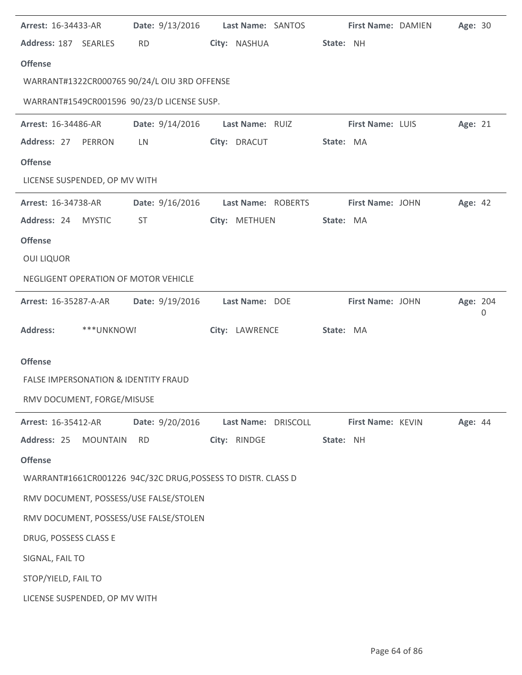| Arrest: 16-34433-AR           |                 | Date: 9/13/2016 Last Name: SANTOS                            |                 |                     |           | First Name: DAMIEN | Age: 30  |   |
|-------------------------------|-----------------|--------------------------------------------------------------|-----------------|---------------------|-----------|--------------------|----------|---|
| Address: 187 SEARLES          |                 | <b>RD</b>                                                    | City: NASHUA    |                     | State: NH |                    |          |   |
| <b>Offense</b>                |                 |                                                              |                 |                     |           |                    |          |   |
|                               |                 | WARRANT#1322CR000765 90/24/L OIU 3RD OFFENSE                 |                 |                     |           |                    |          |   |
|                               |                 | WARRANT#1549CR001596 90/23/D LICENSE SUSP.                   |                 |                     |           |                    |          |   |
| Arrest: 16-34486-AR           |                 | Date: 9/14/2016                                              | Last Name: RUIZ |                     |           | First Name: LUIS   | Age: 21  |   |
| Address: 27                   | PERRON          | LN                                                           | City: DRACUT    |                     | State: MA |                    |          |   |
| <b>Offense</b>                |                 |                                                              |                 |                     |           |                    |          |   |
| LICENSE SUSPENDED, OP MV WITH |                 |                                                              |                 |                     |           |                    |          |   |
| Arrest: 16-34738-AR           |                 | Date: 9/16/2016                                              |                 | Last Name: ROBERTS  |           | First Name: JOHN   | Age: 42  |   |
| Address: 24 MYSTIC            |                 | ST                                                           | City: METHUEN   |                     | State: MA |                    |          |   |
| <b>Offense</b>                |                 |                                                              |                 |                     |           |                    |          |   |
| <b>OUI LIQUOR</b>             |                 |                                                              |                 |                     |           |                    |          |   |
|                               |                 | NEGLIGENT OPERATION OF MOTOR VEHICLE                         |                 |                     |           |                    |          |   |
| <b>Arrest: 16-35287-A-AR</b>  |                 | Date: 9/19/2016                                              | Last Name: DOE  |                     |           | First Name: JOHN   | Age: 204 | 0 |
|                               |                 |                                                              |                 |                     |           |                    |          |   |
| <b>Address:</b>               | ***UNKNOWI      |                                                              | City: LAWRENCE  |                     | State: MA |                    |          |   |
| <b>Offense</b>                |                 |                                                              |                 |                     |           |                    |          |   |
|                               |                 | <b>FALSE IMPERSONATION &amp; IDENTITY FRAUD</b>              |                 |                     |           |                    |          |   |
| RMV DOCUMENT, FORGE/MISUSE    |                 |                                                              |                 |                     |           |                    |          |   |
| Arrest: 16-35412-AR           |                 | Date: 9/20/2016                                              |                 | Last Name: DRISCOLL |           | First Name: KEVIN  | Age: 44  |   |
| Address: 25                   | <b>MOUNTAIN</b> | <b>RD</b>                                                    | City: RINDGE    |                     | State: NH |                    |          |   |
| <b>Offense</b>                |                 |                                                              |                 |                     |           |                    |          |   |
|                               |                 | WARRANT#1661CR001226 94C/32C DRUG, POSSESS TO DISTR. CLASS D |                 |                     |           |                    |          |   |
|                               |                 | RMV DOCUMENT, POSSESS/USE FALSE/STOLEN                       |                 |                     |           |                    |          |   |
|                               |                 | RMV DOCUMENT, POSSESS/USE FALSE/STOLEN                       |                 |                     |           |                    |          |   |
| DRUG, POSSESS CLASS E         |                 |                                                              |                 |                     |           |                    |          |   |
| SIGNAL, FAIL TO               |                 |                                                              |                 |                     |           |                    |          |   |
| STOP/YIELD, FAIL TO           |                 |                                                              |                 |                     |           |                    |          |   |
| LICENSE SUSPENDED, OP MV WITH |                 |                                                              |                 |                     |           |                    |          |   |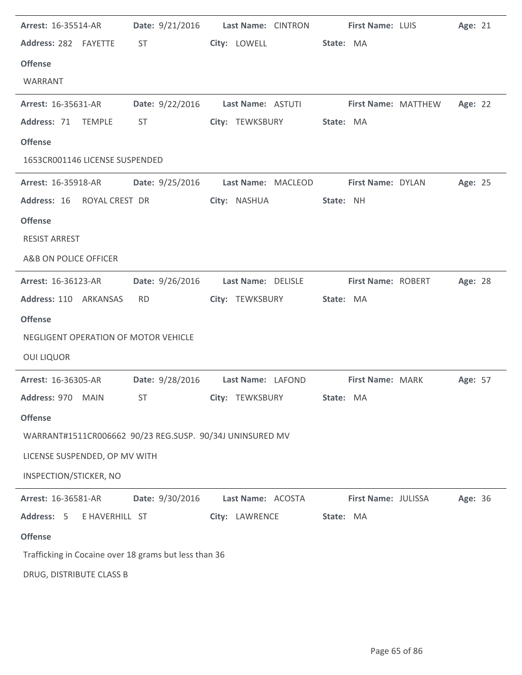| <b>Arrest: 16-35514-AR</b>                               |                                                                                                                                                                                                                                | Date: 9/21/2016 Last Name: CINTRON                    | <b>First Name: LUIS</b>  | Age: 21 |
|----------------------------------------------------------|--------------------------------------------------------------------------------------------------------------------------------------------------------------------------------------------------------------------------------|-------------------------------------------------------|--------------------------|---------|
| Address: 282 FAYETTE                                     | ST and the state of the state of the state of the state of the state of the state of the state of the state of the state of the state of the state of the state of the state of the state of the state of the state of the sta | City: LOWELL                                          | State: MA                |         |
| <b>Offense</b>                                           |                                                                                                                                                                                                                                |                                                       |                          |         |
| WARRANT                                                  |                                                                                                                                                                                                                                |                                                       |                          |         |
| <b>Arrest: 16-35631-AR</b>                               |                                                                                                                                                                                                                                | Date: 9/22/2016 Last Name: ASTUTI First Name: MATTHEW |                          | Age: 22 |
| Address: 71 TEMPLE                                       | ST                                                                                                                                                                                                                             | City: TEWKSBURY                                       | State: MA                |         |
| <b>Offense</b>                                           |                                                                                                                                                                                                                                |                                                       |                          |         |
| 1653CR001146 LICENSE SUSPENDED                           |                                                                                                                                                                                                                                |                                                       |                          |         |
| <b>Arrest: 16-35918-AR</b>                               | <b>Date:</b> 9/25/2016                                                                                                                                                                                                         | Last Name: MACLEOD                                    | <b>First Name: DYLAN</b> | Age: 25 |
| Address: 16 ROYAL CREST DR                               |                                                                                                                                                                                                                                | City: NASHUA                                          | State: NH                |         |
| <b>Offense</b>                                           |                                                                                                                                                                                                                                |                                                       |                          |         |
| <b>RESIST ARREST</b>                                     |                                                                                                                                                                                                                                |                                                       |                          |         |
| A&B ON POLICE OFFICER                                    |                                                                                                                                                                                                                                |                                                       |                          |         |
| <b>Arrest: 16-36123-AR</b>                               | Date: 9/26/2016                                                                                                                                                                                                                | Last Name: DELISLE                                    | First Name: ROBERT       | Age: 28 |
| Address: 110 ARKANSAS                                    | <b>RD</b>                                                                                                                                                                                                                      | City: TEWKSBURY                                       | State: MA                |         |
| <b>Offense</b>                                           |                                                                                                                                                                                                                                |                                                       |                          |         |
| NEGLIGENT OPERATION OF MOTOR VEHICLE                     |                                                                                                                                                                                                                                |                                                       |                          |         |
| <b>OUI LIQUOR</b>                                        |                                                                                                                                                                                                                                |                                                       |                          |         |
| Arrest: 16-36305-AR                                      |                                                                                                                                                                                                                                | Date: 9/28/2016 Last Name: LAFOND                     | <b>First Name: MARK</b>  | Age: 57 |
| Address: 970 MAIN                                        | <b>ST</b>                                                                                                                                                                                                                      | City: TEWKSBURY                                       | State: MA                |         |
| <b>Offense</b>                                           |                                                                                                                                                                                                                                |                                                       |                          |         |
| WARRANT#1511CR006662 90/23 REG.SUSP. 90/34J UNINSURED MV |                                                                                                                                                                                                                                |                                                       |                          |         |
| LICENSE SUSPENDED, OP MV WITH                            |                                                                                                                                                                                                                                |                                                       |                          |         |
| INSPECTION/STICKER, NO                                   |                                                                                                                                                                                                                                |                                                       |                          |         |
| Arrest: 16-36581-AR                                      | Date: 9/30/2016                                                                                                                                                                                                                | Last Name: ACOSTA                                     | First Name: JULISSA      | Age: 36 |
| Address: 5<br>E HAVERHILL ST                             |                                                                                                                                                                                                                                | City: LAWRENCE                                        | State: MA                |         |
| <b>Offense</b>                                           |                                                                                                                                                                                                                                |                                                       |                          |         |
| Trafficking in Cocaine over 18 grams but less than 36    |                                                                                                                                                                                                                                |                                                       |                          |         |
| DRUG, DISTRIBUTE CLASS B                                 |                                                                                                                                                                                                                                |                                                       |                          |         |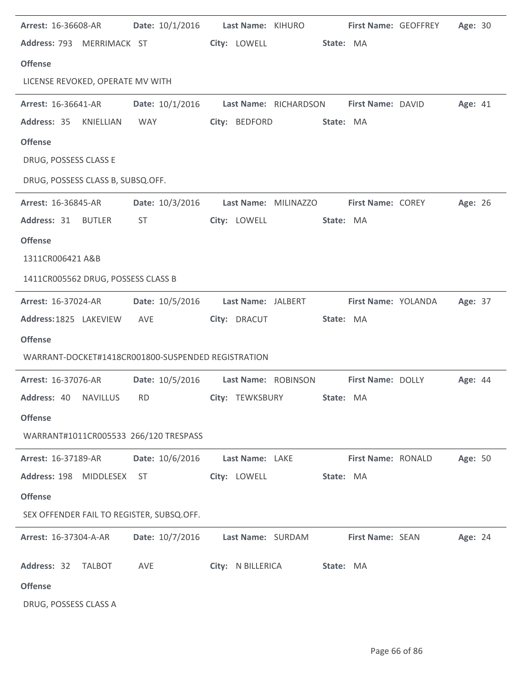| <b>Arrest: 16-36608-AR</b>                         | Date: 10/1/2016    Last Name: KIHURO                    |                        |                      |                          | <b>First Name: GEOFFREY</b> | Age: 30 |  |
|----------------------------------------------------|---------------------------------------------------------|------------------------|----------------------|--------------------------|-----------------------------|---------|--|
| Address: 793 MERRIMACK ST                          |                                                         | City: LOWELL           |                      | State: MA                |                             |         |  |
| <b>Offense</b>                                     |                                                         |                        |                      |                          |                             |         |  |
| LICENSE REVOKED, OPERATE MV WITH                   |                                                         |                        |                      |                          |                             |         |  |
| <b>Arrest: 16-36641-AR</b>                         | Date: 10/1/2016 Last Name: RICHARDSON First Name: DAVID |                        |                      |                          |                             | Age: 41 |  |
| Address: 35<br>KNIELLIAN                           | <b>WAY</b>                                              | City: BEDFORD          |                      | State: MA                |                             |         |  |
| <b>Offense</b>                                     |                                                         |                        |                      |                          |                             |         |  |
| DRUG, POSSESS CLASS E                              |                                                         |                        |                      |                          |                             |         |  |
| DRUG, POSSESS CLASS B, SUBSQ.OFF.                  |                                                         |                        |                      |                          |                             |         |  |
| <b>Arrest: 16-36845-AR</b>                         | Date: 10/3/2016                                         |                        | Last Name: MILINAZZO | <b>First Name: COREY</b> |                             | Age: 26 |  |
| Address: 31 BUTLER                                 | <b>ST</b>                                               | City: LOWELL           |                      | State: MA                |                             |         |  |
| <b>Offense</b>                                     |                                                         |                        |                      |                          |                             |         |  |
| 1311CR006421 A&B                                   |                                                         |                        |                      |                          |                             |         |  |
| 1411CR005562 DRUG, POSSESS CLASS B                 |                                                         |                        |                      |                          |                             |         |  |
| Arrest: 16-37024-AR                                | Date: 10/5/2016    Last Name: JALBERT                   |                        |                      | First Name: YOLANDA      |                             | Age: 37 |  |
| Address: 1825 LAKEVIEW AVE                         |                                                         | City: DRACUT           |                      | State: MA                |                             |         |  |
| <b>Offense</b>                                     |                                                         |                        |                      |                          |                             |         |  |
| WARRANT-DOCKET#1418CR001800-SUSPENDED REGISTRATION |                                                         |                        |                      |                          |                             |         |  |
| Arrest: 16-37076-AR                                | Date: 10/5/2016 Last Name: ROBINSON First Name: DOLLY   |                        |                      |                          |                             | Age: 44 |  |
| Address: 40 NAVILLUS RD                            |                                                         | <b>City: TEWKSBURY</b> |                      | State: MA                |                             |         |  |
| <b>Offense</b>                                     |                                                         |                        |                      |                          |                             |         |  |
| WARRANT#1011CR005533 266/120 TRESPASS              |                                                         |                        |                      |                          |                             |         |  |
| Arrest: 16-37189-AR                                | Date: 10/6/2016                                         | Last Name: LAKE        |                      | First Name: RONALD       |                             | Age: 50 |  |
| Address: 198 MIDDLESEX                             | <b>ST</b>                                               | City: LOWELL           |                      | State: MA                |                             |         |  |
| <b>Offense</b>                                     |                                                         |                        |                      |                          |                             |         |  |
| SEX OFFENDER FAIL TO REGISTER, SUBSQ.OFF.          |                                                         |                        |                      |                          |                             |         |  |
| Arrest: 16-37304-A-AR                              | Date: 10/7/2016                                         | Last Name: SURDAM      |                      | First Name: SEAN         |                             | Age: 24 |  |
| Address: 32<br><b>TALBOT</b>                       | AVE                                                     | City: N BILLERICA      |                      | State: MA                |                             |         |  |
| <b>Offense</b>                                     |                                                         |                        |                      |                          |                             |         |  |
| DRUG, POSSESS CLASS A                              |                                                         |                        |                      |                          |                             |         |  |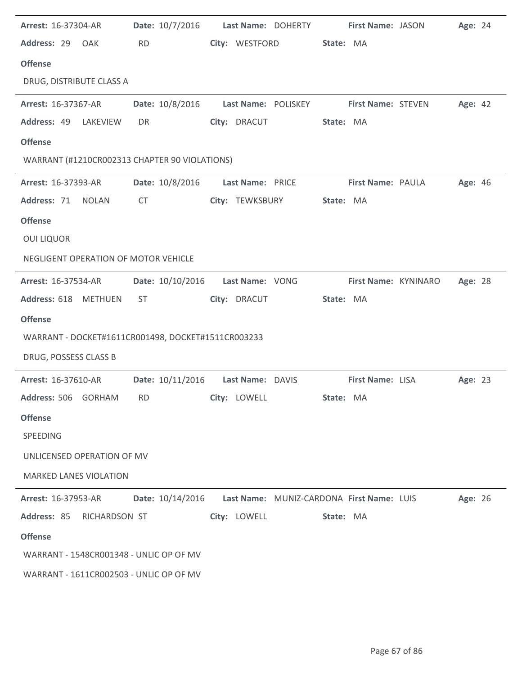| Arrest: 16-37304-AR                                |                 | Date: 10/7/2016    Last Name: DOHERTY                         | First Name: JASON       | Age: 24 |
|----------------------------------------------------|-----------------|---------------------------------------------------------------|-------------------------|---------|
| Address: 29 OAK                                    | <b>RD</b>       | City: WESTFORD                                                | State: MA               |         |
| <b>Offense</b>                                     |                 |                                                               |                         |         |
| DRUG, DISTRIBUTE CLASS A                           |                 |                                                               |                         |         |
| <b>Arrest: 16-37367-AR</b>                         | Date: 10/8/2016 | Last Name: POLISKEY First Name: STEVEN                        |                         | Age: 42 |
| Address: 49 LAKEVIEW                               | DR              | City: DRACUT                                                  | State: MA               |         |
| <b>Offense</b>                                     |                 |                                                               |                         |         |
| WARRANT (#1210CR002313 CHAPTER 90 VIOLATIONS)      |                 |                                                               |                         |         |
| <b>Arrest: 16-37393-AR</b>                         |                 | Date: 10/8/2016    Last Name: PRICE                           | First Name: PAULA       | Age: 46 |
| Address: 71 NOLAN                                  | CT              | City: TEWKSBURY                                               | State: MA               |         |
| <b>Offense</b>                                     |                 |                                                               |                         |         |
| <b>OUI LIQUOR</b>                                  |                 |                                                               |                         |         |
| NEGLIGENT OPERATION OF MOTOR VEHICLE               |                 |                                                               |                         |         |
| <b>Arrest: 16-37534-AR</b>                         |                 | Date: 10/10/2016    Last Name: VONG                           | First Name: KYNINARO    | Age: 28 |
| Address: 618 METHUEN                               | ST.             | City: DRACUT                                                  | State: MA               |         |
| <b>Offense</b>                                     |                 |                                                               |                         |         |
| WARRANT - DOCKET#1611CR001498, DOCKET#1511CR003233 |                 |                                                               |                         |         |
| DRUG, POSSESS CLASS B                              |                 |                                                               |                         |         |
|                                                    |                 |                                                               |                         |         |
| <b>Arrest: 16-37610-AR</b>                         |                 | Date: 10/11/2016    Last Name: DAVIS                          | <b>First Name: LISA</b> | Age: 23 |
| Address: 506 GORHAM RD City: LOWELL                |                 |                                                               | State: MA               |         |
| <b>Offense</b>                                     |                 |                                                               |                         |         |
| SPEEDING                                           |                 |                                                               |                         |         |
| UNLICENSED OPERATION OF MV                         |                 |                                                               |                         |         |
| <b>MARKED LANES VIOLATION</b>                      |                 |                                                               |                         |         |
| <b>Arrest: 16-37953-AR</b>                         |                 | Date: 10/14/2016    Last Name: MUNIZ-CARDONA First Name: LUIS |                         | Age: 26 |
| Address: 85 RICHARDSON ST                          |                 | City: LOWELL                                                  | State: MA               |         |
| <b>Offense</b>                                     |                 |                                                               |                         |         |
| WARRANT - 1548CR001348 - UNLIC OP OF MV            |                 |                                                               |                         |         |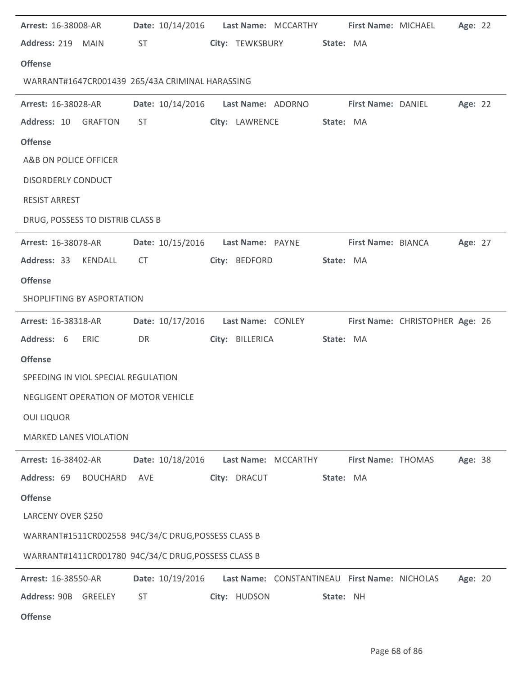| Arrest: 16-38008-AR                                 |                                                                                                                                                                                                                                | Date: 10/14/2016    Last Name: MCCARTHY |                 |                     |           | First Name: MICHAEL                           |                                 | Age: 22 |  |
|-----------------------------------------------------|--------------------------------------------------------------------------------------------------------------------------------------------------------------------------------------------------------------------------------|-----------------------------------------|-----------------|---------------------|-----------|-----------------------------------------------|---------------------------------|---------|--|
| Address: 219 MAIN                                   | ST and the set of the set of the set of the set of the set of the set of the set of the set of the set of the set of the set of the set of the set of the set of the set of the set of the set of the set of the set of the se |                                         |                 | City: TEWKSBURY     | State: MA |                                               |                                 |         |  |
| <b>Offense</b>                                      |                                                                                                                                                                                                                                |                                         |                 |                     |           |                                               |                                 |         |  |
| WARRANT#1647CR001439 265/43A CRIMINAL HARASSING     |                                                                                                                                                                                                                                |                                         |                 |                     |           |                                               |                                 |         |  |
| <b>Arrest: 16-38028-AR</b>                          | Date: 10/14/2016                                                                                                                                                                                                               |                                         |                 | Last Name: ADORNO   |           | First Name: DANIEL                            |                                 | Age: 22 |  |
| Address: 10<br><b>GRAFTON</b>                       | ST                                                                                                                                                                                                                             |                                         |                 | City: LAWRENCE      | State: MA |                                               |                                 |         |  |
| <b>Offense</b>                                      |                                                                                                                                                                                                                                |                                         |                 |                     |           |                                               |                                 |         |  |
| A&B ON POLICE OFFICER                               |                                                                                                                                                                                                                                |                                         |                 |                     |           |                                               |                                 |         |  |
| <b>DISORDERLY CONDUCT</b>                           |                                                                                                                                                                                                                                |                                         |                 |                     |           |                                               |                                 |         |  |
| <b>RESIST ARREST</b>                                |                                                                                                                                                                                                                                |                                         |                 |                     |           |                                               |                                 |         |  |
| DRUG, POSSESS TO DISTRIB CLASS B                    |                                                                                                                                                                                                                                |                                         |                 |                     |           |                                               |                                 |         |  |
| <b>Arrest: 16-38078-AR</b>                          |                                                                                                                                                                                                                                | Date: 10/15/2016    Last Name: PAYNE    |                 |                     |           | <b>First Name: BIANCA</b>                     |                                 | Age: 27 |  |
| Address: 33<br>KENDALL                              | <b>CT</b>                                                                                                                                                                                                                      |                                         | City: BEDFORD   |                     | State: MA |                                               |                                 |         |  |
| <b>Offense</b>                                      |                                                                                                                                                                                                                                |                                         |                 |                     |           |                                               |                                 |         |  |
| SHOPLIFTING BY ASPORTATION                          |                                                                                                                                                                                                                                |                                         |                 |                     |           |                                               |                                 |         |  |
| Arrest: 16-38318-AR                                 | Date: 10/17/2016                                                                                                                                                                                                               |                                         |                 | Last Name: CONLEY   |           |                                               | First Name: CHRISTOPHER Age: 26 |         |  |
| Address: 6<br><b>ERIC</b>                           | DR                                                                                                                                                                                                                             |                                         | City: BILLERICA |                     | State: MA |                                               |                                 |         |  |
| <b>Offense</b>                                      |                                                                                                                                                                                                                                |                                         |                 |                     |           |                                               |                                 |         |  |
| SPEEDING IN VIOL SPECIAL REGULATION                 |                                                                                                                                                                                                                                |                                         |                 |                     |           |                                               |                                 |         |  |
| NEGLIGENT OPERATION OF MOTOR VEHICLE                |                                                                                                                                                                                                                                |                                         |                 |                     |           |                                               |                                 |         |  |
| <b>OUI LIQUOR</b>                                   |                                                                                                                                                                                                                                |                                         |                 |                     |           |                                               |                                 |         |  |
| <b>MARKED LANES VIOLATION</b>                       |                                                                                                                                                                                                                                |                                         |                 |                     |           |                                               |                                 |         |  |
| Arrest: 16-38402-AR                                 | Date: 10/18/2016                                                                                                                                                                                                               |                                         |                 | Last Name: MCCARTHY |           | First Name: THOMAS                            |                                 | Age: 38 |  |
| Address: 69<br><b>BOUCHARD</b>                      | AVE                                                                                                                                                                                                                            |                                         | City: DRACUT    |                     | State: MA |                                               |                                 |         |  |
| <b>Offense</b>                                      |                                                                                                                                                                                                                                |                                         |                 |                     |           |                                               |                                 |         |  |
| LARCENY OVER \$250                                  |                                                                                                                                                                                                                                |                                         |                 |                     |           |                                               |                                 |         |  |
| WARRANT#1511CR002558 94C/34/C DRUG, POSSESS CLASS B |                                                                                                                                                                                                                                |                                         |                 |                     |           |                                               |                                 |         |  |
| WARRANT#1411CR001780 94C/34/C DRUG, POSSESS CLASS B |                                                                                                                                                                                                                                |                                         |                 |                     |           |                                               |                                 |         |  |
| Arrest: 16-38550-AR                                 | Date: 10/19/2016                                                                                                                                                                                                               |                                         |                 |                     |           | Last Name: CONSTANTINEAU First Name: NICHOLAS |                                 | Age: 20 |  |
| Address: 90B GREELEY                                | <b>ST</b>                                                                                                                                                                                                                      |                                         | City: HUDSON    |                     | State: NH |                                               |                                 |         |  |
| <b>Offense</b>                                      |                                                                                                                                                                                                                                |                                         |                 |                     |           |                                               |                                 |         |  |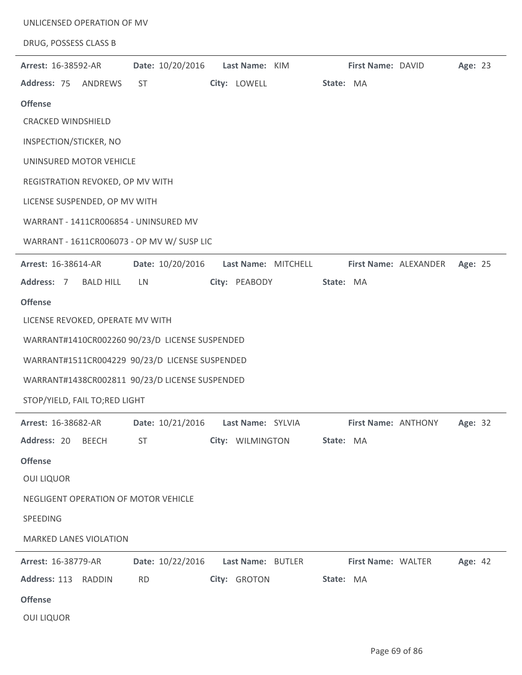|                                                | UNLICENSED OPERATION OF MV |                     |                     |                                  |
|------------------------------------------------|----------------------------|---------------------|---------------------|----------------------------------|
| DRUG, POSSESS CLASS B                          |                            |                     |                     |                                  |
| Arrest: 16-38592-AR                            | Date: 10/20/2016           | Last Name: KIM      | First Name: DAVID   | Age: 23                          |
| Address: 75 ANDREWS                            | <b>ST</b>                  | City: LOWELL        | State: MA           |                                  |
| <b>Offense</b>                                 |                            |                     |                     |                                  |
| <b>CRACKED WINDSHIELD</b>                      |                            |                     |                     |                                  |
| INSPECTION/STICKER, NO                         |                            |                     |                     |                                  |
| UNINSURED MOTOR VEHICLE                        |                            |                     |                     |                                  |
| REGISTRATION REVOKED, OP MV WITH               |                            |                     |                     |                                  |
| LICENSE SUSPENDED, OP MV WITH                  |                            |                     |                     |                                  |
| WARRANT - 1411CR006854 - UNINSURED MV          |                            |                     |                     |                                  |
| WARRANT - 1611CR006073 - OP MV W/ SUSP LIC     |                            |                     |                     |                                  |
| Arrest: 16-38614-AR                            | Date: 10/20/2016           | Last Name: MITCHELL |                     | Age: 25<br>First Name: ALEXANDER |
| Address: 7<br><b>BALD HILL</b>                 | LN                         | City: PEABODY       | State: MA           |                                  |
| <b>Offense</b>                                 |                            |                     |                     |                                  |
| LICENSE REVOKED, OPERATE MV WITH               |                            |                     |                     |                                  |
| WARRANT#1410CR002260 90/23/D LICENSE SUSPENDED |                            |                     |                     |                                  |
| WARRANT#1511CR004229 90/23/D LICENSE SUSPENDED |                            |                     |                     |                                  |
| WARRANT#1438CR002811 90/23/D LICENSE SUSPENDED |                            |                     |                     |                                  |
| STOP/YIELD, FAIL TO;RED LIGHT                  |                            |                     |                     |                                  |
|                                                |                            |                     |                     |                                  |
| Arrest: 16-38682-AR                            | Date: 10/21/2016           | Last Name: SYLVIA   | First Name: ANTHONY | Age: 32                          |
| Address: 20<br><b>BEECH</b>                    | ST                         | City: WILMINGTON    | State: MA           |                                  |
| <b>Offense</b>                                 |                            |                     |                     |                                  |
| <b>OUI LIQUOR</b>                              |                            |                     |                     |                                  |
| NEGLIGENT OPERATION OF MOTOR VEHICLE           |                            |                     |                     |                                  |
| SPEEDING                                       |                            |                     |                     |                                  |
| <b>MARKED LANES VIOLATION</b>                  |                            |                     |                     |                                  |
| Arrest: 16-38779-AR                            | Date: 10/22/2016           | Last Name: BUTLER   | First Name: WALTER  | Age: 42                          |
| Address: 113 RADDIN                            | <b>RD</b>                  | City: GROTON        | State: MA           |                                  |
| <b>Offense</b>                                 |                            |                     |                     |                                  |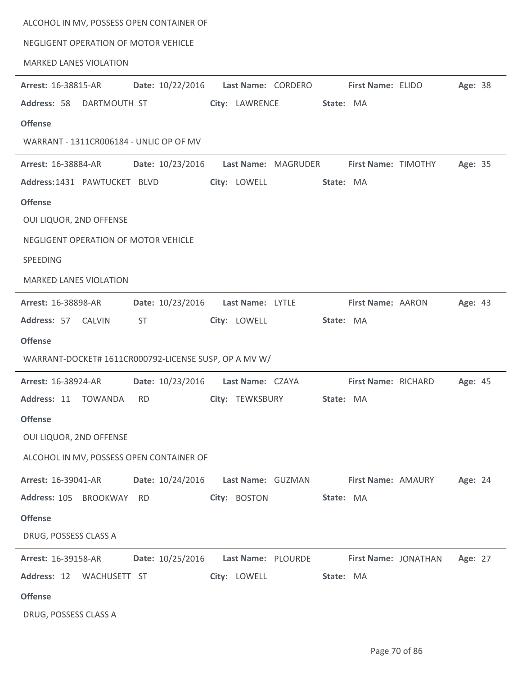| ALCOHOL IN MV, POSSESS OPEN CONTAINER OF              |                                        |                                        |  |
|-------------------------------------------------------|----------------------------------------|----------------------------------------|--|
| NEGLIGENT OPERATION OF MOTOR VEHICLE                  |                                        |                                        |  |
| <b>MARKED LANES VIOLATION</b>                         |                                        |                                        |  |
| Date: 10/22/2016<br><b>Arrest: 16-38815-AR</b>        | Last Name: CORDERO                     | First Name: ELIDO<br>Age: 38           |  |
| Address: 58<br>DARTMOUTH ST                           | City: LAWRENCE                         | State: MA                              |  |
| <b>Offense</b>                                        |                                        |                                        |  |
| WARRANT - 1311CR006184 - UNLIC OP OF MV               |                                        |                                        |  |
| Date: 10/23/2016<br>Arrest: 16-38884-AR               | Last Name: MAGRUDER                    | Age: 35<br>First Name: TIMOTHY         |  |
| Address: 1431 PAWTUCKET BLVD                          | City: LOWELL                           | State: MA                              |  |
| <b>Offense</b>                                        |                                        |                                        |  |
| OUI LIQUOR, 2ND OFFENSE                               |                                        |                                        |  |
| NEGLIGENT OPERATION OF MOTOR VEHICLE                  |                                        |                                        |  |
| SPEEDING                                              |                                        |                                        |  |
| <b>MARKED LANES VIOLATION</b>                         |                                        |                                        |  |
| <b>Arrest: 16-38898-AR</b>                            | Date: 10/23/2016    Last Name: LYTLE   | First Name: AARON<br>Age: 43           |  |
| Address: 57 CALVIN<br><b>ST</b>                       | City: LOWELL                           | State: MA                              |  |
| <b>Offense</b>                                        |                                        |                                        |  |
| WARRANT-DOCKET# 1611CR000792-LICENSE SUSP, OP A MV W/ |                                        |                                        |  |
| Arrest: 16-38924-AR                                   | Date: 10/23/2016    Last Name: CZAYA   | First Name: RICHARD<br>Age: 45         |  |
| Address: 11 TOWANDA                                   | RD <b>City: TEWKSBURY</b>              | State: MA                              |  |
| <b>Offense</b>                                        |                                        |                                        |  |
| OUI LIQUOR, 2ND OFFENSE                               |                                        |                                        |  |
| ALCOHOL IN MV, POSSESS OPEN CONTAINER OF              |                                        |                                        |  |
| Date: 10/24/2016<br>Arrest: 16-39041-AR               | Last Name: GUZMAN                      | First Name: AMAURY<br>Age: 24          |  |
| Address: 105 BROOKWAY<br>RD                           | City: BOSTON                           | State: MA                              |  |
| <b>Offense</b>                                        |                                        |                                        |  |
| DRUG, POSSESS CLASS A                                 |                                        |                                        |  |
| Arrest: 16-39158-AR                                   | Date: 10/25/2016    Last Name: PLOURDE | <b>First Name: JONATHAN</b><br>Age: 27 |  |
| Address: 12<br>WACHUSETT ST                           | City: LOWELL                           | State: MA                              |  |
| <b>Offense</b>                                        |                                        |                                        |  |
| DRUG, POSSESS CLASS A                                 |                                        |                                        |  |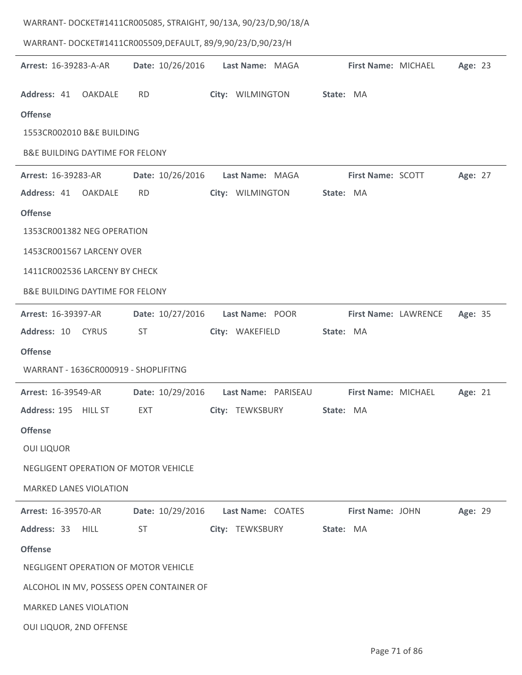| WARRANT-DOCKET#1411CR005085, STRAIGHT, 90/13A, 90/23/D,90/18/A |                  |                     |                      |         |
|----------------------------------------------------------------|------------------|---------------------|----------------------|---------|
| WARRANT-DOCKET#1411CR005509,DEFAULT, 89/9,90/23/D,90/23/H      |                  |                     |                      |         |
| Arrest: 16-39283-A-AR                                          | Date: 10/26/2016 | Last Name: MAGA     | First Name: MICHAEL  | Age: 23 |
| Address: 41<br><b>OAKDALE</b>                                  | <b>RD</b>        | City: WILMINGTON    | State: MA            |         |
| <b>Offense</b>                                                 |                  |                     |                      |         |
| 1553CR002010 B&E BUILDING                                      |                  |                     |                      |         |
| <b>B&amp;E BUILDING DAYTIME FOR FELONY</b>                     |                  |                     |                      |         |
| Arrest: 16-39283-AR                                            | Date: 10/26/2016 | Last Name: MAGA     | First Name: SCOTT    | Age: 27 |
| Address: 41<br><b>OAKDALE</b>                                  | <b>RD</b>        | City: WILMINGTON    | State: MA            |         |
| <b>Offense</b>                                                 |                  |                     |                      |         |
| 1353CR001382 NEG OPERATION                                     |                  |                     |                      |         |
| 1453CR001567 LARCENY OVER                                      |                  |                     |                      |         |
| 1411CR002536 LARCENY BY CHECK                                  |                  |                     |                      |         |
| <b>B&amp;E BUILDING DAYTIME FOR FELONY</b>                     |                  |                     |                      |         |
| Arrest: 16-39397-AR                                            | Date: 10/27/2016 | Last Name: POOR     | First Name: LAWRENCE | Age: 35 |
| Address: 10<br><b>CYRUS</b>                                    | <b>ST</b>        | City: WAKEFIELD     | State: MA            |         |
| <b>Offense</b>                                                 |                  |                     |                      |         |
| WARRANT - 1636CR000919 - SHOPLIFITNG                           |                  |                     |                      |         |
| <b>Arrest: 16-39549-AR</b>                                     | Date: 10/29/2016 | Last Name: PARISEAU | First Name: MICHAEL  | Age: 21 |
| Address: 195 HILL ST                                           | EXT              | City: TEWKSBURY     | State: MA            |         |
| <b>Offense</b>                                                 |                  |                     |                      |         |
| <b>OUI LIQUOR</b>                                              |                  |                     |                      |         |
| NEGLIGENT OPERATION OF MOTOR VEHICLE                           |                  |                     |                      |         |
| <b>MARKED LANES VIOLATION</b>                                  |                  |                     |                      |         |
| <b>Arrest: 16-39570-AR</b>                                     | Date: 10/29/2016 | Last Name: COATES   | First Name: JOHN     | Age: 29 |
| Address: 33 HILL                                               | <b>ST</b>        | City: TEWKSBURY     | State: MA            |         |
| <b>Offense</b>                                                 |                  |                     |                      |         |
| NEGLIGENT OPERATION OF MOTOR VEHICLE                           |                  |                     |                      |         |
| ALCOHOL IN MV, POSSESS OPEN CONTAINER OF                       |                  |                     |                      |         |
| <b>MARKED LANES VIOLATION</b>                                  |                  |                     |                      |         |
| OUI LIQUOR, 2ND OFFENSE                                        |                  |                     |                      |         |

l.

ŀ,

÷,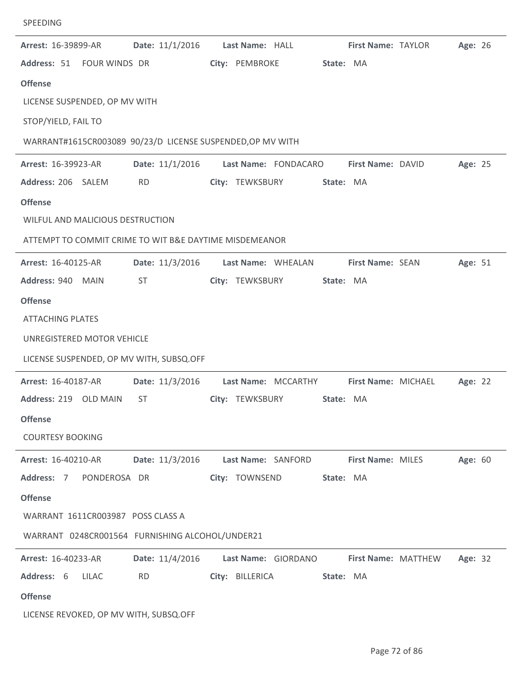| Arrest: 16-39899-AR                                        |              | Date: 11/1/2016    Last Name: HALL |  |                 |                      |           | <b>First Name: TAYLOR</b> |  | Age: 26 |  |
|------------------------------------------------------------|--------------|------------------------------------|--|-----------------|----------------------|-----------|---------------------------|--|---------|--|
| Address: 51 FOUR WINDS DR                                  |              |                                    |  | City: PEMBROKE  |                      | State: MA |                           |  |         |  |
| <b>Offense</b>                                             |              |                                    |  |                 |                      |           |                           |  |         |  |
| LICENSE SUSPENDED, OP MV WITH                              |              |                                    |  |                 |                      |           |                           |  |         |  |
| STOP/YIELD, FAIL TO                                        |              |                                    |  |                 |                      |           |                           |  |         |  |
| WARRANT#1615CR003089 90/23/D LICENSE SUSPENDED, OP MV WITH |              |                                    |  |                 |                      |           |                           |  |         |  |
| Arrest: 16-39923-AR                                        |              | Date: 11/1/2016                    |  |                 | Last Name: FONDACARO |           | First Name: DAVID         |  | Age: 25 |  |
| Address: 206 SALEM                                         |              | <b>RD</b>                          |  |                 | City: TEWKSBURY      | State: MA |                           |  |         |  |
| <b>Offense</b>                                             |              |                                    |  |                 |                      |           |                           |  |         |  |
| WILFUL AND MALICIOUS DESTRUCTION                           |              |                                    |  |                 |                      |           |                           |  |         |  |
| ATTEMPT TO COMMIT CRIME TO WIT B&E DAYTIME MISDEMEANOR     |              |                                    |  |                 |                      |           |                           |  |         |  |
| Arrest: 16-40125-AR                                        |              | Date: 11/3/2016 Last Name: WHEALAN |  |                 |                      |           | First Name: SEAN          |  | Age: 51 |  |
| Address: 940 MAIN                                          |              | ST                                 |  |                 | City: TEWKSBURY      | State: MA |                           |  |         |  |
| <b>Offense</b>                                             |              |                                    |  |                 |                      |           |                           |  |         |  |
| <b>ATTACHING PLATES</b>                                    |              |                                    |  |                 |                      |           |                           |  |         |  |
| UNREGISTERED MOTOR VEHICLE                                 |              |                                    |  |                 |                      |           |                           |  |         |  |
| LICENSE SUSPENDED, OP MV WITH, SUBSQ.OFF                   |              |                                    |  |                 |                      |           |                           |  |         |  |
| Arrest: 16-40187-AR                                        |              | Date: 11/3/2016                    |  |                 | Last Name: MCCARTHY  |           | First Name: MICHAEL       |  | Age: 22 |  |
| Address: 219 OLD MAIN                                      |              | <b>ST</b>                          |  | City: TEWKSBURY |                      | State: MA |                           |  |         |  |
| <b>Offense</b>                                             |              |                                    |  |                 |                      |           |                           |  |         |  |
| <b>COURTESY BOOKING</b>                                    |              |                                    |  |                 |                      |           |                           |  |         |  |
| Arrest: 16-40210-AR                                        |              | Date: 11/3/2016                    |  |                 | Last Name: SANFORD   |           | <b>First Name: MILES</b>  |  | Age: 60 |  |
| Address: 7                                                 | PONDEROSA DR |                                    |  | City: TOWNSEND  |                      | State: MA |                           |  |         |  |
| <b>Offense</b>                                             |              |                                    |  |                 |                      |           |                           |  |         |  |
| WARRANT 1611CR003987 POSS CLASS A                          |              |                                    |  |                 |                      |           |                           |  |         |  |
| WARRANT 0248CR001564 FURNISHING ALCOHOL/UNDER21            |              |                                    |  |                 |                      |           |                           |  |         |  |
| Arrest: 16-40233-AR                                        |              | Date: 11/4/2016                    |  |                 | Last Name: GIORDANO  |           | First Name: MATTHEW       |  | Age: 32 |  |
| Address: 6                                                 | LILAC        | <b>RD</b>                          |  | City: BILLERICA |                      | State: MA |                           |  |         |  |
| <b>Offense</b>                                             |              |                                    |  |                 |                      |           |                           |  |         |  |
| LICENSE REVOKED, OP MV WITH, SUBSQ.OFF                     |              |                                    |  |                 |                      |           |                           |  |         |  |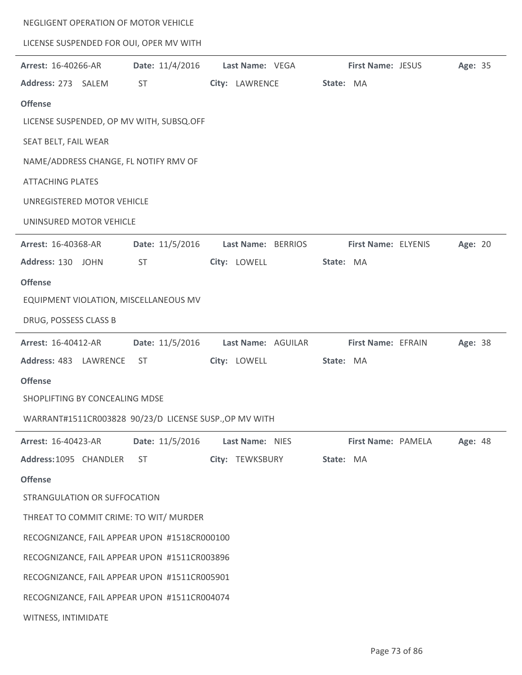| NEGLIGENT OPERATION OF MOTOR VEHICLE                   |                 |                    |                     |         |  |  |  |  |
|--------------------------------------------------------|-----------------|--------------------|---------------------|---------|--|--|--|--|
| LICENSE SUSPENDED FOR OUI, OPER MV WITH                |                 |                    |                     |         |  |  |  |  |
| Arrest: 16-40266-AR                                    | Date: 11/4/2016 | Last Name: VEGA    | First Name: JESUS   | Age: 35 |  |  |  |  |
| Address: 273 SALEM                                     | <b>ST</b>       | City: LAWRENCE     | State: MA           |         |  |  |  |  |
| <b>Offense</b>                                         |                 |                    |                     |         |  |  |  |  |
| LICENSE SUSPENDED, OP MV WITH, SUBSQ.OFF               |                 |                    |                     |         |  |  |  |  |
| SEAT BELT, FAIL WEAR                                   |                 |                    |                     |         |  |  |  |  |
| NAME/ADDRESS CHANGE, FL NOTIFY RMV OF                  |                 |                    |                     |         |  |  |  |  |
| <b>ATTACHING PLATES</b>                                |                 |                    |                     |         |  |  |  |  |
| UNREGISTERED MOTOR VEHICLE                             |                 |                    |                     |         |  |  |  |  |
| UNINSURED MOTOR VEHICLE                                |                 |                    |                     |         |  |  |  |  |
| Arrest: 16-40368-AR                                    | Date: 11/5/2016 | Last Name: BERRIOS | First Name: ELYENIS | Age: 20 |  |  |  |  |
| Address: 130 JOHN                                      | <b>ST</b>       | City: LOWELL       | State: MA           |         |  |  |  |  |
| <b>Offense</b>                                         |                 |                    |                     |         |  |  |  |  |
| EQUIPMENT VIOLATION, MISCELLANEOUS MV                  |                 |                    |                     |         |  |  |  |  |
| DRUG, POSSESS CLASS B                                  |                 |                    |                     |         |  |  |  |  |
| Arrest: 16-40412-AR                                    | Date: 11/5/2016 | Last Name: AGUILAR | First Name: EFRAIN  | Age: 38 |  |  |  |  |
| Address: 483 LAWRENCE                                  | <b>ST</b>       | City: LOWELL       | State: MA           |         |  |  |  |  |
| <b>Offense</b>                                         |                 |                    |                     |         |  |  |  |  |
| SHOPLIFTING BY CONCEALING MDSE                         |                 |                    |                     |         |  |  |  |  |
| WARRANT#1511CR003828 90/23/D LICENSE SUSP., OP MV WITH |                 |                    |                     |         |  |  |  |  |
| Arrest: 16-40423-AR                                    | Date: 11/5/2016 | Last Name: NIES    | First Name: PAMELA  | Age: 48 |  |  |  |  |
| Address: 1095 CHANDLER                                 | <b>ST</b>       | City: TEWKSBURY    | State: MA           |         |  |  |  |  |
| <b>Offense</b>                                         |                 |                    |                     |         |  |  |  |  |
| STRANGULATION OR SUFFOCATION                           |                 |                    |                     |         |  |  |  |  |
| THREAT TO COMMIT CRIME: TO WIT/ MURDER                 |                 |                    |                     |         |  |  |  |  |
| RECOGNIZANCE, FAIL APPEAR UPON #1518CR000100           |                 |                    |                     |         |  |  |  |  |
| RECOGNIZANCE, FAIL APPEAR UPON #1511CR003896           |                 |                    |                     |         |  |  |  |  |
| RECOGNIZANCE, FAIL APPEAR UPON #1511CR005901           |                 |                    |                     |         |  |  |  |  |
|                                                        |                 |                    |                     |         |  |  |  |  |
| RECOGNIZANCE, FAIL APPEAR UPON #1511CR004074           |                 |                    |                     |         |  |  |  |  |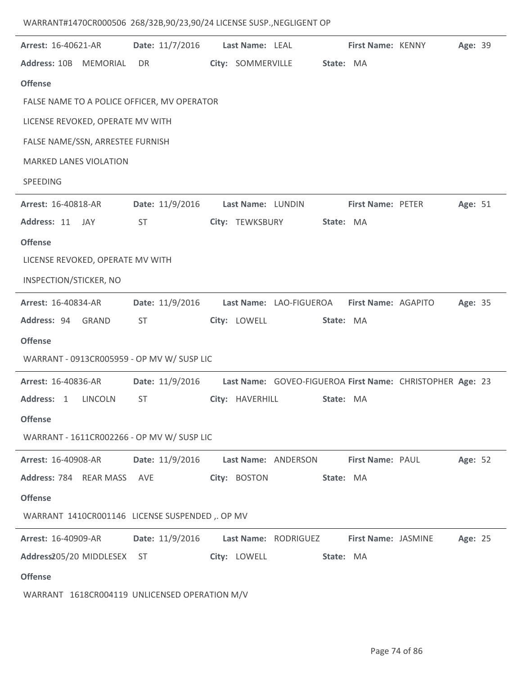## WARRANT#1470CR000506 268/32B,90/23,90/24 LICENSE SUSP.,NEGLIGENT OP

| Arrest: 16-40621-AR                           | Date: 11/7/2016 | Last Name: LEAL                                           | First Name: KENNY        | Age: 39 |
|-----------------------------------------------|-----------------|-----------------------------------------------------------|--------------------------|---------|
| Address: 10B MEMORIAL                         | <b>DR</b>       | City: SOMMERVILLE                                         | State: MA                |         |
| <b>Offense</b>                                |                 |                                                           |                          |         |
| FALSE NAME TO A POLICE OFFICER, MV OPERATOR   |                 |                                                           |                          |         |
| LICENSE REVOKED, OPERATE MV WITH              |                 |                                                           |                          |         |
| FALSE NAME/SSN, ARRESTEE FURNISH              |                 |                                                           |                          |         |
| <b>MARKED LANES VIOLATION</b>                 |                 |                                                           |                          |         |
| SPEEDING                                      |                 |                                                           |                          |         |
| Arrest: 16-40818-AR                           | Date: 11/9/2016 | Last Name: LUNDIN                                         | <b>First Name: PETER</b> | Age: 51 |
| Address: 11<br>JAY                            | <b>ST</b>       | City: TEWKSBURY                                           | State: MA                |         |
| <b>Offense</b>                                |                 |                                                           |                          |         |
| LICENSE REVOKED, OPERATE MV WITH              |                 |                                                           |                          |         |
| INSPECTION/STICKER, NO                        |                 |                                                           |                          |         |
| <b>Arrest: 16-40834-AR</b>                    | Date: 11/9/2016 | Last Name: LAO-FIGUEROA First Name: AGAPITO               |                          | Age: 35 |
| Address: 94 GRAND                             | <b>ST</b>       | City: LOWELL                                              | State: MA                |         |
| <b>Offense</b>                                |                 |                                                           |                          |         |
| WARRANT - 0913CR005959 - OP MV W/ SUSP LIC    |                 |                                                           |                          |         |
| <b>Arrest: 16-40836-AR</b>                    | Date: 11/9/2016 | Last Name: GOVEO-FIGUEROA First Name: CHRISTOPHER Age: 23 |                          |         |
| Address: 1 LINCOLN                            | ST              | City: HAVERHILL                                           | State: MA                |         |
| <b>Offense</b>                                |                 |                                                           |                          |         |
| WARRANT - 1611CR002266 - OP MV W/ SUSP LIC    |                 |                                                           |                          |         |
| Arrest: 16-40908-AR                           | Date: 11/9/2016 | Last Name: ANDERSON                                       | First Name: PAUL         | Age: 52 |
| Address: 784 REAR MASS                        | AVE             | City: BOSTON                                              | State: MA                |         |
| <b>Offense</b>                                |                 |                                                           |                          |         |
| WARRANT 1410CR001146 LICENSE SUSPENDED, OP MV |                 |                                                           |                          |         |
| Arrest: 16-40909-AR                           | Date: 11/9/2016 | Last Name: RODRIGUEZ                                      | First Name: JASMINE      | Age: 25 |
| Address205/20 MIDDLESEX                       | <b>ST</b>       | City: LOWELL                                              | State: MA                |         |
| <b>Offense</b>                                |                 |                                                           |                          |         |
| WARRANT 1618CR004119 UNLICENSED OPERATION M/V |                 |                                                           |                          |         |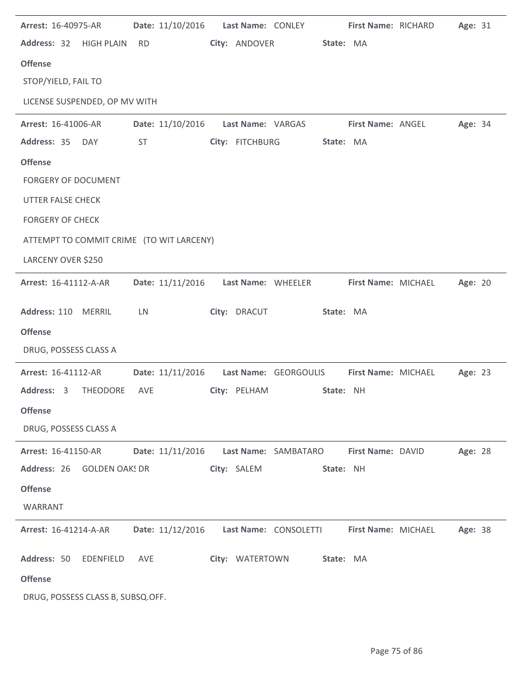| Arrest: 16-40975-AR                      |           | Date: 11/10/2016 | Last Name: CONLEY |                       |           | First Name: RICHARD | Age: 31 |  |
|------------------------------------------|-----------|------------------|-------------------|-----------------------|-----------|---------------------|---------|--|
| Address: 32 HIGH PLAIN                   | <b>RD</b> |                  | City: ANDOVER     |                       | State: MA |                     |         |  |
| <b>Offense</b>                           |           |                  |                   |                       |           |                     |         |  |
| STOP/YIELD, FAIL TO                      |           |                  |                   |                       |           |                     |         |  |
| LICENSE SUSPENDED, OP MV WITH            |           |                  |                   |                       |           |                     |         |  |
| Arrest: 16-41006-AR                      |           | Date: 11/10/2016 |                   | Last Name: VARGAS     |           | First Name: ANGEL   | Age: 34 |  |
| Address: 35<br>DAY                       | <b>ST</b> |                  | City: FITCHBURG   |                       | State: MA |                     |         |  |
| <b>Offense</b>                           |           |                  |                   |                       |           |                     |         |  |
| <b>FORGERY OF DOCUMENT</b>               |           |                  |                   |                       |           |                     |         |  |
| <b>UTTER FALSE CHECK</b>                 |           |                  |                   |                       |           |                     |         |  |
| <b>FORGERY OF CHECK</b>                  |           |                  |                   |                       |           |                     |         |  |
| ATTEMPT TO COMMIT CRIME (TO WIT LARCENY) |           |                  |                   |                       |           |                     |         |  |
| LARCENY OVER \$250                       |           |                  |                   |                       |           |                     |         |  |
| Arrest: 16-41112-A-AR                    |           | Date: 11/11/2016 |                   | Last Name: WHEELER    |           | First Name: MICHAEL | Age: 20 |  |
| Address: 110<br><b>MERRIL</b>            | LN        |                  | City: DRACUT      |                       | State: MA |                     |         |  |
| <b>Offense</b>                           |           |                  |                   |                       |           |                     |         |  |
| DRUG, POSSESS CLASS A                    |           |                  |                   |                       |           |                     |         |  |
| Arrest: 16-41112-AR                      |           | Date: 11/11/2016 |                   | Last Name: GEORGOULIS |           | First Name: MICHAEL | Age: 23 |  |
| Address: 3<br><b>THEODORE</b>            | AVE       |                  | City: PELHAM      |                       | State: NH |                     |         |  |
| <b>Offense</b>                           |           |                  |                   |                       |           |                     |         |  |
| DRUG, POSSESS CLASS A                    |           |                  |                   |                       |           |                     |         |  |
| Arrest: 16-41150-AR                      |           | Date: 11/11/2016 |                   | Last Name: SAMBATARO  |           | First Name: DAVID   | Age: 28 |  |
| Address: 26 GOLDEN OAKS DR               |           |                  | City: SALEM       |                       | State: NH |                     |         |  |
| <b>Offense</b>                           |           |                  |                   |                       |           |                     |         |  |
| WARRANT                                  |           |                  |                   |                       |           |                     |         |  |
| Arrest: 16-41214-A-AR                    |           | Date: 11/12/2016 |                   | Last Name: CONSOLETTI |           | First Name: MICHAEL | Age: 38 |  |
| Address: 50<br>EDENFIELD                 | AVE       |                  | City: WATERTOWN   |                       | State: MA |                     |         |  |
| <b>Offense</b>                           |           |                  |                   |                       |           |                     |         |  |
| DRUG, POSSESS CLASS B, SUBSQ.OFF.        |           |                  |                   |                       |           |                     |         |  |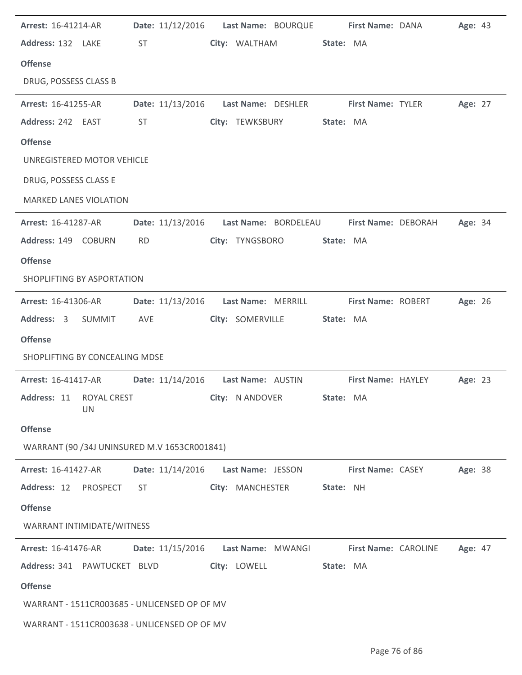| Arrest: 16-41214-AR                           |           |                  |                   | Date: 11/12/2016    Last Name: BOURQUE                      |                  | First Name: DANA     |                                                         | Age: 43        |  |
|-----------------------------------------------|-----------|------------------|-------------------|-------------------------------------------------------------|------------------|----------------------|---------------------------------------------------------|----------------|--|
| Address: 132 LAKE                             | <b>ST</b> |                  |                   | City: WALTHAM                                               | State: MA        |                      |                                                         |                |  |
| <b>Offense</b>                                |           |                  |                   |                                                             |                  |                      |                                                         |                |  |
| DRUG, POSSESS CLASS B                         |           |                  |                   |                                                             |                  |                      |                                                         |                |  |
| <b>Arrest: 16-41255-AR</b>                    |           |                  |                   | Date: 11/13/2016    Last Name: DESHLER    First Name: TYLER |                  |                      |                                                         | Age: 27        |  |
| Address: 242 EAST                             | ST        |                  |                   | City: TEWKSBURY                                             | State: MA        |                      |                                                         |                |  |
| <b>Offense</b>                                |           |                  |                   |                                                             |                  |                      |                                                         |                |  |
| UNREGISTERED MOTOR VEHICLE                    |           |                  |                   |                                                             |                  |                      |                                                         |                |  |
| DRUG, POSSESS CLASS E                         |           |                  |                   |                                                             |                  |                      |                                                         |                |  |
| <b>MARKED LANES VIOLATION</b>                 |           |                  |                   |                                                             |                  |                      |                                                         |                |  |
| <b>Arrest: 16-41287-AR</b>                    |           |                  |                   | Date: 11/13/2016    Last Name: BORDELEAU                    |                  | First Name: DEBORAH  |                                                         | <b>Age: 34</b> |  |
| Address: 149 COBURN                           | <b>RD</b> |                  |                   | City: TYNGSBORO                                             | State: MA        |                      |                                                         |                |  |
| <b>Offense</b>                                |           |                  |                   |                                                             |                  |                      |                                                         |                |  |
| SHOPLIFTING BY ASPORTATION                    |           |                  |                   |                                                             |                  |                      |                                                         |                |  |
| <b>Arrest: 16-41306-AR</b>                    |           | Date: 11/13/2016 |                   | Last Name: MERRILL                                          |                  | First Name: ROBERT   |                                                         | Age: 26        |  |
| Address: 3 SUMMIT                             | AVE       |                  |                   | City: SOMERVILLE                                            | State: MA        |                      |                                                         |                |  |
|                                               |           |                  |                   |                                                             |                  |                      |                                                         |                |  |
| <b>Offense</b>                                |           |                  |                   |                                                             |                  |                      |                                                         |                |  |
| SHOPLIFTING BY CONCEALING MDSE                |           |                  |                   |                                                             |                  |                      |                                                         |                |  |
| <b>Arrest: 16-41417-AR</b>                    |           |                  |                   |                                                             |                  |                      | Date: 11/14/2016  Last Name: AUSTIN  First Name: HAYLEY | Age: 23        |  |
| Address: 11 ROYAL CREST<br><b>UN</b>          |           |                  | City: N ANDOVER   |                                                             | <b>State: MA</b> |                      |                                                         |                |  |
| <b>Offense</b>                                |           |                  |                   |                                                             |                  |                      |                                                         |                |  |
| WARRANT (90 / 34J UNINSURED M.V 1653CR001841) |           |                  |                   |                                                             |                  |                      |                                                         |                |  |
| Arrest: 16-41427-AR                           |           | Date: 11/14/2016 | Last Name: JESSON |                                                             |                  | First Name: CASEY    |                                                         | Age: 38        |  |
| Address: 12<br>PROSPECT                       | <b>ST</b> |                  | City: MANCHESTER  |                                                             | State: NH        |                      |                                                         |                |  |
| <b>Offense</b>                                |           |                  |                   |                                                             |                  |                      |                                                         |                |  |
| WARRANT INTIMIDATE/WITNESS                    |           |                  |                   |                                                             |                  |                      |                                                         |                |  |
| Arrest: 16-41476-AR                           |           | Date: 11/15/2016 |                   | Last Name: MWANGI                                           |                  | First Name: CAROLINE |                                                         | Age: 47        |  |
| Address: 341 PAWTUCKET BLVD                   |           |                  | City: LOWELL      |                                                             | State: MA        |                      |                                                         |                |  |
| <b>Offense</b>                                |           |                  |                   |                                                             |                  |                      |                                                         |                |  |
| WARRANT - 1511CR003685 - UNLICENSED OP OF MV  |           |                  |                   |                                                             |                  |                      |                                                         |                |  |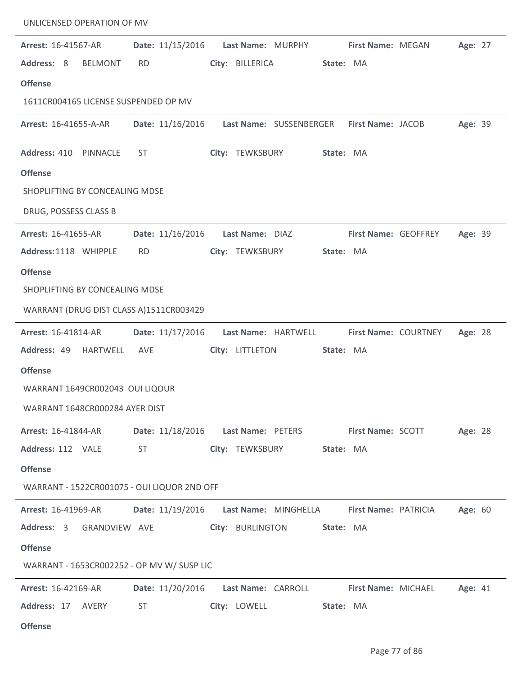| UNLICENSED OPERATION OF MV                  |                  |                                        |                             |         |
|---------------------------------------------|------------------|----------------------------------------|-----------------------------|---------|
| Arrest: 16-41567-AR                         | Date: 11/15/2016 | Last Name: MURPHY                      | First Name: MEGAN           | Age: 27 |
| Address: 8<br><b>BELMONT</b>                | <b>RD</b>        | City: BILLERICA                        | State: MA                   |         |
| <b>Offense</b>                              |                  |                                        |                             |         |
| 1611CR004165 LICENSE SUSPENDED OP MV        |                  |                                        |                             |         |
| Arrest: 16-41655-A-AR                       | Date: 11/16/2016 | Last Name: SUSSENBERGER                | First Name: JACOB           | Age: 39 |
| Address: 410 PINNACLE                       | <b>ST</b>        | City: TEWKSBURY                        | State: MA                   |         |
| <b>Offense</b>                              |                  |                                        |                             |         |
| SHOPLIFTING BY CONCEALING MDSE              |                  |                                        |                             |         |
| DRUG, POSSESS CLASS B                       |                  |                                        |                             |         |
| Arrest: 16-41655-AR                         | Date: 11/16/2016 | Last Name: DIAZ                        | First Name: GEOFFREY        | Age: 39 |
| Address: 1118 WHIPPLE                       | <b>RD</b>        | City: TEWKSBURY                        | State: MA                   |         |
| <b>Offense</b>                              |                  |                                        |                             |         |
| SHOPLIFTING BY CONCEALING MDSE              |                  |                                        |                             |         |
| WARRANT (DRUG DIST CLASS A)1511CR003429     |                  |                                        |                             |         |
| Arrest: 16-41814-AR                         | Date: 11/17/2016 | Last Name: HARTWELL                    | <b>First Name: COURTNEY</b> | Age: 28 |
| Address: 49 HARTWELL                        | AVE              | City: LITTLETON                        | State: MA                   |         |
| <b>Offense</b>                              |                  |                                        |                             |         |
| WARRANT 1649CR002043 OUI LIQOUR             |                  |                                        |                             |         |
| WARRANT 1648CR000284 AYER DIST              |                  |                                        |                             |         |
| <b>Arrest: 16-41844-AR</b>                  |                  | Date: 11/18/2016    Last Name: PETERS  | First Name: SCOTT           | Age: 28 |
| Address: 112 VALE                           | ST               | City: TEWKSBURY                        | State: MA                   |         |
| <b>Offense</b>                              |                  |                                        |                             |         |
| WARRANT - 1522CR001075 - OUI LIQUOR 2ND OFF |                  |                                        |                             |         |
| <b>Arrest: 16-41969-AR</b>                  | Date: 11/19/2016 | Last Name: MINGHELLA                   | <b>First Name: PATRICIA</b> | Age: 60 |
| Address: 3 GRANDVIEW AVE                    |                  | City: BURLINGTON                       | State: MA                   |         |
| <b>Offense</b>                              |                  |                                        |                             |         |
| WARRANT - 1653CR002252 - OP MV W/ SUSP LIC  |                  |                                        |                             |         |
| Arrest: 16-42169-AR                         |                  | Date: 11/20/2016    Last Name: CARROLL | <b>First Name: MICHAEL</b>  | Age: 41 |
| Address: 17 AVERY                           | ST               | City: LOWELL                           | State: MA                   |         |
| <b>Offense</b>                              |                  |                                        |                             |         |

J.

 $\overline{a}$ 

 $\overline{a}$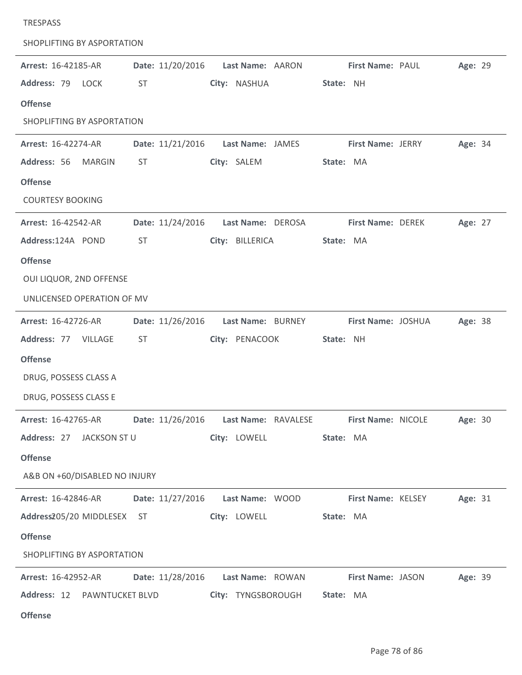| SHOPLIFTING BY ASPORTATION    |                  |                                      |                                                               |         |
|-------------------------------|------------------|--------------------------------------|---------------------------------------------------------------|---------|
| Arrest: 16-42185-AR           | Date: 11/20/2016 | Last Name: AARON                     | First Name: PAUL                                              | Age: 29 |
| Address: 79 LOCK              | <b>ST</b>        | City: NASHUA                         | State: NH                                                     |         |
| <b>Offense</b>                |                  |                                      |                                                               |         |
| SHOPLIFTING BY ASPORTATION    |                  |                                      |                                                               |         |
| Arrest: 16-42274-AR           | Date: 11/21/2016 | Last Name: JAMES                     | <b>First Name: JERRY</b>                                      | Age: 34 |
| Address: 56<br>MARGIN         | <b>ST</b>        | City: SALEM                          | State: MA                                                     |         |
| <b>Offense</b>                |                  |                                      |                                                               |         |
| <b>COURTESY BOOKING</b>       |                  |                                      |                                                               |         |
| Arrest: 16-42542-AR           | Date: 11/24/2016 | Last Name: DEROSA                    | First Name: DEREK                                             | Age: 27 |
| Address:124A POND             | <b>ST</b>        | City: BILLERICA                      | State: MA                                                     |         |
| <b>Offense</b>                |                  |                                      |                                                               |         |
| OUI LIQUOR, 2ND OFFENSE       |                  |                                      |                                                               |         |
| UNLICENSED OPERATION OF MV    |                  |                                      |                                                               |         |
| Arrest: 16-42726-AR           | Date: 11/26/2016 | Last Name: BURNEY                    | First Name: JOSHUA                                            | Age: 38 |
| Address: 77 VILLAGE           | <b>ST</b>        | City: PENACOOK                       | State: NH                                                     |         |
| <b>Offense</b>                |                  |                                      |                                                               |         |
| DRUG, POSSESS CLASS A         |                  |                                      |                                                               |         |
| DRUG, POSSESS CLASS E         |                  |                                      |                                                               |         |
| <b>Arrest: 16-42765-AR</b>    |                  |                                      | Date: 11/26/2016    Last Name: RAVALESE    First Name: NICOLE | Age: 30 |
| Address: 27 JACKSON ST U      |                  | City: LOWELL                         | State: MA                                                     |         |
| <b>Offense</b>                |                  |                                      |                                                               |         |
| A&B ON +60/DISABLED NO INJURY |                  |                                      |                                                               |         |
| <b>Arrest: 16-42846-AR</b>    |                  | Date: 11/27/2016    Last Name: WOOD  | <b>First Name: KELSEY</b>                                     | Age: 31 |
| Address205/20 MIDDLESEX ST    |                  | City: LOWELL                         | State: MA                                                     |         |
| <b>Offense</b>                |                  |                                      |                                                               |         |
| SHOPLIFTING BY ASPORTATION    |                  |                                      |                                                               |         |
| Arrest: 16-42952-AR           |                  | Date: 11/28/2016    Last Name: ROWAN | <b>First Name: JASON</b>                                      | Age: 39 |
| Address: 12 PAWNTUCKET BLVD   |                  | City: TYNGSBOROUGH                   | State: MA                                                     |         |
| <b>Offense</b>                |                  |                                      |                                                               |         |

TRESPASS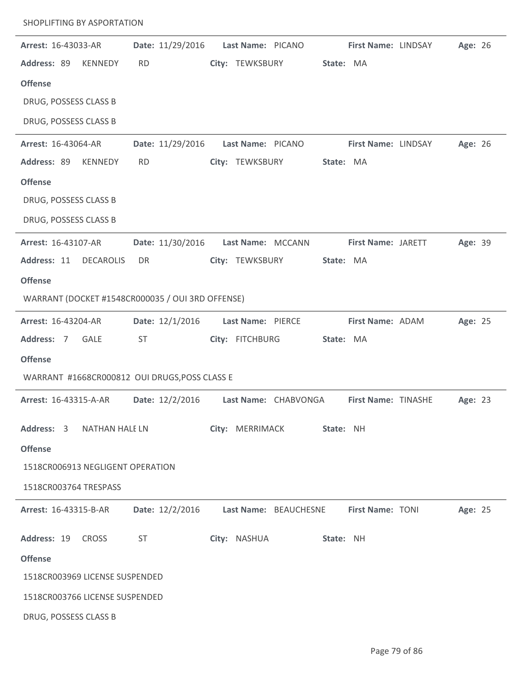| Arrest: 16-43033-AR              | Date: 11/29/2016                                 | Last Name: PICANO     |           | First Name: LINDSAY     | Age: 26 |  |
|----------------------------------|--------------------------------------------------|-----------------------|-----------|-------------------------|---------|--|
| Address: 89<br><b>KENNEDY</b>    | <b>RD</b>                                        | City: TEWKSBURY       | State: MA |                         |         |  |
| <b>Offense</b>                   |                                                  |                       |           |                         |         |  |
| DRUG, POSSESS CLASS B            |                                                  |                       |           |                         |         |  |
| DRUG, POSSESS CLASS B            |                                                  |                       |           |                         |         |  |
| Arrest: 16-43064-AR              | Date: 11/29/2016                                 | Last Name: PICANO     |           | First Name: LINDSAY     | Age: 26 |  |
| Address: 89<br>KENNEDY           | <b>RD</b>                                        | City: TEWKSBURY       | State: MA |                         |         |  |
| <b>Offense</b>                   |                                                  |                       |           |                         |         |  |
| DRUG, POSSESS CLASS B            |                                                  |                       |           |                         |         |  |
| DRUG, POSSESS CLASS B            |                                                  |                       |           |                         |         |  |
| Arrest: 16-43107-AR              | Date: 11/30/2016                                 | Last Name: MCCANN     |           | First Name: JARETT      | Age: 39 |  |
| Address: 11<br><b>DECAROLIS</b>  | DR                                               | City: TEWKSBURY       | State: MA |                         |         |  |
| <b>Offense</b>                   |                                                  |                       |           |                         |         |  |
|                                  | WARRANT (DOCKET #1548CR000035 / OUI 3RD OFFENSE) |                       |           |                         |         |  |
| Arrest: 16-43204-AR              | Date: 12/1/2016                                  | Last Name: PIERCE     |           | First Name: ADAM        | Age: 25 |  |
| Address: 7<br><b>GALE</b>        | <b>ST</b>                                        | City: FITCHBURG       | State: MA |                         |         |  |
| <b>Offense</b>                   |                                                  |                       |           |                         |         |  |
|                                  | WARRANT #1668CR000812 OUI DRUGS, POSS CLASS E    |                       |           |                         |         |  |
| Arrest: 16-43315-A-AR            | Date: 12/2/2016                                  | Last Name: CHABVONGA  |           | First Name: TINASHE     | Age: 23 |  |
| Address: 3                       | <b>NATHAN HALE LN</b>                            | City: MERRIMACK       | State: NH |                         |         |  |
| <b>Offense</b>                   |                                                  |                       |           |                         |         |  |
| 1518CR006913 NEGLIGENT OPERATION |                                                  |                       |           |                         |         |  |
| 1518CR003764 TRESPASS            |                                                  |                       |           |                         |         |  |
| Arrest: 16-43315-B-AR            | Date: 12/2/2016                                  | Last Name: BEAUCHESNE |           | <b>First Name: TONI</b> | Age: 25 |  |
|                                  |                                                  |                       |           |                         |         |  |
| Address: 19<br><b>CROSS</b>      | <b>ST</b>                                        | City: NASHUA          | State: NH |                         |         |  |
| <b>Offense</b>                   |                                                  |                       |           |                         |         |  |
| 1518CR003969 LICENSE SUSPENDED   |                                                  |                       |           |                         |         |  |
| 1518CR003766 LICENSE SUSPENDED   |                                                  |                       |           |                         |         |  |
| DRUG, POSSESS CLASS B            |                                                  |                       |           |                         |         |  |

SHOPLIFTING BY ASPORTATION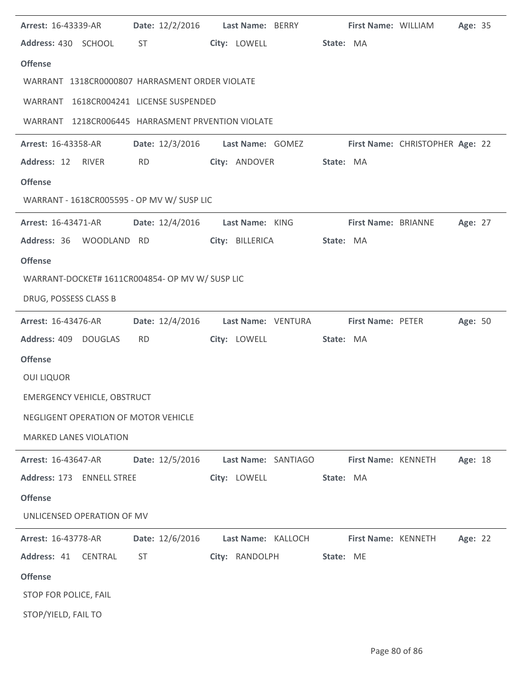| <b>Arrest: 16-43339-AR</b>                        | Date: 12/2/2016    Last Name: BERRY                                                                                                                                                                                            |                     |                        |                     | First Name: WILLIAM        | Age: 35 |  |
|---------------------------------------------------|--------------------------------------------------------------------------------------------------------------------------------------------------------------------------------------------------------------------------------|---------------------|------------------------|---------------------|----------------------------|---------|--|
| Address: 430 SCHOOL                               | ST and the state of the state of the state of the state of the state of the state of the state of the state of the state of the state of the state of the state of the state of the state of the state of the state of the sta |                     | City: LOWELL State: MA |                     |                            |         |  |
| <b>Offense</b>                                    |                                                                                                                                                                                                                                |                     |                        |                     |                            |         |  |
| WARRANT 1318CR0000807 HARRASMENT ORDER VIOLATE    |                                                                                                                                                                                                                                |                     |                        |                     |                            |         |  |
| WARRANT 1618CR004241 LICENSE SUSPENDED            |                                                                                                                                                                                                                                |                     |                        |                     |                            |         |  |
| WARRANT 1218CR006445 HARRASMENT PRVENTION VIOLATE |                                                                                                                                                                                                                                |                     |                        |                     |                            |         |  |
| Arrest: 16-43358-AR                               | Date: 12/3/2016 Last Name: GOMEZ First Name: CHRISTOPHER Age: 22                                                                                                                                                               |                     |                        |                     |                            |         |  |
| Address: 12 RIVER                                 | <b>RD</b>                                                                                                                                                                                                                      | City: ANDOVER       |                        | State: MA           |                            |         |  |
| <b>Offense</b>                                    |                                                                                                                                                                                                                                |                     |                        |                     |                            |         |  |
| WARRANT - 1618CR005595 - OP MV W/ SUSP LIC        |                                                                                                                                                                                                                                |                     |                        |                     |                            |         |  |
| <b>Arrest: 16-43471-AR</b>                        | Date: 12/4/2016 Last Name: KING                                                                                                                                                                                                |                     |                        |                     | <b>First Name: BRIANNE</b> | Age: 27 |  |
| Address: 36 WOODLAND RD                           |                                                                                                                                                                                                                                | City: BILLERICA     |                        | State: MA           |                            |         |  |
| <b>Offense</b>                                    |                                                                                                                                                                                                                                |                     |                        |                     |                            |         |  |
| WARRANT-DOCKET# 1611CR004854- OP MV W/ SUSP LIC   |                                                                                                                                                                                                                                |                     |                        |                     |                            |         |  |
| DRUG, POSSESS CLASS B                             |                                                                                                                                                                                                                                |                     |                        |                     |                            |         |  |
| <b>Arrest: 16-43476-AR</b>                        | Date: 12/4/2016 Last Name: VENTURA First Name: PETER                                                                                                                                                                           |                     |                        |                     |                            | Age: 50 |  |
| Address: 409 DOUGLAS                              | <b>RD</b>                                                                                                                                                                                                                      | City: LOWELL        |                        | State: MA           |                            |         |  |
| <b>Offense</b>                                    |                                                                                                                                                                                                                                |                     |                        |                     |                            |         |  |
| <b>OUI LIQUOR</b>                                 |                                                                                                                                                                                                                                |                     |                        |                     |                            |         |  |
| <b>EMERGENCY VEHICLE, OBSTRUCT</b>                |                                                                                                                                                                                                                                |                     |                        |                     |                            |         |  |
| NEGLIGENT OPERATION OF MOTOR VEHICLE              |                                                                                                                                                                                                                                |                     |                        |                     |                            |         |  |
| <b>MARKED LANES VIOLATION</b>                     |                                                                                                                                                                                                                                |                     |                        |                     |                            |         |  |
| <b>Arrest: 16-43647-AR</b>                        | Date: 12/5/2016                                                                                                                                                                                                                | Last Name: SANTIAGO |                        | First Name: KENNETH |                            | Age: 18 |  |
| Address: 173 ENNELL STREE                         |                                                                                                                                                                                                                                | City: LOWELL        |                        | State: MA           |                            |         |  |
| <b>Offense</b>                                    |                                                                                                                                                                                                                                |                     |                        |                     |                            |         |  |
| UNLICENSED OPERATION OF MV                        |                                                                                                                                                                                                                                |                     |                        |                     |                            |         |  |
| <b>Arrest: 16-43778-AR</b>                        | Date: 12/6/2016                                                                                                                                                                                                                | Last Name: KALLOCH  |                        | First Name: KENNETH |                            | Age: 22 |  |
| Address: 41<br><b>CENTRAL</b>                     | <b>ST</b>                                                                                                                                                                                                                      | City: RANDOLPH      |                        | State: ME           |                            |         |  |
| <b>Offense</b>                                    |                                                                                                                                                                                                                                |                     |                        |                     |                            |         |  |
| STOP FOR POLICE, FAIL                             |                                                                                                                                                                                                                                |                     |                        |                     |                            |         |  |
| STOP/YIELD, FAIL TO                               |                                                                                                                                                                                                                                |                     |                        |                     |                            |         |  |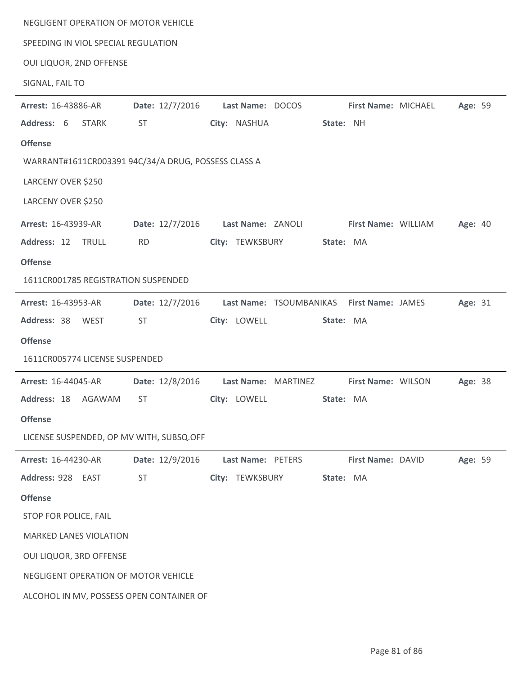| NEGLIGENT OPERATION OF MOTOR VEHICLE                |                                                                                                                                                                                                                                |                                           |                                |
|-----------------------------------------------------|--------------------------------------------------------------------------------------------------------------------------------------------------------------------------------------------------------------------------------|-------------------------------------------|--------------------------------|
| SPEEDING IN VIOL SPECIAL REGULATION                 |                                                                                                                                                                                                                                |                                           |                                |
| OUI LIQUOR, 2ND OFFENSE                             |                                                                                                                                                                                                                                |                                           |                                |
| SIGNAL, FAIL TO                                     |                                                                                                                                                                                                                                |                                           |                                |
| Arrest: 16-43886-AR                                 | Date: 12/7/2016                                                                                                                                                                                                                | Last Name: DOCOS                          | Age: 59<br>First Name: MICHAEL |
| Address: 6<br><b>STARK</b>                          | <b>ST</b>                                                                                                                                                                                                                      | City: NASHUA                              | State: NH                      |
| <b>Offense</b>                                      |                                                                                                                                                                                                                                |                                           |                                |
| WARRANT#1611CR003391 94C/34/A DRUG, POSSESS CLASS A |                                                                                                                                                                                                                                |                                           |                                |
| LARCENY OVER \$250                                  |                                                                                                                                                                                                                                |                                           |                                |
| LARCENY OVER \$250                                  |                                                                                                                                                                                                                                |                                           |                                |
| Arrest: 16-43939-AR                                 | Date: 12/7/2016                                                                                                                                                                                                                | Last Name: ZANOLI                         | First Name: WILLIAM<br>Age: 40 |
| Address: 12 TRULL                                   | <b>RD</b>                                                                                                                                                                                                                      | City: TEWKSBURY                           | State: MA                      |
| <b>Offense</b>                                      |                                                                                                                                                                                                                                |                                           |                                |
| 1611CR001785 REGISTRATION SUSPENDED                 |                                                                                                                                                                                                                                |                                           |                                |
| Arrest: 16-43953-AR                                 | Date: 12/7/2016                                                                                                                                                                                                                | Last Name: TSOUMBANIKAS First Name: JAMES | Age: 31                        |
| Address: 38 WEST                                    | <b>ST</b>                                                                                                                                                                                                                      | City: LOWELL                              | State: MA                      |
| <b>Offense</b>                                      |                                                                                                                                                                                                                                |                                           |                                |
| 1611CR005774 LICENSE SUSPENDED                      |                                                                                                                                                                                                                                |                                           |                                |
| Arrest: 16-44045-AR                                 | Date: 12/8/2016                                                                                                                                                                                                                | Last Name: MARTINEZ                       | First Name: WILSON<br>Age: 38  |
| Address: 18 AGAWAM                                  | ST and the state of the state of the state of the state of the state of the state of the state of the state of the state of the state of the state of the state of the state of the state of the state of the state of the sta | City: LOWELL                              | State: MA                      |
| <b>Offense</b>                                      |                                                                                                                                                                                                                                |                                           |                                |
| LICENSE SUSPENDED, OP MV WITH, SUBSQ.OFF            |                                                                                                                                                                                                                                |                                           |                                |
| Arrest: 16-44230-AR                                 | Date: 12/9/2016                                                                                                                                                                                                                | Last Name: PETERS                         | Age: 59<br>First Name: DAVID   |
| Address: 928 EAST                                   | <b>ST</b>                                                                                                                                                                                                                      | City: TEWKSBURY                           | State: MA                      |
| <b>Offense</b>                                      |                                                                                                                                                                                                                                |                                           |                                |
| STOP FOR POLICE, FAIL                               |                                                                                                                                                                                                                                |                                           |                                |
| <b>MARKED LANES VIOLATION</b>                       |                                                                                                                                                                                                                                |                                           |                                |
| OUI LIQUOR, 3RD OFFENSE                             |                                                                                                                                                                                                                                |                                           |                                |
| NEGLIGENT OPERATION OF MOTOR VEHICLE                |                                                                                                                                                                                                                                |                                           |                                |
|                                                     | ALCOHOL IN MV, POSSESS OPEN CONTAINER OF                                                                                                                                                                                       |                                           |                                |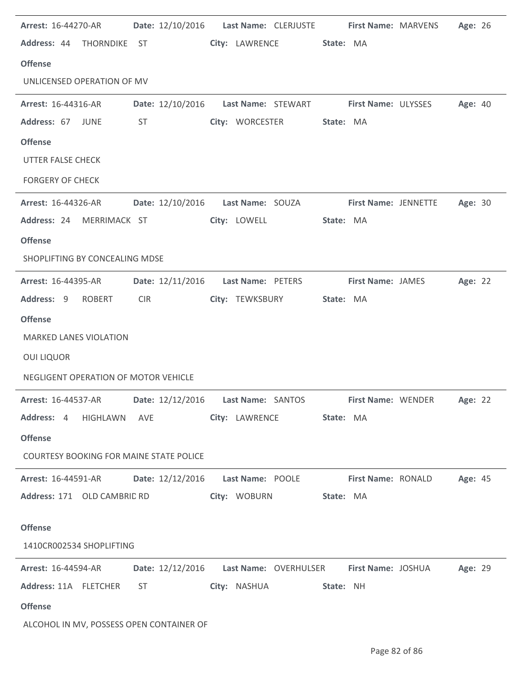| Arrest: 16-44270-AR Date: 12/10/2016 Last Name: CLERJUSTE First Name: MARVENS         |            |                                                                                                                                                                                                                                |  |                          |           |                                                                   | Age: 26 |  |
|---------------------------------------------------------------------------------------|------------|--------------------------------------------------------------------------------------------------------------------------------------------------------------------------------------------------------------------------------|--|--------------------------|-----------|-------------------------------------------------------------------|---------|--|
| Address: 44 THORNDIKE ST                                                              |            |                                                                                                                                                                                                                                |  | City: LAWRENCE State: MA |           |                                                                   |         |  |
| <b>Offense</b>                                                                        |            |                                                                                                                                                                                                                                |  |                          |           |                                                                   |         |  |
| UNLICENSED OPERATION OF MV                                                            |            |                                                                                                                                                                                                                                |  |                          |           |                                                                   |         |  |
| <b>Arrest: 16-44316-AR</b>                                                            |            |                                                                                                                                                                                                                                |  |                          |           | Date: 12/10/2016  Last Name: STEWART  First Name: ULYSSES         | Age: 40 |  |
| Address: 67 JUNE                                                                      |            | ST and the state of the state of the state of the state of the state of the state of the state of the state of the state of the state of the state of the state of the state of the state of the state of the state of the sta |  | City: WORCESTER          | State: MA |                                                                   |         |  |
| <b>Offense</b>                                                                        |            |                                                                                                                                                                                                                                |  |                          |           |                                                                   |         |  |
| UTTER FALSE CHECK                                                                     |            |                                                                                                                                                                                                                                |  |                          |           |                                                                   |         |  |
| <b>FORGERY OF CHECK</b>                                                               |            |                                                                                                                                                                                                                                |  |                          |           |                                                                   |         |  |
| Arrest: 16-44326-AR                                                                   |            |                                                                                                                                                                                                                                |  |                          |           | Date: 12/10/2016  Last Name: SOUZA  First Name: JENNETTE  Age: 30 |         |  |
| Address: 24 MERRIMACK ST                                                              |            |                                                                                                                                                                                                                                |  | City: LOWELL             | State: MA |                                                                   |         |  |
| <b>Offense</b>                                                                        |            |                                                                                                                                                                                                                                |  |                          |           |                                                                   |         |  |
| SHOPLIFTING BY CONCEALING MDSE                                                        |            |                                                                                                                                                                                                                                |  |                          |           |                                                                   |         |  |
| <b>Arrest: 16-44395-AR</b>                                                            |            | Date: 12/11/2016    Last Name: PETERS    First Name: JAMES                                                                                                                                                                     |  |                          |           |                                                                   | Age: 22 |  |
| Address: 9 ROBERT                                                                     | <b>CIR</b> |                                                                                                                                                                                                                                |  | City: TEWKSBURY          | State: MA |                                                                   |         |  |
| <b>Offense</b>                                                                        |            |                                                                                                                                                                                                                                |  |                          |           |                                                                   |         |  |
| <b>MARKED LANES VIOLATION</b>                                                         |            |                                                                                                                                                                                                                                |  |                          |           |                                                                   |         |  |
| <b>OUI LIQUOR</b>                                                                     |            |                                                                                                                                                                                                                                |  |                          |           |                                                                   |         |  |
| NEGLIGENT OPERATION OF MOTOR VEHICLE                                                  |            |                                                                                                                                                                                                                                |  |                          |           |                                                                   |         |  |
| Arrest: 16-44537-AR Date: 12/12/2016 Last Name: SANTOS First Name: WENDER             |            |                                                                                                                                                                                                                                |  |                          |           |                                                                   | Age: 22 |  |
| Address: 4 HIGHLAWN AVE City: LAWRENCE State: MA                                      |            |                                                                                                                                                                                                                                |  |                          |           |                                                                   |         |  |
| <b>Offense</b>                                                                        |            |                                                                                                                                                                                                                                |  |                          |           |                                                                   |         |  |
| <b>COURTESY BOOKING FOR MAINE STATE POLICE</b>                                        |            |                                                                                                                                                                                                                                |  |                          |           |                                                                   |         |  |
| Arrest: 16-44591-AR Date: 12/12/2016 Last Name: POOLE First Name: RONALD Age: 45      |            |                                                                                                                                                                                                                                |  |                          |           |                                                                   |         |  |
| Address: 171 OLD CAMBRIC RD                                                           |            |                                                                                                                                                                                                                                |  | City: WOBURN State: MA   |           |                                                                   |         |  |
|                                                                                       |            |                                                                                                                                                                                                                                |  |                          |           |                                                                   |         |  |
| <b>Offense</b>                                                                        |            |                                                                                                                                                                                                                                |  |                          |           |                                                                   |         |  |
| 1410CR002534 SHOPLIFTING                                                              |            |                                                                                                                                                                                                                                |  |                          |           |                                                                   |         |  |
| Arrest: 16-44594-AR Date: 12/12/2016 Last Name: OVERHULSER First Name: JOSHUA Age: 29 |            |                                                                                                                                                                                                                                |  |                          |           |                                                                   |         |  |
| Address: 11A FLETCHER ST                                                              |            |                                                                                                                                                                                                                                |  | City: NASHUA 5tate: NH   |           |                                                                   |         |  |
| <b>Offense</b>                                                                        |            |                                                                                                                                                                                                                                |  |                          |           |                                                                   |         |  |
| ALCOHOL IN MV, POSSESS OPEN CONTAINER OF                                              |            |                                                                                                                                                                                                                                |  |                          |           |                                                                   |         |  |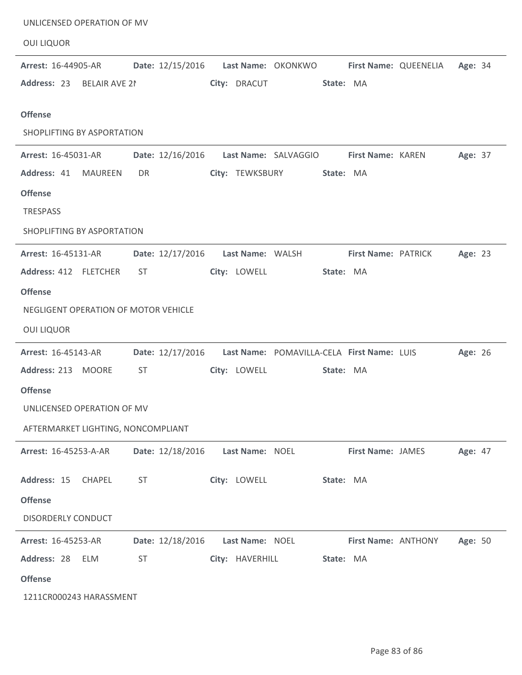| UNLICENSED OPERATION OF MV           |                                                               |                 |                    |                     |                       |         |
|--------------------------------------|---------------------------------------------------------------|-----------------|--------------------|---------------------|-----------------------|---------|
| <b>OUI LIQUOR</b>                    |                                                               |                 |                    |                     |                       |         |
| Arrest: 16-44905-AR                  | Date: 12/15/2016                                              |                 | Last Name: OKONKWO |                     | First Name: QUEENELIA | Age: 34 |
| Address: 23 BELAIR AVE 21            |                                                               | City: DRACUT    |                    | State: MA           |                       |         |
| <b>Offense</b>                       |                                                               |                 |                    |                     |                       |         |
| SHOPLIFTING BY ASPORTATION           |                                                               |                 |                    |                     |                       |         |
| Arrest: 16-45031-AR                  | Date: 12/16/2016    Last Name: SALVAGGIO    First Name: KAREN |                 |                    |                     |                       | Age: 37 |
| Address: 41<br><b>MAUREEN</b>        | DR                                                            | City: TEWKSBURY |                    | State: MA           |                       |         |
| <b>Offense</b>                       |                                                               |                 |                    |                     |                       |         |
| TRESPASS                             |                                                               |                 |                    |                     |                       |         |
| SHOPLIFTING BY ASPORTATION           |                                                               |                 |                    |                     |                       |         |
| <b>Arrest: 16-45131-AR</b>           | Date: 12/17/2016    Last Name: WALSH                          |                 |                    | First Name: PATRICK |                       | Age: 23 |
| Address: 412 FLETCHER                | <b>ST</b>                                                     | City: LOWELL    |                    | State: MA           |                       |         |
| <b>Offense</b>                       |                                                               |                 |                    |                     |                       |         |
| NEGLIGENT OPERATION OF MOTOR VEHICLE |                                                               |                 |                    |                     |                       |         |
| <b>OUI LIQUOR</b>                    |                                                               |                 |                    |                     |                       |         |
| Arrest: 16-45143-AR                  | Date: 12/17/2016  Last Name: POMAVILLA-CELA First Name: LUIS  |                 |                    |                     |                       | Age: 26 |
| Address: 213 MOORE                   | <b>ST</b>                                                     | City: LOWELL    |                    | State: MA           |                       |         |
| <b>Offense</b>                       |                                                               |                 |                    |                     |                       |         |
| UNLICENSED OPERATION OF MV           |                                                               |                 |                    |                     |                       |         |
| AFTERMARKET LIGHTING, NONCOMPLIANT   |                                                               |                 |                    |                     |                       |         |
| Arrest: 16-45253-A-AR                | Date: 12/18/2016                                              | Last Name: NOEL |                    | First Name: JAMES   |                       | Age: 47 |
| Address: 15<br><b>CHAPEL</b>         | <b>ST</b>                                                     | City: LOWELL    |                    | State: MA           |                       |         |
| <b>Offense</b>                       |                                                               |                 |                    |                     |                       |         |
| <b>DISORDERLY CONDUCT</b>            |                                                               |                 |                    |                     |                       |         |
| Arrest: 16-45253-AR                  | Date: 12/18/2016                                              | Last Name: NOEL |                    | First Name: ANTHONY |                       | Age: 50 |
| Address: 28<br><b>ELM</b>            | <b>ST</b>                                                     | City: HAVERHILL |                    | State: MA           |                       |         |
| <b>Offense</b>                       |                                                               |                 |                    |                     |                       |         |
| 1211CR000243 HARASSMENT              |                                                               |                 |                    |                     |                       |         |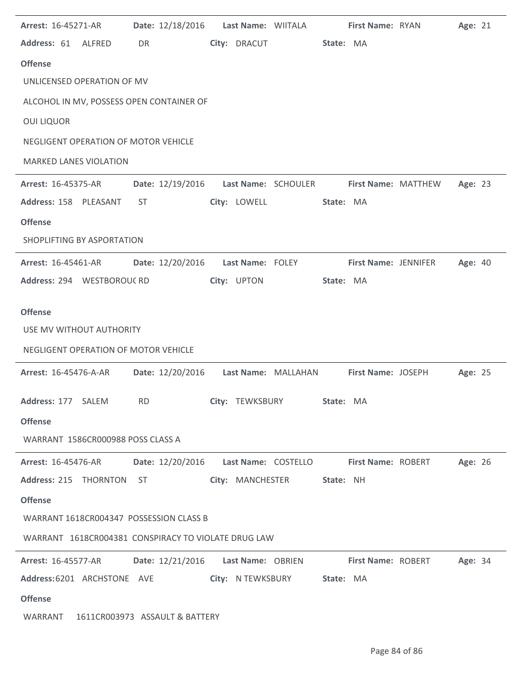| Arrest: 16-45271-AR                                                                 | Date: 12/18/2016    Last Name: WIITALA  |              | First Name: RYAN     | Age: 21 |  |
|-------------------------------------------------------------------------------------|-----------------------------------------|--------------|----------------------|---------|--|
| Address: 61 ALFRED                                                                  | DR                                      | City: DRACUT | State: MA            |         |  |
| <b>Offense</b>                                                                      |                                         |              |                      |         |  |
| UNLICENSED OPERATION OF MV                                                          |                                         |              |                      |         |  |
| ALCOHOL IN MV, POSSESS OPEN CONTAINER OF                                            |                                         |              |                      |         |  |
| <b>OUI LIQUOR</b>                                                                   |                                         |              |                      |         |  |
| NEGLIGENT OPERATION OF MOTOR VEHICLE                                                |                                         |              |                      |         |  |
| <b>MARKED LANES VIOLATION</b>                                                       |                                         |              |                      |         |  |
| Arrest: 16-45375-AR                                                                 | Date: 12/19/2016    Last Name: SCHOULER |              | First Name: MATTHEW  | Age: 23 |  |
| Address: 158 PLEASANT                                                               | ST                                      | City: LOWELL | State: MA            |         |  |
| <b>Offense</b>                                                                      |                                         |              |                      |         |  |
| SHOPLIFTING BY ASPORTATION                                                          |                                         |              |                      |         |  |
| <b>Arrest: 16-45461-AR</b>                                                          | Date: 12/20/2016    Last Name: FOLEY    |              | First Name: JENNIFER | Age: 40 |  |
| Address: 294 WESTBOROUCRD                                                           |                                         | City: UPTON  | State: MA            |         |  |
| <b>Offense</b>                                                                      |                                         |              |                      |         |  |
| USE MV WITHOUT AUTHORITY                                                            |                                         |              |                      |         |  |
| NEGLIGENT OPERATION OF MOTOR VEHICLE                                                |                                         |              |                      |         |  |
| <b>Arrest: 16-45476-A-AR</b>                                                        | Date: 12/20/2016    Last Name: MALLAHAN |              | First Name: JOSEPH   | Age: 25 |  |
|                                                                                     |                                         |              |                      |         |  |
| Address: 177 SALEM RD City: TEWKSBURY State: MA                                     |                                         |              |                      |         |  |
| <b>Offense</b>                                                                      |                                         |              |                      |         |  |
| WARRANT 1586CR000988 POSS CLASS A                                                   |                                         |              |                      |         |  |
| Arrest: 16-45476-AR Date: 12/20/2016 Last Name: COSTELLO First Name: ROBERT Age: 26 |                                         |              |                      |         |  |
| Address: 215 THORNTON ST City: MANCHESTER State: NH                                 |                                         |              |                      |         |  |
| <b>Offense</b>                                                                      |                                         |              |                      |         |  |
| WARRANT 1618CR004347 POSSESSION CLASS B                                             |                                         |              |                      |         |  |
| WARRANT 1618CR004381 CONSPIRACY TO VIOLATE DRUG LAW                                 |                                         |              |                      |         |  |
| Arrest: 16-45577-AR Date: 12/21/2016 Last Name: OBRIEN First Name: ROBERT Age: 34   |                                         |              |                      |         |  |
| Address:6201 ARCHSTONE AVE City: NTEWKSBURY State: MA                               |                                         |              |                      |         |  |
| <b>Offense</b>                                                                      |                                         |              |                      |         |  |
| WARRANT 1611CR003973 ASSAULT & BATTERY                                              |                                         |              |                      |         |  |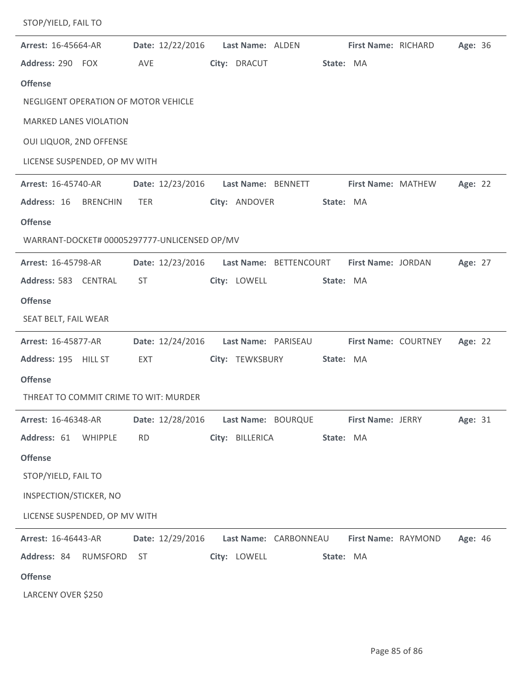| STOP/YIELD, FAIL TO                          |                  |                                        |                          |                |
|----------------------------------------------|------------------|----------------------------------------|--------------------------|----------------|
| Arrest: 16-45664-AR                          | Date: 12/22/2016 | Last Name: ALDEN                       | First Name: RICHARD      | Age: 36        |
| Address: 290 FOX                             | AVE              | City: DRACUT                           | State: MA                |                |
| <b>Offense</b>                               |                  |                                        |                          |                |
| NEGLIGENT OPERATION OF MOTOR VEHICLE         |                  |                                        |                          |                |
| <b>MARKED LANES VIOLATION</b>                |                  |                                        |                          |                |
| OUI LIQUOR, 2ND OFFENSE                      |                  |                                        |                          |                |
| LICENSE SUSPENDED, OP MV WITH                |                  |                                        |                          |                |
| Arrest: 16-45740-AR                          | Date: 12/23/2016 | Last Name: BENNETT                     | First Name: MATHEW       | Age: 22        |
| Address: 16<br><b>BRENCHIN</b>               | <b>TER</b>       | City: ANDOVER                          | State: MA                |                |
| <b>Offense</b>                               |                  |                                        |                          |                |
| WARRANT-DOCKET# 00005297777-UNLICENSED OP/MV |                  |                                        |                          |                |
| Arrest: 16-45798-AR                          | Date: 12/23/2016 | Last Name: BETTENCOURT                 | First Name: JORDAN       | Age: 27        |
| Address: 583 CENTRAL                         | <b>ST</b>        | City: LOWELL                           | State: MA                |                |
| <b>Offense</b>                               |                  |                                        |                          |                |
| SEAT BELT, FAIL WEAR                         |                  |                                        |                          |                |
| Arrest: 16-45877-AR                          | Date: 12/24/2016 | Last Name: PARISEAU                    | First Name: COURTNEY     | Age: 22        |
| Address: 195 HILL ST                         | EXT              | City: TEWKSBURY                        | State: MA                |                |
| <b>Offense</b>                               |                  |                                        |                          |                |
| THREAT TO COMMIT CRIME TO WIT: MURDER        |                  |                                        |                          |                |
| <b>Arrest: 16-46348-AR</b>                   |                  | Date: 12/28/2016    Last Name: BOURQUE | <b>First Name: JERRY</b> | Age: 31        |
| Address: 61 WHIPPLE                          | <b>RD</b>        | City: BILLERICA                        | State: MA                |                |
| <b>Offense</b>                               |                  |                                        |                          |                |
| STOP/YIELD, FAIL TO                          |                  |                                        |                          |                |
| INSPECTION/STICKER, NO                       |                  |                                        |                          |                |
| LICENSE SUSPENDED, OP MV WITH                |                  |                                        |                          |                |
| <b>Arrest: 16-46443-AR</b>                   | Date: 12/29/2016 | Last Name: CARBONNEAU                  | First Name: RAYMOND      | <b>Age: 46</b> |
| Address: 84 RUMSFORD                         | ST               | City: LOWELL                           | State: MA                |                |
| <b>Offense</b>                               |                  |                                        |                          |                |
| LARCENY OVER \$250                           |                  |                                        |                          |                |

ż,